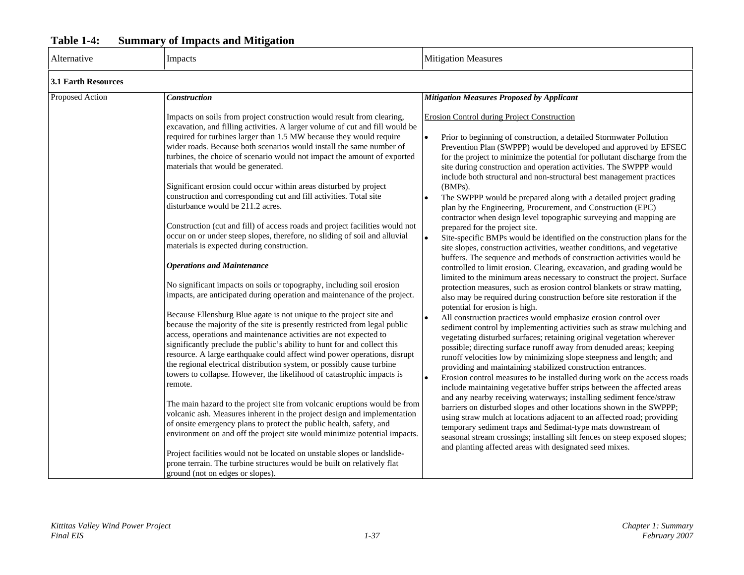# **Table 1-4: Summary of Impacts and Mitigation**

| Alternative                | Impacts                                                                                                                                                                                                                                                                                                                                                                                                                                                                                                                                                                                                                                                                                                                                                                                                                                                                                                                                                                                                                                                                                                                                                                                                                                                                                                                                                                                                                                                                                                                                                                                                                                                                                                                                                                                                                                                                                                                                                                                                                                                                 | <b>Mitigation Measures</b>                                                                                                                                                                                                                                                                                                                                                                                                                                                                                                                                                                                                                                                                                                                                                                                                                                                                                                                                                                                                                                                                                                                                                                                                                                                                                                                                                                                                                                                                                                                                                                                                                                                                                                                                                                                                                                                                                                                                                                                                                                                                                                                                                                                                                                                                                                                         |
|----------------------------|-------------------------------------------------------------------------------------------------------------------------------------------------------------------------------------------------------------------------------------------------------------------------------------------------------------------------------------------------------------------------------------------------------------------------------------------------------------------------------------------------------------------------------------------------------------------------------------------------------------------------------------------------------------------------------------------------------------------------------------------------------------------------------------------------------------------------------------------------------------------------------------------------------------------------------------------------------------------------------------------------------------------------------------------------------------------------------------------------------------------------------------------------------------------------------------------------------------------------------------------------------------------------------------------------------------------------------------------------------------------------------------------------------------------------------------------------------------------------------------------------------------------------------------------------------------------------------------------------------------------------------------------------------------------------------------------------------------------------------------------------------------------------------------------------------------------------------------------------------------------------------------------------------------------------------------------------------------------------------------------------------------------------------------------------------------------------|----------------------------------------------------------------------------------------------------------------------------------------------------------------------------------------------------------------------------------------------------------------------------------------------------------------------------------------------------------------------------------------------------------------------------------------------------------------------------------------------------------------------------------------------------------------------------------------------------------------------------------------------------------------------------------------------------------------------------------------------------------------------------------------------------------------------------------------------------------------------------------------------------------------------------------------------------------------------------------------------------------------------------------------------------------------------------------------------------------------------------------------------------------------------------------------------------------------------------------------------------------------------------------------------------------------------------------------------------------------------------------------------------------------------------------------------------------------------------------------------------------------------------------------------------------------------------------------------------------------------------------------------------------------------------------------------------------------------------------------------------------------------------------------------------------------------------------------------------------------------------------------------------------------------------------------------------------------------------------------------------------------------------------------------------------------------------------------------------------------------------------------------------------------------------------------------------------------------------------------------------------------------------------------------------------------------------------------------------|
| <b>3.1 Earth Resources</b> |                                                                                                                                                                                                                                                                                                                                                                                                                                                                                                                                                                                                                                                                                                                                                                                                                                                                                                                                                                                                                                                                                                                                                                                                                                                                                                                                                                                                                                                                                                                                                                                                                                                                                                                                                                                                                                                                                                                                                                                                                                                                         |                                                                                                                                                                                                                                                                                                                                                                                                                                                                                                                                                                                                                                                                                                                                                                                                                                                                                                                                                                                                                                                                                                                                                                                                                                                                                                                                                                                                                                                                                                                                                                                                                                                                                                                                                                                                                                                                                                                                                                                                                                                                                                                                                                                                                                                                                                                                                    |
| Proposed Action            | Construction                                                                                                                                                                                                                                                                                                                                                                                                                                                                                                                                                                                                                                                                                                                                                                                                                                                                                                                                                                                                                                                                                                                                                                                                                                                                                                                                                                                                                                                                                                                                                                                                                                                                                                                                                                                                                                                                                                                                                                                                                                                            | <b>Mitigation Measures Proposed by Applicant</b>                                                                                                                                                                                                                                                                                                                                                                                                                                                                                                                                                                                                                                                                                                                                                                                                                                                                                                                                                                                                                                                                                                                                                                                                                                                                                                                                                                                                                                                                                                                                                                                                                                                                                                                                                                                                                                                                                                                                                                                                                                                                                                                                                                                                                                                                                                   |
|                            | Impacts on soils from project construction would result from clearing,<br>excavation, and filling activities. A larger volume of cut and fill would be<br>required for turbines larger than 1.5 MW because they would require<br>wider roads. Because both scenarios would install the same number of<br>turbines, the choice of scenario would not impact the amount of exported<br>materials that would be generated.<br>Significant erosion could occur within areas disturbed by project<br>construction and corresponding cut and fill activities. Total site<br>disturbance would be 211.2 acres.<br>Construction (cut and fill) of access roads and project facilities would not<br>occur on or under steep slopes, therefore, no sliding of soil and alluvial<br>materials is expected during construction.<br><b>Operations and Maintenance</b><br>No significant impacts on soils or topography, including soil erosion<br>impacts, are anticipated during operation and maintenance of the project.<br>Because Ellensburg Blue agate is not unique to the project site and<br>because the majority of the site is presently restricted from legal public<br>access, operations and maintenance activities are not expected to<br>significantly preclude the public's ability to hunt for and collect this<br>resource. A large earthquake could affect wind power operations, disrupt<br>the regional electrical distribution system, or possibly cause turbine<br>towers to collapse. However, the likelihood of catastrophic impacts is<br>remote.<br>The main hazard to the project site from volcanic eruptions would be from<br>volcanic ash. Measures inherent in the project design and implementation<br>of onsite emergency plans to protect the public health, safety, and<br>environment on and off the project site would minimize potential impacts.<br>Project facilities would not be located on unstable slopes or landslide-<br>prone terrain. The turbine structures would be built on relatively flat<br>ground (not on edges or slopes). | <b>Erosion Control during Project Construction</b><br>$\bullet$<br>Prior to beginning of construction, a detailed Stormwater Pollution<br>Prevention Plan (SWPPP) would be developed and approved by EFSEC<br>for the project to minimize the potential for pollutant discharge from the<br>site during construction and operation activities. The SWPPP would<br>include both structural and non-structural best management practices<br>(BMPs).<br>The SWPPP would be prepared along with a detailed project grading<br>plan by the Engineering, Procurement, and Construction (EPC)<br>contractor when design level topographic surveying and mapping are<br>prepared for the project site.<br>$\bullet$<br>Site-specific BMPs would be identified on the construction plans for the<br>site slopes, construction activities, weather conditions, and vegetative<br>buffers. The sequence and methods of construction activities would be<br>controlled to limit erosion. Clearing, excavation, and grading would be<br>limited to the minimum areas necessary to construct the project. Surface<br>protection measures, such as erosion control blankets or straw matting,<br>also may be required during construction before site restoration if the<br>potential for erosion is high.<br>All construction practices would emphasize erosion control over<br>$\bullet$<br>sediment control by implementing activities such as straw mulching and<br>vegetating disturbed surfaces; retaining original vegetation wherever<br>possible; directing surface runoff away from denuded areas; keeping<br>runoff velocities low by minimizing slope steepness and length; and<br>providing and maintaining stabilized construction entrances.<br>Erosion control measures to be installed during work on the access roads<br>$\bullet$<br>include maintaining vegetative buffer strips between the affected areas<br>and any nearby receiving waterways; installing sediment fence/straw<br>barriers on disturbed slopes and other locations shown in the SWPPP;<br>using straw mulch at locations adjacent to an affected road; providing<br>temporary sediment traps and Sedimat-type mats downstream of<br>seasonal stream crossings; installing silt fences on steep exposed slopes;<br>and planting affected areas with designated seed mixes. |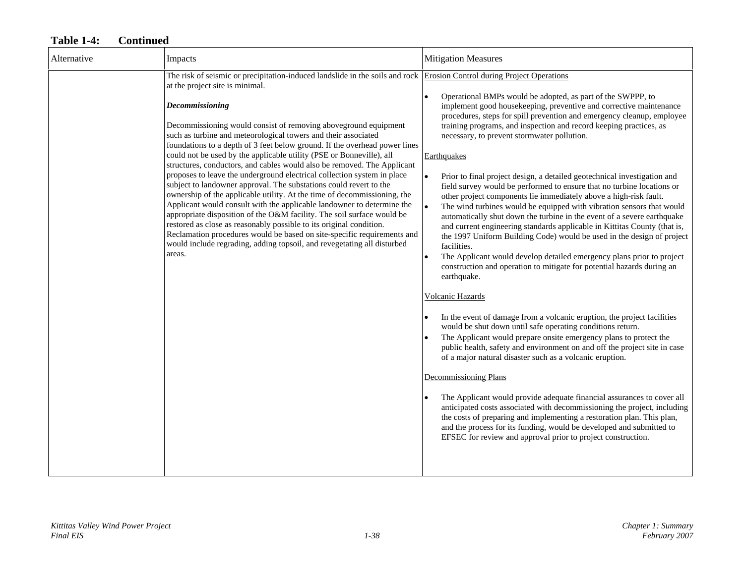| Alternative | Impacts                                                                                                                                                                                                                                                                                                                                                                                                                                                                                                                                                                                                                                                                                                                                                                                                                                                                                                                                                                                                                                                                                                                                                                    | <b>Mitigation Measures</b>                                                                                                                                                                                                                                                                                                                                                                                                                                                                                                                                                                                                                                                                                                                                                                                                                                                                                                                                                                                                                                                                                                                                                                                                                                                                                                                                                                                                                                                                                                                                                                                                                                                                                                                                                                                                                                             |
|-------------|----------------------------------------------------------------------------------------------------------------------------------------------------------------------------------------------------------------------------------------------------------------------------------------------------------------------------------------------------------------------------------------------------------------------------------------------------------------------------------------------------------------------------------------------------------------------------------------------------------------------------------------------------------------------------------------------------------------------------------------------------------------------------------------------------------------------------------------------------------------------------------------------------------------------------------------------------------------------------------------------------------------------------------------------------------------------------------------------------------------------------------------------------------------------------|------------------------------------------------------------------------------------------------------------------------------------------------------------------------------------------------------------------------------------------------------------------------------------------------------------------------------------------------------------------------------------------------------------------------------------------------------------------------------------------------------------------------------------------------------------------------------------------------------------------------------------------------------------------------------------------------------------------------------------------------------------------------------------------------------------------------------------------------------------------------------------------------------------------------------------------------------------------------------------------------------------------------------------------------------------------------------------------------------------------------------------------------------------------------------------------------------------------------------------------------------------------------------------------------------------------------------------------------------------------------------------------------------------------------------------------------------------------------------------------------------------------------------------------------------------------------------------------------------------------------------------------------------------------------------------------------------------------------------------------------------------------------------------------------------------------------------------------------------------------------|
|             | The risk of seismic or precipitation-induced landslide in the soils and rock Erosion Control during Project Operations<br>at the project site is minimal.<br>Decommissioning<br>Decommissioning would consist of removing aboveground equipment<br>such as turbine and meteorological towers and their associated<br>foundations to a depth of 3 feet below ground. If the overhead power lines<br>could not be used by the applicable utility (PSE or Bonneville), all<br>structures, conductors, and cables would also be removed. The Applicant<br>proposes to leave the underground electrical collection system in place<br>subject to landowner approval. The substations could revert to the<br>ownership of the applicable utility. At the time of decommissioning, the<br>Applicant would consult with the applicable landowner to determine the<br>appropriate disposition of the O&M facility. The soil surface would be<br>restored as close as reasonably possible to its original condition.<br>Reclamation procedures would be based on site-specific requirements and<br>would include regrading, adding topsoil, and revegetating all disturbed<br>areas. | Operational BMPs would be adopted, as part of the SWPPP, to<br>$\bullet$<br>implement good housekeeping, preventive and corrective maintenance<br>procedures, steps for spill prevention and emergency cleanup, employee<br>training programs, and inspection and record keeping practices, as<br>necessary, to prevent stormwater pollution.<br>Earthquakes<br>Prior to final project design, a detailed geotechnical investigation and<br>field survey would be performed to ensure that no turbine locations or<br>other project components lie immediately above a high-risk fault.<br>The wind turbines would be equipped with vibration sensors that would<br>automatically shut down the turbine in the event of a severe earthquake<br>and current engineering standards applicable in Kittitas County (that is,<br>the 1997 Uniform Building Code) would be used in the design of project<br>facilities.<br>The Applicant would develop detailed emergency plans prior to project<br>construction and operation to mitigate for potential hazards during an<br>earthquake.<br>Volcanic Hazards<br>In the event of damage from a volcanic eruption, the project facilities<br>would be shut down until safe operating conditions return.<br>The Applicant would prepare onsite emergency plans to protect the<br>public health, safety and environment on and off the project site in case<br>of a major natural disaster such as a volcanic eruption.<br><b>Decommissioning Plans</b><br>The Applicant would provide adequate financial assurances to cover all<br>anticipated costs associated with decommissioning the project, including<br>the costs of preparing and implementing a restoration plan. This plan,<br>and the process for its funding, would be developed and submitted to<br>EFSEC for review and approval prior to project construction. |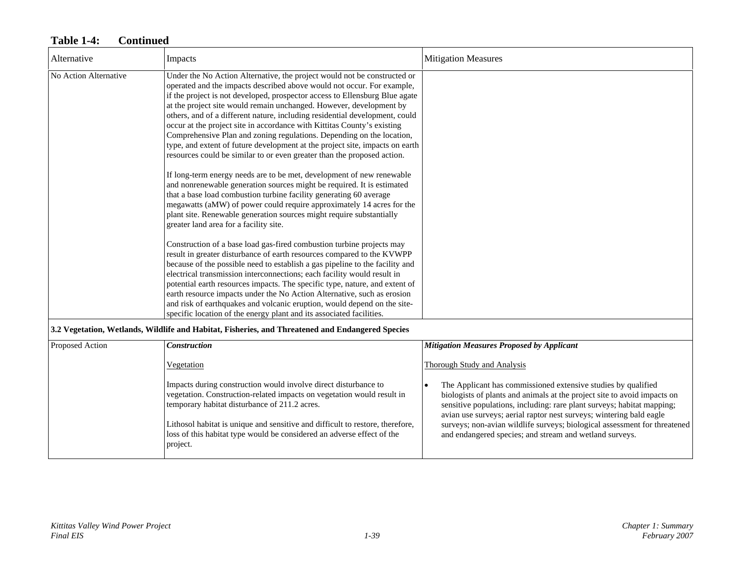| Alternative           | Impacts                                                                                                                                                                                                                                                                                                                                                                                                                                                                                                                                                                                                                                                                                                                                                                                                                                                                                                                                                                                                                                                                                                                    | <b>Mitigation Measures</b>                                                                                                                                                      |
|-----------------------|----------------------------------------------------------------------------------------------------------------------------------------------------------------------------------------------------------------------------------------------------------------------------------------------------------------------------------------------------------------------------------------------------------------------------------------------------------------------------------------------------------------------------------------------------------------------------------------------------------------------------------------------------------------------------------------------------------------------------------------------------------------------------------------------------------------------------------------------------------------------------------------------------------------------------------------------------------------------------------------------------------------------------------------------------------------------------------------------------------------------------|---------------------------------------------------------------------------------------------------------------------------------------------------------------------------------|
| No Action Alternative | Under the No Action Alternative, the project would not be constructed or<br>operated and the impacts described above would not occur. For example,<br>if the project is not developed, prospector access to Ellensburg Blue agate<br>at the project site would remain unchanged. However, development by<br>others, and of a different nature, including residential development, could<br>occur at the project site in accordance with Kittitas County's existing<br>Comprehensive Plan and zoning regulations. Depending on the location,<br>type, and extent of future development at the project site, impacts on earth<br>resources could be similar to or even greater than the proposed action.<br>If long-term energy needs are to be met, development of new renewable<br>and nonrenewable generation sources might be required. It is estimated<br>that a base load combustion turbine facility generating 60 average<br>megawatts (aMW) of power could require approximately 14 acres for the<br>plant site. Renewable generation sources might require substantially<br>greater land area for a facility site. |                                                                                                                                                                                 |
|                       | Construction of a base load gas-fired combustion turbine projects may<br>result in greater disturbance of earth resources compared to the KVWPP<br>because of the possible need to establish a gas pipeline to the facility and<br>electrical transmission interconnections; each facility would result in<br>potential earth resources impacts. The specific type, nature, and extent of<br>earth resource impacts under the No Action Alternative, such as erosion<br>and risk of earthquakes and volcanic eruption, would depend on the site-<br>specific location of the energy plant and its associated facilities.                                                                                                                                                                                                                                                                                                                                                                                                                                                                                                   |                                                                                                                                                                                 |
|                       | 3.2 Vegetation, Wetlands, Wildlife and Habitat, Fisheries, and Threatened and Endangered Species                                                                                                                                                                                                                                                                                                                                                                                                                                                                                                                                                                                                                                                                                                                                                                                                                                                                                                                                                                                                                           |                                                                                                                                                                                 |
| Proposed Action       | <b>Construction</b>                                                                                                                                                                                                                                                                                                                                                                                                                                                                                                                                                                                                                                                                                                                                                                                                                                                                                                                                                                                                                                                                                                        | <b>Mitigation Measures Proposed by Applicant</b>                                                                                                                                |
|                       | Vegetation<br>Impacts during construction would involve direct disturbance to<br>vegetation. Construction-related impacts on vegetation would result in                                                                                                                                                                                                                                                                                                                                                                                                                                                                                                                                                                                                                                                                                                                                                                                                                                                                                                                                                                    | <b>Thorough Study and Analysis</b><br>The Applicant has commissioned extensive studies by qualified<br>biologists of plants and animals at the project site to avoid impacts on |

Lithosol habitat is unique and sensitive and difficult to restore, therefore, loss of this habitat type would be considered an adverse effect of the project.

temporary habitat disturbance of 211.2 acres.

sensitive populations, including: rare plant surveys; habitat mapping; avian use surveys; aerial raptor nest surveys; wintering bald eagle surveys; non-avian wildlife surveys; biological assessment for threatened

and endangered species; and stream and wetland surveys.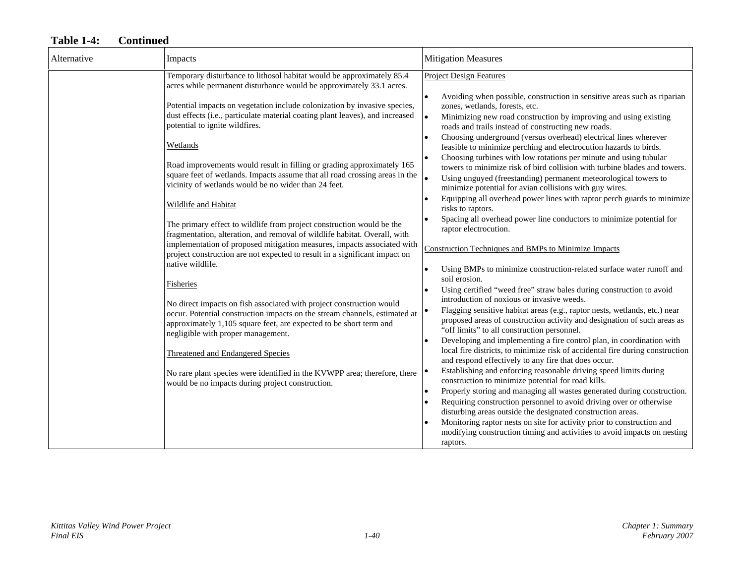| Alternative | Impacts                                                                                                                                                                                                                                                                                                                                                                                                                                                                                                                                                                                                                                                                                                                                                                                                                                                                                                                                                                                                                                                                                                                                                                                                                                                                                                                                                                                                  | <b>Mitigation Measures</b>                                                                                                                                                                                                                                                                                                                                                                                                                                                                                                                                                                                                                                                                                                                                                                                                                                                                                                                                                                                                                                                                                                                                                                                                                                                                                                                                                                                                                                                                                                                                                                                                                                                                                                                                                                                                                                                                                                                                                                                                                                                                                                     |
|-------------|----------------------------------------------------------------------------------------------------------------------------------------------------------------------------------------------------------------------------------------------------------------------------------------------------------------------------------------------------------------------------------------------------------------------------------------------------------------------------------------------------------------------------------------------------------------------------------------------------------------------------------------------------------------------------------------------------------------------------------------------------------------------------------------------------------------------------------------------------------------------------------------------------------------------------------------------------------------------------------------------------------------------------------------------------------------------------------------------------------------------------------------------------------------------------------------------------------------------------------------------------------------------------------------------------------------------------------------------------------------------------------------------------------|--------------------------------------------------------------------------------------------------------------------------------------------------------------------------------------------------------------------------------------------------------------------------------------------------------------------------------------------------------------------------------------------------------------------------------------------------------------------------------------------------------------------------------------------------------------------------------------------------------------------------------------------------------------------------------------------------------------------------------------------------------------------------------------------------------------------------------------------------------------------------------------------------------------------------------------------------------------------------------------------------------------------------------------------------------------------------------------------------------------------------------------------------------------------------------------------------------------------------------------------------------------------------------------------------------------------------------------------------------------------------------------------------------------------------------------------------------------------------------------------------------------------------------------------------------------------------------------------------------------------------------------------------------------------------------------------------------------------------------------------------------------------------------------------------------------------------------------------------------------------------------------------------------------------------------------------------------------------------------------------------------------------------------------------------------------------------------------------------------------------------------|
|             | Temporary disturbance to lithosol habitat would be approximately 85.4<br>acres while permanent disturbance would be approximately 33.1 acres.<br>Potential impacts on vegetation include colonization by invasive species,<br>dust effects (i.e., particulate material coating plant leaves), and increased<br>potential to ignite wildfires.<br>Wetlands<br>Road improvements would result in filling or grading approximately 165<br>square feet of wetlands. Impacts assume that all road crossing areas in the<br>vicinity of wetlands would be no wider than 24 feet.<br><b>Wildlife and Habitat</b><br>The primary effect to wildlife from project construction would be the<br>fragmentation, alteration, and removal of wildlife habitat. Overall, with<br>implementation of proposed mitigation measures, impacts associated with<br>project construction are not expected to result in a significant impact on<br>native wildlife.<br>Fisheries<br>No direct impacts on fish associated with project construction would<br>occur. Potential construction impacts on the stream channels, estimated at<br>approximately 1,105 square feet, are expected to be short term and<br>negligible with proper management.<br><b>Threatened and Endangered Species</b><br>No rare plant species were identified in the KVWPP area; therefore, there<br>would be no impacts during project construction. | <b>Project Design Features</b><br>Avoiding when possible, construction in sensitive areas such as riparian<br>zones, wetlands, forests, etc.<br>Minimizing new road construction by improving and using existing<br>$\bullet$<br>roads and trails instead of constructing new roads.<br>Choosing underground (versus overhead) electrical lines wherever<br>feasible to minimize perching and electrocution hazards to birds.<br>Choosing turbines with low rotations per minute and using tubular<br>towers to minimize risk of bird collision with turbine blades and towers.<br>Using unguyed (freestanding) permanent meteorological towers to<br>minimize potential for avian collisions with guy wires.<br>Equipping all overhead power lines with raptor perch guards to minimize<br>risks to raptors.<br>Spacing all overhead power line conductors to minimize potential for<br>raptor electrocution.<br>Construction Techniques and BMPs to Minimize Impacts<br>Using BMPs to minimize construction-related surface water runoff and<br>soil erosion.<br>Using certified "weed free" straw bales during construction to avoid<br>introduction of noxious or invasive weeds.<br>Flagging sensitive habitat areas (e.g., raptor nests, wetlands, etc.) near<br>proposed areas of construction activity and designation of such areas as<br>"off limits" to all construction personnel.<br>Developing and implementing a fire control plan, in coordination with<br>local fire districts, to minimize risk of accidental fire during construction<br>and respond effectively to any fire that does occur.<br>Establishing and enforcing reasonable driving speed limits during<br>construction to minimize potential for road kills.<br>Properly storing and managing all wastes generated during construction.<br>Requiring construction personnel to avoid driving over or otherwise<br>disturbing areas outside the designated construction areas.<br>Monitoring raptor nests on site for activity prior to construction and<br>modifying construction timing and activities to avoid impacts on nesting<br>raptors. |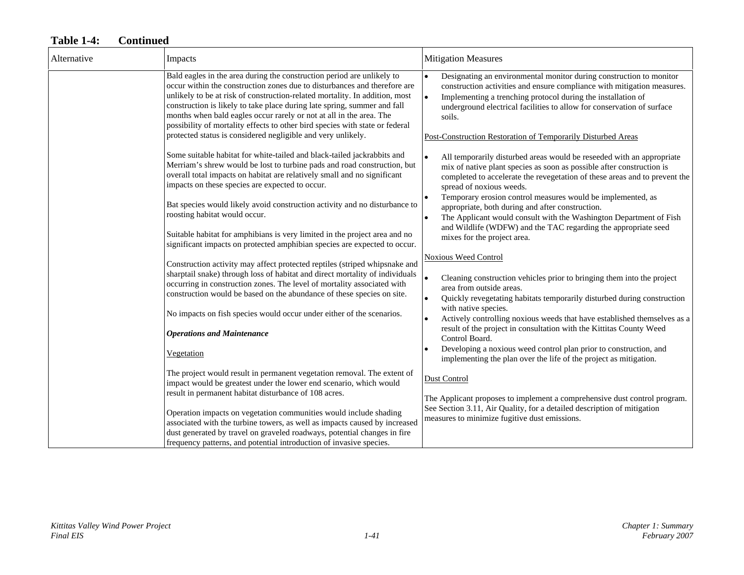| Alternative | Impacts                                                                                                                                                                                                                                                                                                                                                                                                                                                                                                                                                      | <b>Mitigation Measures</b>                                                                                                                                                                                                                                                                                                                                                                                                                                                                                                                                                   |
|-------------|--------------------------------------------------------------------------------------------------------------------------------------------------------------------------------------------------------------------------------------------------------------------------------------------------------------------------------------------------------------------------------------------------------------------------------------------------------------------------------------------------------------------------------------------------------------|------------------------------------------------------------------------------------------------------------------------------------------------------------------------------------------------------------------------------------------------------------------------------------------------------------------------------------------------------------------------------------------------------------------------------------------------------------------------------------------------------------------------------------------------------------------------------|
|             | Bald eagles in the area during the construction period are unlikely to<br>occur within the construction zones due to disturbances and therefore are<br>unlikely to be at risk of construction-related mortality. In addition, most<br>construction is likely to take place during late spring, summer and fall<br>months when bald eagles occur rarely or not at all in the area. The<br>possibility of mortality effects to other bird species with state or federal<br>protected status is considered negligible and very unlikely.                        | Designating an environmental monitor during construction to monitor<br>construction activities and ensure compliance with mitigation measures.<br>Implementing a trenching protocol during the installation of<br>$\bullet$<br>underground electrical facilities to allow for conservation of surface<br>soils.<br>Post-Construction Restoration of Temporarily Disturbed Areas                                                                                                                                                                                              |
|             | Some suitable habitat for white-tailed and black-tailed jackrabbits and<br>Merriam's shrew would be lost to turbine pads and road construction, but<br>overall total impacts on habitat are relatively small and no significant<br>impacts on these species are expected to occur.<br>Bat species would likely avoid construction activity and no disturbance to<br>roosting habitat would occur.<br>Suitable habitat for amphibians is very limited in the project area and no<br>significant impacts on protected amphibian species are expected to occur. | All temporarily disturbed areas would be reseeded with an appropriate<br>$\bullet$<br>mix of native plant species as soon as possible after construction is<br>completed to accelerate the revegetation of these areas and to prevent the<br>spread of noxious weeds.<br>Temporary erosion control measures would be implemented, as<br>appropriate, both during and after construction.<br>The Applicant would consult with the Washington Department of Fish<br>$\bullet$<br>and Wildlife (WDFW) and the TAC regarding the appropriate seed<br>mixes for the project area. |
|             | Construction activity may affect protected reptiles (striped whipsnake and<br>sharptail snake) through loss of habitat and direct mortality of individuals<br>occurring in construction zones. The level of mortality associated with<br>construction would be based on the abundance of these species on site.<br>No impacts on fish species would occur under either of the scenarios.<br><b>Operations and Maintenance</b><br>Vegetation                                                                                                                  | <b>Noxious Weed Control</b><br>Cleaning construction vehicles prior to bringing them into the project<br>area from outside areas.<br>Quickly revegetating habitats temporarily disturbed during construction<br>$\bullet$<br>with native species.<br>Actively controlling noxious weeds that have established themselves as a<br>result of the project in consultation with the Kittitas County Weed<br>Control Board.<br>Developing a noxious weed control plan prior to construction, and<br>implementing the plan over the life of the project as mitigation.             |
|             | The project would result in permanent vegetation removal. The extent of<br>impact would be greatest under the lower end scenario, which would<br>result in permanent habitat disturbance of 108 acres.<br>Operation impacts on vegetation communities would include shading<br>associated with the turbine towers, as well as impacts caused by increased<br>dust generated by travel on graveled roadways, potential changes in fire<br>frequency patterns, and potential introduction of invasive species.                                                 | <b>Dust Control</b><br>The Applicant proposes to implement a comprehensive dust control program.<br>See Section 3.11, Air Quality, for a detailed description of mitigation<br>measures to minimize fugitive dust emissions.                                                                                                                                                                                                                                                                                                                                                 |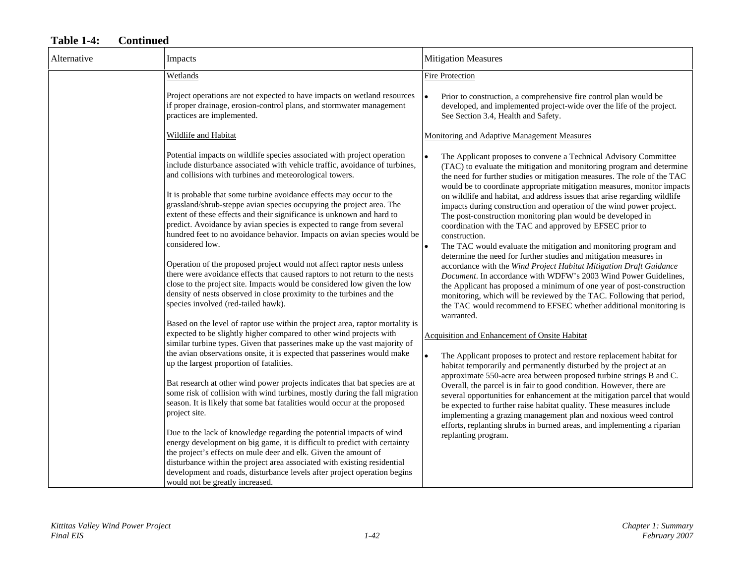| Alternative | Impacts                                                                                                                                                                                                                                                                                                                                                                                                                                                                                                                                                                                                                                                                                                                                                                                                                                                                                                                                                               | <b>Mitigation Measures</b>                                                                                                                                                                                                                                                                                                                                                                                                                                                                                                                                                                                                                                                                                                                                                                                                                                                                                                                                                                                                                                                                                               |
|-------------|-----------------------------------------------------------------------------------------------------------------------------------------------------------------------------------------------------------------------------------------------------------------------------------------------------------------------------------------------------------------------------------------------------------------------------------------------------------------------------------------------------------------------------------------------------------------------------------------------------------------------------------------------------------------------------------------------------------------------------------------------------------------------------------------------------------------------------------------------------------------------------------------------------------------------------------------------------------------------|--------------------------------------------------------------------------------------------------------------------------------------------------------------------------------------------------------------------------------------------------------------------------------------------------------------------------------------------------------------------------------------------------------------------------------------------------------------------------------------------------------------------------------------------------------------------------------------------------------------------------------------------------------------------------------------------------------------------------------------------------------------------------------------------------------------------------------------------------------------------------------------------------------------------------------------------------------------------------------------------------------------------------------------------------------------------------------------------------------------------------|
|             | Wetlands                                                                                                                                                                                                                                                                                                                                                                                                                                                                                                                                                                                                                                                                                                                                                                                                                                                                                                                                                              | Fire Protection                                                                                                                                                                                                                                                                                                                                                                                                                                                                                                                                                                                                                                                                                                                                                                                                                                                                                                                                                                                                                                                                                                          |
|             | Project operations are not expected to have impacts on wetland resources<br>if proper drainage, erosion-control plans, and stormwater management<br>practices are implemented.                                                                                                                                                                                                                                                                                                                                                                                                                                                                                                                                                                                                                                                                                                                                                                                        | Prior to construction, a comprehensive fire control plan would be<br>$\bullet$<br>developed, and implemented project-wide over the life of the project.<br>See Section 3.4, Health and Safety.                                                                                                                                                                                                                                                                                                                                                                                                                                                                                                                                                                                                                                                                                                                                                                                                                                                                                                                           |
|             | Wildlife and Habitat                                                                                                                                                                                                                                                                                                                                                                                                                                                                                                                                                                                                                                                                                                                                                                                                                                                                                                                                                  | Monitoring and Adaptive Management Measures                                                                                                                                                                                                                                                                                                                                                                                                                                                                                                                                                                                                                                                                                                                                                                                                                                                                                                                                                                                                                                                                              |
|             | Potential impacts on wildlife species associated with project operation<br>include disturbance associated with vehicle traffic, avoidance of turbines,<br>and collisions with turbines and meteorological towers.<br>It is probable that some turbine avoidance effects may occur to the<br>grassland/shrub-steppe avian species occupying the project area. The<br>extent of these effects and their significance is unknown and hard to<br>predict. Avoidance by avian species is expected to range from several<br>hundred feet to no avoidance behavior. Impacts on avian species would be<br>considered low.<br>Operation of the proposed project would not affect raptor nests unless<br>there were avoidance effects that caused raptors to not return to the nests<br>close to the project site. Impacts would be considered low given the low<br>density of nests observed in close proximity to the turbines and the<br>species involved (red-tailed hawk). | The Applicant proposes to convene a Technical Advisory Committee<br>(TAC) to evaluate the mitigation and monitoring program and determine<br>the need for further studies or mitigation measures. The role of the TAC<br>would be to coordinate appropriate mitigation measures, monitor impacts<br>on wildlife and habitat, and address issues that arise regarding wildlife<br>impacts during construction and operation of the wind power project.<br>The post-construction monitoring plan would be developed in<br>coordination with the TAC and approved by EFSEC prior to<br>construction.<br>The TAC would evaluate the mitigation and monitoring program and<br>determine the need for further studies and mitigation measures in<br>accordance with the Wind Project Habitat Mitigation Draft Guidance<br>Document. In accordance with WDFW's 2003 Wind Power Guidelines,<br>the Applicant has proposed a minimum of one year of post-construction<br>monitoring, which will be reviewed by the TAC. Following that period,<br>the TAC would recommend to EFSEC whether additional monitoring is<br>warranted. |
|             | Based on the level of raptor use within the project area, raptor mortality is<br>expected to be slightly higher compared to other wind projects with<br>similar turbine types. Given that passerines make up the vast majority of<br>the avian observations onsite, it is expected that passerines would make<br>up the largest proportion of fatalities.<br>Bat research at other wind power projects indicates that bat species are at<br>some risk of collision with wind turbines, mostly during the fall migration<br>season. It is likely that some bat fatalities would occur at the proposed<br>project site.<br>Due to the lack of knowledge regarding the potential impacts of wind<br>energy development on big game, it is difficult to predict with certainty                                                                                                                                                                                            | Acquisition and Enhancement of Onsite Habitat<br>The Applicant proposes to protect and restore replacement habitat for<br>$\bullet$<br>habitat temporarily and permanently disturbed by the project at an<br>approximate 550-acre area between proposed turbine strings B and C.<br>Overall, the parcel is in fair to good condition. However, there are<br>several opportunities for enhancement at the mitigation parcel that would<br>be expected to further raise habitat quality. These measures include<br>implementing a grazing management plan and noxious weed control<br>efforts, replanting shrubs in burned areas, and implementing a riparian<br>replanting program.                                                                                                                                                                                                                                                                                                                                                                                                                                       |
|             | the project's effects on mule deer and elk. Given the amount of<br>disturbance within the project area associated with existing residential<br>development and roads, disturbance levels after project operation begins<br>would not be greatly increased.                                                                                                                                                                                                                                                                                                                                                                                                                                                                                                                                                                                                                                                                                                            |                                                                                                                                                                                                                                                                                                                                                                                                                                                                                                                                                                                                                                                                                                                                                                                                                                                                                                                                                                                                                                                                                                                          |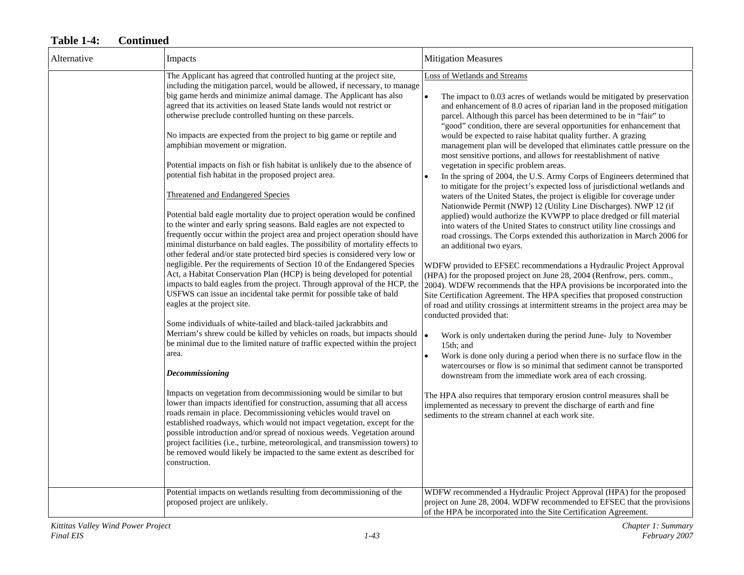| Alternative | Impacts                                                                                                                                                                                                                                                                                                                                                                                                                                                                                                                                                                                                                                                                                                                                                                                                                                                                                                                                                                                                                                                                                                                                                                                                                                                                                                                                                                                                                                                                                                                                                                                                                                                                                                                                                                                                                                                                                                                                                                                                                                                                                                                                                                                                                                                                                               | <b>Mitigation Measures</b>                                                                                                                                                                                                                                                                                                                                                                                                                                                                                                                                                                                                                                                                                                                                                                                                                                                                                                                                                                                                                                                                                                                                                                                                                                                                                                                                                                                                                                                                                                                                                                                                                                                                                                                                                                                                                                                                                                                                                                                                                                                                                                                                                    |
|-------------|-------------------------------------------------------------------------------------------------------------------------------------------------------------------------------------------------------------------------------------------------------------------------------------------------------------------------------------------------------------------------------------------------------------------------------------------------------------------------------------------------------------------------------------------------------------------------------------------------------------------------------------------------------------------------------------------------------------------------------------------------------------------------------------------------------------------------------------------------------------------------------------------------------------------------------------------------------------------------------------------------------------------------------------------------------------------------------------------------------------------------------------------------------------------------------------------------------------------------------------------------------------------------------------------------------------------------------------------------------------------------------------------------------------------------------------------------------------------------------------------------------------------------------------------------------------------------------------------------------------------------------------------------------------------------------------------------------------------------------------------------------------------------------------------------------------------------------------------------------------------------------------------------------------------------------------------------------------------------------------------------------------------------------------------------------------------------------------------------------------------------------------------------------------------------------------------------------------------------------------------------------------------------------------------------------|-------------------------------------------------------------------------------------------------------------------------------------------------------------------------------------------------------------------------------------------------------------------------------------------------------------------------------------------------------------------------------------------------------------------------------------------------------------------------------------------------------------------------------------------------------------------------------------------------------------------------------------------------------------------------------------------------------------------------------------------------------------------------------------------------------------------------------------------------------------------------------------------------------------------------------------------------------------------------------------------------------------------------------------------------------------------------------------------------------------------------------------------------------------------------------------------------------------------------------------------------------------------------------------------------------------------------------------------------------------------------------------------------------------------------------------------------------------------------------------------------------------------------------------------------------------------------------------------------------------------------------------------------------------------------------------------------------------------------------------------------------------------------------------------------------------------------------------------------------------------------------------------------------------------------------------------------------------------------------------------------------------------------------------------------------------------------------------------------------------------------------------------------------------------------------|
|             | The Applicant has agreed that controlled hunting at the project site,<br>including the mitigation parcel, would be allowed, if necessary, to manage<br>big game herds and minimize animal damage. The Applicant has also<br>agreed that its activities on leased State lands would not restrict or<br>otherwise preclude controlled hunting on these parcels.<br>No impacts are expected from the project to big game or reptile and<br>amphibian movement or migration.<br>Potential impacts on fish or fish habitat is unlikely due to the absence of<br>potential fish habitat in the proposed project area.<br>Threatened and Endangered Species<br>Potential bald eagle mortality due to project operation would be confined<br>to the winter and early spring seasons. Bald eagles are not expected to<br>frequently occur within the project area and project operation should have<br>minimal disturbance on bald eagles. The possibility of mortality effects to<br>other federal and/or state protected bird species is considered very low or<br>negligible. Per the requirements of Section 10 of the Endangered Species<br>Act, a Habitat Conservation Plan (HCP) is being developed for potential<br>impacts to bald eagles from the project. Through approval of the HCP, the<br>USFWS can issue an incidental take permit for possible take of bald<br>eagles at the project site.<br>Some individuals of white-tailed and black-tailed jackrabbits and<br>Merriam's shrew could be killed by vehicles on roads, but impacts should<br>be minimal due to the limited nature of traffic expected within the project<br>area.<br><b>Decommissioning</b><br>Impacts on vegetation from decommissioning would be similar to but<br>lower than impacts identified for construction, assuming that all access<br>roads remain in place. Decommissioning vehicles would travel on<br>established roadways, which would not impact vegetation, except for the<br>possible introduction and/or spread of noxious weeds. Vegetation around<br>project facilities (i.e., turbine, meteorological, and transmission towers) to<br>be removed would likely be impacted to the same extent as described for<br>construction.<br>Potential impacts on wetlands resulting from decommissioning of the | Loss of Wetlands and Streams<br>The impact to 0.03 acres of wetlands would be mitigated by preservation<br>and enhancement of 8.0 acres of riparian land in the proposed mitigation<br>parcel. Although this parcel has been determined to be in "fair" to<br>"good" condition, there are several opportunities for enhancement that<br>would be expected to raise habitat quality further. A grazing<br>management plan will be developed that eliminates cattle pressure on the<br>most sensitive portions, and allows for reestablishment of native<br>vegetation in specific problem areas.<br>In the spring of 2004, the U.S. Army Corps of Engineers determined that<br>to mitigate for the project's expected loss of jurisdictional wetlands and<br>waters of the United States, the project is eligible for coverage under<br>Nationwide Permit (NWP) 12 (Utility Line Discharges). NWP 12 (if<br>applied) would authorize the KVWPP to place dredged or fill material<br>into waters of the United States to construct utility line crossings and<br>road crossings. The Corps extended this authorization in March 2006 for<br>an additional two eyars.<br>WDFW provided to EFSEC recommendations a Hydraulic Project Approval<br>(HPA) for the proposed project on June 28, 2004 (Renfrow, pers. comm.,<br>2004). WDFW recommends that the HPA provisions be incorporated into the<br>Site Certification Agreement. The HPA specifies that proposed construction<br>of road and utility crossings at intermittent streams in the project area may be<br>conducted provided that:<br>Work is only undertaken during the period June- July to November<br>15th; and<br>Work is done only during a period when there is no surface flow in the<br>watercourses or flow is so minimal that sediment cannot be transported<br>downstream from the immediate work area of each crossing.<br>The HPA also requires that temporary erosion control measures shall be<br>implemented as necessary to prevent the discharge of earth and fine<br>sediments to the stream channel at each work site.<br>WDFW recommended a Hydraulic Project Approval (HPA) for the proposed |
|             | proposed project are unlikely.                                                                                                                                                                                                                                                                                                                                                                                                                                                                                                                                                                                                                                                                                                                                                                                                                                                                                                                                                                                                                                                                                                                                                                                                                                                                                                                                                                                                                                                                                                                                                                                                                                                                                                                                                                                                                                                                                                                                                                                                                                                                                                                                                                                                                                                                        | project on June 28, 2004. WDFW recommended to EFSEC that the provisions<br>of the HPA be incorporated into the Site Certification Agreement.                                                                                                                                                                                                                                                                                                                                                                                                                                                                                                                                                                                                                                                                                                                                                                                                                                                                                                                                                                                                                                                                                                                                                                                                                                                                                                                                                                                                                                                                                                                                                                                                                                                                                                                                                                                                                                                                                                                                                                                                                                  |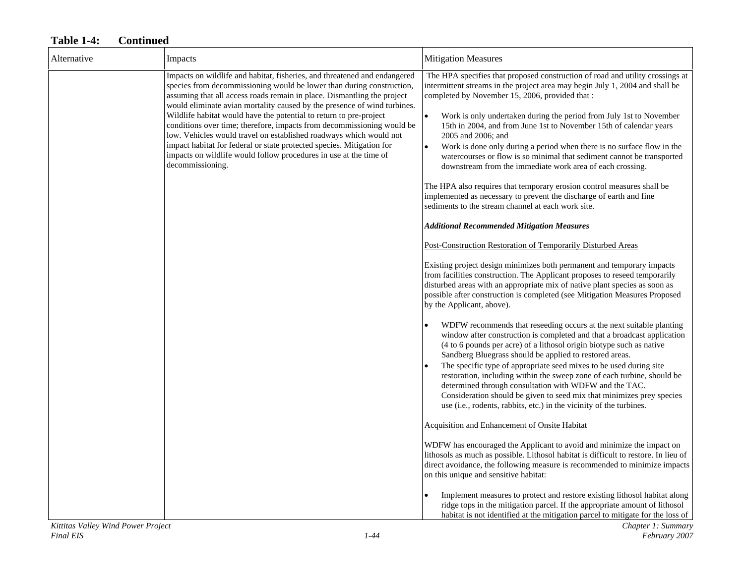| Alternative | Impacts                                                                                                                                                                                                                                                                                                                                                                                                                                                                                                                                                                                                                                                                                           | <b>Mitigation Measures</b>                                                                                                                                                                                                                                                                                                                                                                                                                                                                                                                                                                                                                                                                                                                                                                                                                                                                                                                                                                                                                                                                                                                                                                                                                                                                                                                                                                                                                                                                                                                                                                                                                                                                                                                                                                                                                                                                                                                                  |
|-------------|---------------------------------------------------------------------------------------------------------------------------------------------------------------------------------------------------------------------------------------------------------------------------------------------------------------------------------------------------------------------------------------------------------------------------------------------------------------------------------------------------------------------------------------------------------------------------------------------------------------------------------------------------------------------------------------------------|-------------------------------------------------------------------------------------------------------------------------------------------------------------------------------------------------------------------------------------------------------------------------------------------------------------------------------------------------------------------------------------------------------------------------------------------------------------------------------------------------------------------------------------------------------------------------------------------------------------------------------------------------------------------------------------------------------------------------------------------------------------------------------------------------------------------------------------------------------------------------------------------------------------------------------------------------------------------------------------------------------------------------------------------------------------------------------------------------------------------------------------------------------------------------------------------------------------------------------------------------------------------------------------------------------------------------------------------------------------------------------------------------------------------------------------------------------------------------------------------------------------------------------------------------------------------------------------------------------------------------------------------------------------------------------------------------------------------------------------------------------------------------------------------------------------------------------------------------------------------------------------------------------------------------------------------------------------|
|             | Impacts on wildlife and habitat, fisheries, and threatened and endangered<br>species from decommissioning would be lower than during construction,<br>assuming that all access roads remain in place. Dismantling the project<br>would eliminate avian mortality caused by the presence of wind turbines.<br>Wildlife habitat would have the potential to return to pre-project<br>conditions over time; therefore, impacts from decommissioning would be<br>low. Vehicles would travel on established roadways which would not<br>impact habitat for federal or state protected species. Mitigation for<br>impacts on wildlife would follow procedures in use at the time of<br>decommissioning. | The HPA specifies that proposed construction of road and utility crossings at<br>intermittent streams in the project area may begin July 1, 2004 and shall be<br>completed by November 15, 2006, provided that :<br>$\bullet$<br>Work is only undertaken during the period from July 1st to November<br>15th in 2004, and from June 1st to November 15th of calendar years<br>2005 and 2006; and<br>Work is done only during a period when there is no surface flow in the<br>$\bullet$<br>watercourses or flow is so minimal that sediment cannot be transported<br>downstream from the immediate work area of each crossing.<br>The HPA also requires that temporary erosion control measures shall be<br>implemented as necessary to prevent the discharge of earth and fine<br>sediments to the stream channel at each work site.<br><b>Additional Recommended Mitigation Measures</b><br>Post-Construction Restoration of Temporarily Disturbed Areas<br>Existing project design minimizes both permanent and temporary impacts<br>from facilities construction. The Applicant proposes to reseed temporarily<br>disturbed areas with an appropriate mix of native plant species as soon as<br>possible after construction is completed (see Mitigation Measures Proposed<br>by the Applicant, above).<br>WDFW recommends that reseeding occurs at the next suitable planting<br>window after construction is completed and that a broadcast application<br>(4 to 6 pounds per acre) of a lithosol origin biotype such as native<br>Sandberg Bluegrass should be applied to restored areas.<br>The specific type of appropriate seed mixes to be used during site<br>restoration, including within the sweep zone of each turbine, should be<br>determined through consultation with WDFW and the TAC.<br>Consideration should be given to seed mix that minimizes prey species<br>use (i.e., rodents, rabbits, etc.) in the vicinity of the turbines. |
|             |                                                                                                                                                                                                                                                                                                                                                                                                                                                                                                                                                                                                                                                                                                   | Acquisition and Enhancement of Onsite Habitat                                                                                                                                                                                                                                                                                                                                                                                                                                                                                                                                                                                                                                                                                                                                                                                                                                                                                                                                                                                                                                                                                                                                                                                                                                                                                                                                                                                                                                                                                                                                                                                                                                                                                                                                                                                                                                                                                                               |
|             |                                                                                                                                                                                                                                                                                                                                                                                                                                                                                                                                                                                                                                                                                                   | WDFW has encouraged the Applicant to avoid and minimize the impact on<br>lithosols as much as possible. Lithosol habitat is difficult to restore. In lieu of<br>direct avoidance, the following measure is recommended to minimize impacts<br>on this unique and sensitive habitat:                                                                                                                                                                                                                                                                                                                                                                                                                                                                                                                                                                                                                                                                                                                                                                                                                                                                                                                                                                                                                                                                                                                                                                                                                                                                                                                                                                                                                                                                                                                                                                                                                                                                         |
|             |                                                                                                                                                                                                                                                                                                                                                                                                                                                                                                                                                                                                                                                                                                   | Implement measures to protect and restore existing lithosol habitat along<br>ridge tops in the mitigation parcel. If the appropriate amount of lithosol<br>habitat is not identified at the mitigation parcel to mitigate for the loss of                                                                                                                                                                                                                                                                                                                                                                                                                                                                                                                                                                                                                                                                                                                                                                                                                                                                                                                                                                                                                                                                                                                                                                                                                                                                                                                                                                                                                                                                                                                                                                                                                                                                                                                   |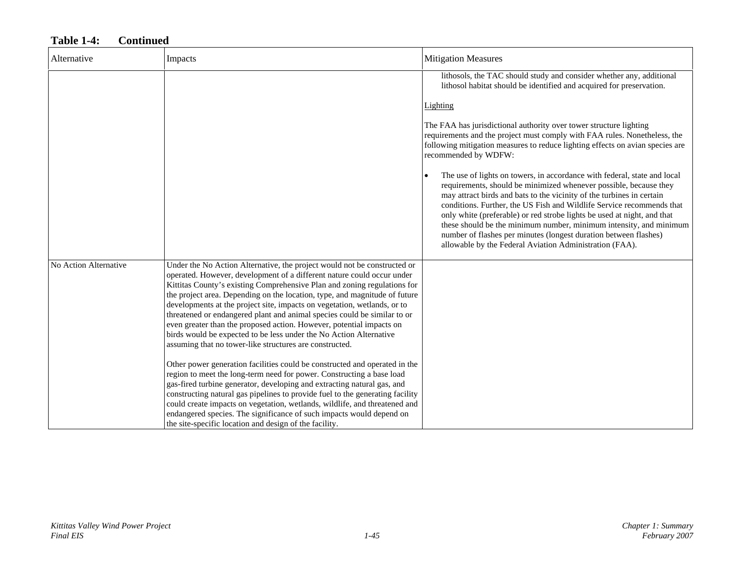| Alternative           | Impacts                                                                                                                                                                                                                                                                                                                                                                                                                                                                                                                                                                                                                                                                       | <b>Mitigation Measures</b>                                                                                                                                                                                                                                                                                                                                                                                                                                                                                                                                                      |
|-----------------------|-------------------------------------------------------------------------------------------------------------------------------------------------------------------------------------------------------------------------------------------------------------------------------------------------------------------------------------------------------------------------------------------------------------------------------------------------------------------------------------------------------------------------------------------------------------------------------------------------------------------------------------------------------------------------------|---------------------------------------------------------------------------------------------------------------------------------------------------------------------------------------------------------------------------------------------------------------------------------------------------------------------------------------------------------------------------------------------------------------------------------------------------------------------------------------------------------------------------------------------------------------------------------|
|                       |                                                                                                                                                                                                                                                                                                                                                                                                                                                                                                                                                                                                                                                                               | lithosols, the TAC should study and consider whether any, additional<br>lithosol habitat should be identified and acquired for preservation.                                                                                                                                                                                                                                                                                                                                                                                                                                    |
|                       |                                                                                                                                                                                                                                                                                                                                                                                                                                                                                                                                                                                                                                                                               | Lighting                                                                                                                                                                                                                                                                                                                                                                                                                                                                                                                                                                        |
|                       |                                                                                                                                                                                                                                                                                                                                                                                                                                                                                                                                                                                                                                                                               | The FAA has jurisdictional authority over tower structure lighting<br>requirements and the project must comply with FAA rules. Nonetheless, the<br>following mitigation measures to reduce lighting effects on avian species are<br>recommended by WDFW:                                                                                                                                                                                                                                                                                                                        |
|                       |                                                                                                                                                                                                                                                                                                                                                                                                                                                                                                                                                                                                                                                                               | The use of lights on towers, in accordance with federal, state and local<br>requirements, should be minimized whenever possible, because they<br>may attract birds and bats to the vicinity of the turbines in certain<br>conditions. Further, the US Fish and Wildlife Service recommends that<br>only white (preferable) or red strobe lights be used at night, and that<br>these should be the minimum number, minimum intensity, and minimum<br>number of flashes per minutes (longest duration between flashes)<br>allowable by the Federal Aviation Administration (FAA). |
| No Action Alternative | Under the No Action Alternative, the project would not be constructed or<br>operated. However, development of a different nature could occur under<br>Kittitas County's existing Comprehensive Plan and zoning regulations for<br>the project area. Depending on the location, type, and magnitude of future<br>developments at the project site, impacts on vegetation, wetlands, or to<br>threatened or endangered plant and animal species could be similar to or<br>even greater than the proposed action. However, potential impacts on<br>birds would be expected to be less under the No Action Alternative<br>assuming that no tower-like structures are constructed. |                                                                                                                                                                                                                                                                                                                                                                                                                                                                                                                                                                                 |
|                       | Other power generation facilities could be constructed and operated in the<br>region to meet the long-term need for power. Constructing a base load<br>gas-fired turbine generator, developing and extracting natural gas, and<br>constructing natural gas pipelines to provide fuel to the generating facility<br>could create impacts on vegetation, wetlands, wildlife, and threatened and<br>endangered species. The significance of such impacts would depend on<br>the site-specific location and design of the facility.                                                                                                                                               |                                                                                                                                                                                                                                                                                                                                                                                                                                                                                                                                                                                 |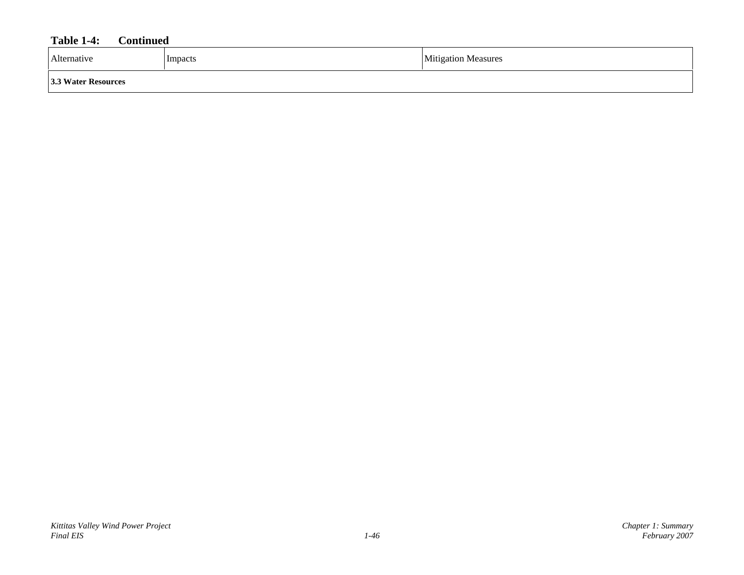| Alternative         | Impacts | <b>Mitigation Measures</b> |
|---------------------|---------|----------------------------|
| 3.3 Water Resources |         |                            |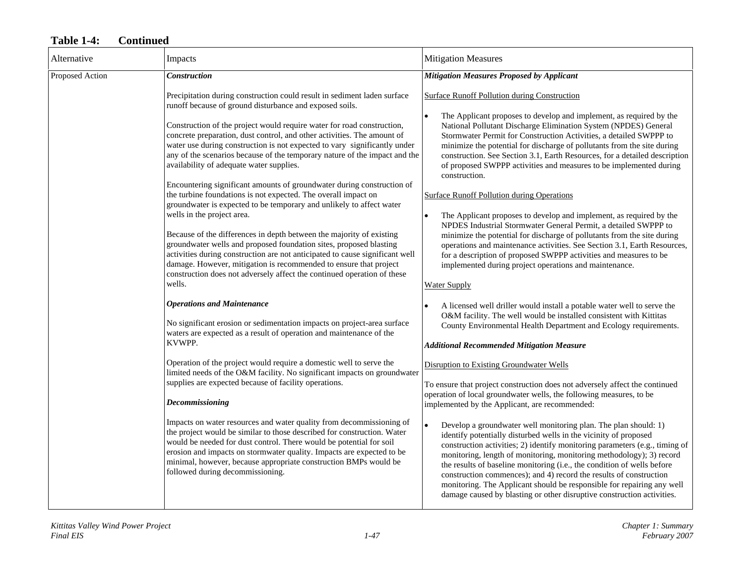| Alternative     | Impacts                                                                                                                                                                                                                                                                                                                                                                                                                            | <b>Mitigation Measures</b>                                                                                                                                                                                                                                                                                                                                                                                                                                                                                                                                                                                   |
|-----------------|------------------------------------------------------------------------------------------------------------------------------------------------------------------------------------------------------------------------------------------------------------------------------------------------------------------------------------------------------------------------------------------------------------------------------------|--------------------------------------------------------------------------------------------------------------------------------------------------------------------------------------------------------------------------------------------------------------------------------------------------------------------------------------------------------------------------------------------------------------------------------------------------------------------------------------------------------------------------------------------------------------------------------------------------------------|
| Proposed Action | <b>Construction</b>                                                                                                                                                                                                                                                                                                                                                                                                                | <b>Mitigation Measures Proposed by Applicant</b>                                                                                                                                                                                                                                                                                                                                                                                                                                                                                                                                                             |
|                 | Precipitation during construction could result in sediment laden surface<br>runoff because of ground disturbance and exposed soils.                                                                                                                                                                                                                                                                                                | <b>Surface Runoff Pollution during Construction</b>                                                                                                                                                                                                                                                                                                                                                                                                                                                                                                                                                          |
|                 | Construction of the project would require water for road construction,<br>concrete preparation, dust control, and other activities. The amount of<br>water use during construction is not expected to vary significantly under<br>any of the scenarios because of the temporary nature of the impact and the<br>availability of adequate water supplies.<br>Encountering significant amounts of groundwater during construction of | The Applicant proposes to develop and implement, as required by the<br>National Pollutant Discharge Elimination System (NPDES) General<br>Stormwater Permit for Construction Activities, a detailed SWPPP to<br>minimize the potential for discharge of pollutants from the site during<br>construction. See Section 3.1, Earth Resources, for a detailed description<br>of proposed SWPPP activities and measures to be implemented during<br>construction.                                                                                                                                                 |
|                 | the turbine foundations is not expected. The overall impact on<br>groundwater is expected to be temporary and unlikely to affect water                                                                                                                                                                                                                                                                                             | <b>Surface Runoff Pollution during Operations</b>                                                                                                                                                                                                                                                                                                                                                                                                                                                                                                                                                            |
|                 | wells in the project area.<br>Because of the differences in depth between the majority of existing<br>groundwater wells and proposed foundation sites, proposed blasting<br>activities during construction are not anticipated to cause significant well<br>damage. However, mitigation is recommended to ensure that project<br>construction does not adversely affect the continued operation of these<br>wells.                 | The Applicant proposes to develop and implement, as required by the<br>NPDES Industrial Stormwater General Permit, a detailed SWPPP to<br>minimize the potential for discharge of pollutants from the site during<br>operations and maintenance activities. See Section 3.1, Earth Resources,<br>for a description of proposed SWPPP activities and measures to be<br>implemented during project operations and maintenance.<br><b>Water Supply</b>                                                                                                                                                          |
|                 | <b>Operations and Maintenance</b>                                                                                                                                                                                                                                                                                                                                                                                                  | A licensed well driller would install a potable water well to serve the                                                                                                                                                                                                                                                                                                                                                                                                                                                                                                                                      |
|                 | No significant erosion or sedimentation impacts on project-area surface<br>waters are expected as a result of operation and maintenance of the                                                                                                                                                                                                                                                                                     | O&M facility. The well would be installed consistent with Kittitas<br>County Environmental Health Department and Ecology requirements.                                                                                                                                                                                                                                                                                                                                                                                                                                                                       |
|                 | KVWPP.                                                                                                                                                                                                                                                                                                                                                                                                                             | <b>Additional Recommended Mitigation Measure</b>                                                                                                                                                                                                                                                                                                                                                                                                                                                                                                                                                             |
|                 | Operation of the project would require a domestic well to serve the<br>limited needs of the O&M facility. No significant impacts on groundwater                                                                                                                                                                                                                                                                                    | <b>Disruption to Existing Groundwater Wells</b>                                                                                                                                                                                                                                                                                                                                                                                                                                                                                                                                                              |
|                 | supplies are expected because of facility operations.<br><b>Decommissioning</b>                                                                                                                                                                                                                                                                                                                                                    | To ensure that project construction does not adversely affect the continued<br>operation of local groundwater wells, the following measures, to be<br>implemented by the Applicant, are recommended:                                                                                                                                                                                                                                                                                                                                                                                                         |
|                 | Impacts on water resources and water quality from decommissioning of<br>the project would be similar to those described for construction. Water<br>would be needed for dust control. There would be potential for soil<br>erosion and impacts on stormwater quality. Impacts are expected to be<br>minimal, however, because appropriate construction BMPs would be<br>followed during decommissioning.                            | $\bullet$<br>Develop a groundwater well monitoring plan. The plan should: 1)<br>identify potentially disturbed wells in the vicinity of proposed<br>construction activities; 2) identify monitoring parameters (e.g., timing of<br>monitoring, length of monitoring, monitoring methodology); 3) record<br>the results of baseline monitoring (i.e., the condition of wells before<br>construction commences); and 4) record the results of construction<br>monitoring. The Applicant should be responsible for repairing any well<br>damage caused by blasting or other disruptive construction activities. |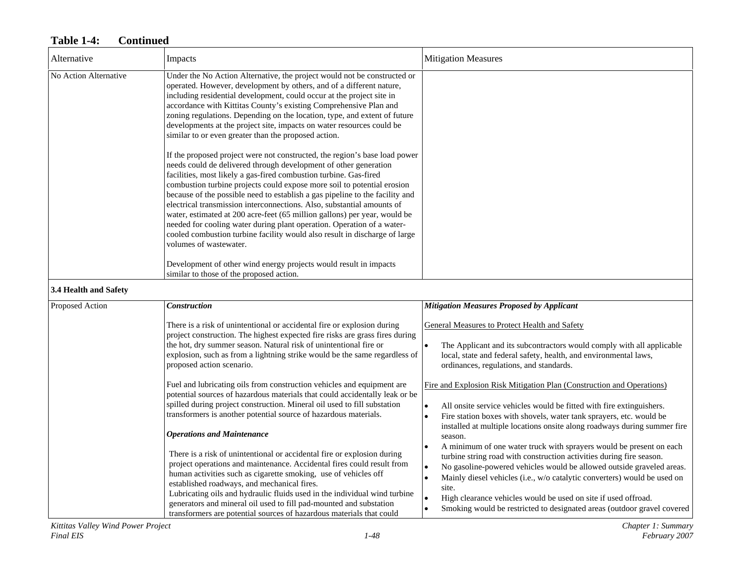| Alternative           | Impacts                                                                                                                                                                                                                                                                                                                                                                                                                                                                                                                                                                                                                                                                                                                 | <b>Mitigation Measures</b>                                                                                                                                                                                                                                                                                                                                                                                                                                                                    |
|-----------------------|-------------------------------------------------------------------------------------------------------------------------------------------------------------------------------------------------------------------------------------------------------------------------------------------------------------------------------------------------------------------------------------------------------------------------------------------------------------------------------------------------------------------------------------------------------------------------------------------------------------------------------------------------------------------------------------------------------------------------|-----------------------------------------------------------------------------------------------------------------------------------------------------------------------------------------------------------------------------------------------------------------------------------------------------------------------------------------------------------------------------------------------------------------------------------------------------------------------------------------------|
| No Action Alternative | Under the No Action Alternative, the project would not be constructed or<br>operated. However, development by others, and of a different nature,<br>including residential development, could occur at the project site in<br>accordance with Kittitas County's existing Comprehensive Plan and<br>zoning regulations. Depending on the location, type, and extent of future<br>developments at the project site, impacts on water resources could be<br>similar to or even greater than the proposed action.                                                                                                                                                                                                            |                                                                                                                                                                                                                                                                                                                                                                                                                                                                                               |
|                       | If the proposed project were not constructed, the region's base load power<br>needs could de delivered through development of other generation<br>facilities, most likely a gas-fired combustion turbine. Gas-fired<br>combustion turbine projects could expose more soil to potential erosion<br>because of the possible need to establish a gas pipeline to the facility and<br>electrical transmission interconnections. Also, substantial amounts of<br>water, estimated at 200 acre-feet (65 million gallons) per year, would be<br>needed for cooling water during plant operation. Operation of a water-<br>cooled combustion turbine facility would also result in discharge of large<br>volumes of wastewater. |                                                                                                                                                                                                                                                                                                                                                                                                                                                                                               |
|                       | Development of other wind energy projects would result in impacts<br>similar to those of the proposed action.                                                                                                                                                                                                                                                                                                                                                                                                                                                                                                                                                                                                           |                                                                                                                                                                                                                                                                                                                                                                                                                                                                                               |
| 3.4 Health and Safety |                                                                                                                                                                                                                                                                                                                                                                                                                                                                                                                                                                                                                                                                                                                         |                                                                                                                                                                                                                                                                                                                                                                                                                                                                                               |
| Proposed Action       | <b>Construction</b>                                                                                                                                                                                                                                                                                                                                                                                                                                                                                                                                                                                                                                                                                                     | <b>Mitigation Measures Proposed by Applicant</b>                                                                                                                                                                                                                                                                                                                                                                                                                                              |
|                       | There is a risk of unintentional or accidental fire or explosion during<br>project construction. The highest expected fire risks are grass fires during<br>the hot, dry summer season. Natural risk of unintentional fire or<br>explosion, such as from a lightning strike would be the same regardless of<br>proposed action scenario.                                                                                                                                                                                                                                                                                                                                                                                 | <b>General Measures to Protect Health and Safety</b><br>The Applicant and its subcontractors would comply with all applicable<br>$\bullet$<br>local, state and federal safety, health, and environmental laws,<br>ordinances, regulations, and standards.                                                                                                                                                                                                                                     |
|                       | Fuel and lubricating oils from construction vehicles and equipment are<br>potential sources of hazardous materials that could accidentally leak or be<br>spilled during project construction. Mineral oil used to fill substation<br>transformers is another potential source of hazardous materials.<br><b>Operations and Maintenance</b>                                                                                                                                                                                                                                                                                                                                                                              | Fire and Explosion Risk Mitigation Plan (Construction and Operations)<br>All onsite service vehicles would be fitted with fire extinguishers.<br>$\bullet$<br>$\bullet$<br>Fire station boxes with shovels, water tank sprayers, etc. would be<br>installed at multiple locations onsite along roadways during summer fire<br>season.                                                                                                                                                         |
|                       | There is a risk of unintentional or accidental fire or explosion during<br>project operations and maintenance. Accidental fires could result from<br>human activities such as cigarette smoking, use of vehicles off<br>established roadways, and mechanical fires.<br>Lubricating oils and hydraulic fluids used in the individual wind turbine<br>generators and mineral oil used to fill pad-mounted and substation<br>transformers are potential sources of hazardous materials that could                                                                                                                                                                                                                          | A minimum of one water truck with sprayers would be present on each<br>$\bullet$<br>turbine string road with construction activities during fire season.<br>No gasoline-powered vehicles would be allowed outside graveled areas.<br>$\bullet$<br>Mainly diesel vehicles (i.e., w/o catalytic converters) would be used on<br>$\bullet$<br>site.<br>High clearance vehicles would be used on site if used offroad.<br>Smoking would be restricted to designated areas (outdoor gravel covered |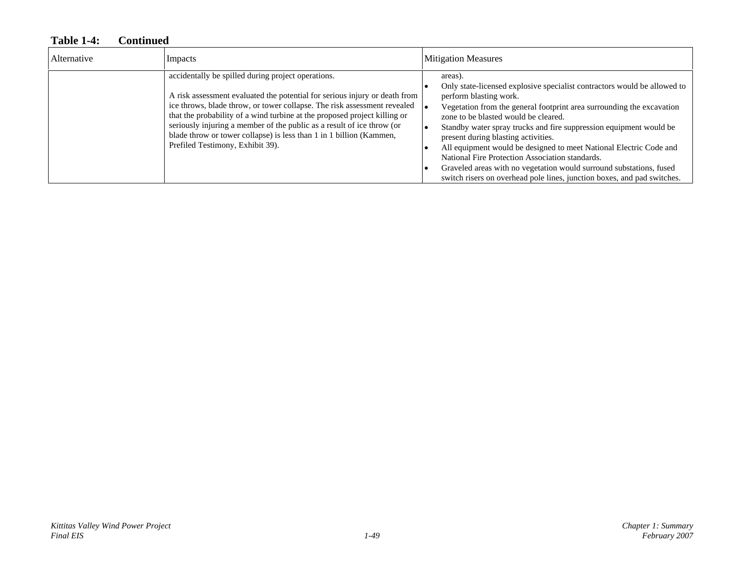| Alternative | Impacts                                                                                                                                                                                                                                                                                                                                                                                                                                                                        | <b>Mitigation Measures</b>                                                                                                                                                                                                                                                                                                                                                                                                                                                                                                                                                                                             |
|-------------|--------------------------------------------------------------------------------------------------------------------------------------------------------------------------------------------------------------------------------------------------------------------------------------------------------------------------------------------------------------------------------------------------------------------------------------------------------------------------------|------------------------------------------------------------------------------------------------------------------------------------------------------------------------------------------------------------------------------------------------------------------------------------------------------------------------------------------------------------------------------------------------------------------------------------------------------------------------------------------------------------------------------------------------------------------------------------------------------------------------|
|             | accidentally be spilled during project operations.<br>A risk assessment evaluated the potential for serious injury or death from<br>ice throws, blade throw, or tower collapse. The risk assessment revealed<br>that the probability of a wind turbine at the proposed project killing or<br>seriously injuring a member of the public as a result of ice throw (or<br>blade throw or tower collapse) is less than 1 in 1 billion (Kammen,<br>Prefiled Testimony, Exhibit 39). | areas).<br>Only state-licensed explosive specialist contractors would be allowed to<br>perform blasting work.<br>Vegetation from the general footprint area surrounding the excavation<br>zone to be blasted would be cleared.<br>Standby water spray trucks and fire suppression equipment would be<br>present during blasting activities.<br>All equipment would be designed to meet National Electric Code and<br>National Fire Protection Association standards.<br>Graveled areas with no vegetation would surround substations, fused<br>switch risers on overhead pole lines, junction boxes, and pad switches. |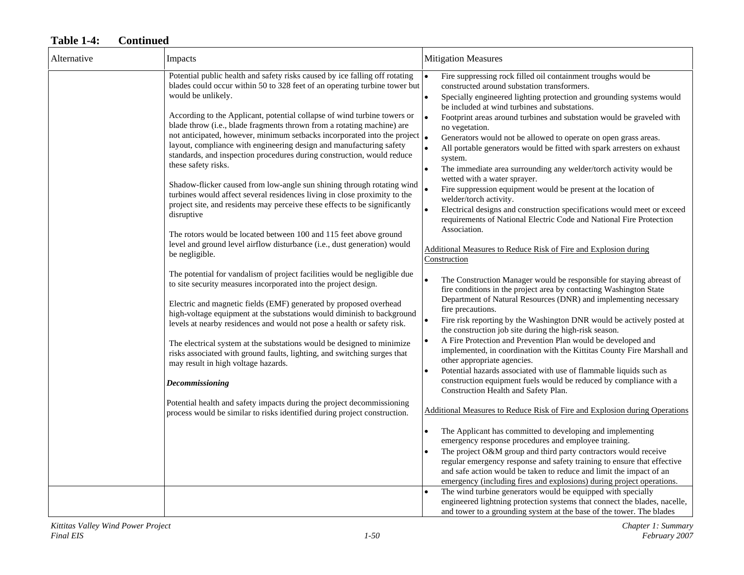| Alternative | Impacts                                                                                                                                                                                                                                                                                                                                                                                                                                                                                                                                                                                                                                                                                                                                                                                                                                                                                                                                                                                                                                                                                                                                                                                                                                                                                                                                                                                                                                                                                                                                                                                                                                                                                                                                                                            | <b>Mitigation Measures</b>                                                                                                                                                                                                                                                                                                                                                                                                                                                                                                                                                                                                                                                                                                                                                                                                                                                                                                                                                                                                                                                                                                                                                                                                                                                                                                                                                                                                                                                                                                                                                                                                                                                                                                                                                                                                                                                                                                                                                                                                                                                                                                                                                                                                                                                                                    |
|-------------|------------------------------------------------------------------------------------------------------------------------------------------------------------------------------------------------------------------------------------------------------------------------------------------------------------------------------------------------------------------------------------------------------------------------------------------------------------------------------------------------------------------------------------------------------------------------------------------------------------------------------------------------------------------------------------------------------------------------------------------------------------------------------------------------------------------------------------------------------------------------------------------------------------------------------------------------------------------------------------------------------------------------------------------------------------------------------------------------------------------------------------------------------------------------------------------------------------------------------------------------------------------------------------------------------------------------------------------------------------------------------------------------------------------------------------------------------------------------------------------------------------------------------------------------------------------------------------------------------------------------------------------------------------------------------------------------------------------------------------------------------------------------------------|---------------------------------------------------------------------------------------------------------------------------------------------------------------------------------------------------------------------------------------------------------------------------------------------------------------------------------------------------------------------------------------------------------------------------------------------------------------------------------------------------------------------------------------------------------------------------------------------------------------------------------------------------------------------------------------------------------------------------------------------------------------------------------------------------------------------------------------------------------------------------------------------------------------------------------------------------------------------------------------------------------------------------------------------------------------------------------------------------------------------------------------------------------------------------------------------------------------------------------------------------------------------------------------------------------------------------------------------------------------------------------------------------------------------------------------------------------------------------------------------------------------------------------------------------------------------------------------------------------------------------------------------------------------------------------------------------------------------------------------------------------------------------------------------------------------------------------------------------------------------------------------------------------------------------------------------------------------------------------------------------------------------------------------------------------------------------------------------------------------------------------------------------------------------------------------------------------------------------------------------------------------------------------------------------------------|
|             | Potential public health and safety risks caused by ice falling off rotating<br>blades could occur within 50 to 328 feet of an operating turbine tower but<br>would be unlikely.<br>According to the Applicant, potential collapse of wind turbine towers or<br>blade throw (i.e., blade fragments thrown from a rotating machine) are<br>not anticipated, however, minimum setbacks incorporated into the project $\vert_{\bullet}$<br>layout, compliance with engineering design and manufacturing safety<br>standards, and inspection procedures during construction, would reduce<br>these safety risks.<br>Shadow-flicker caused from low-angle sun shining through rotating wind<br>turbines would affect several residences living in close proximity to the<br>project site, and residents may perceive these effects to be significantly<br>disruptive<br>The rotors would be located between 100 and 115 feet above ground<br>level and ground level airflow disturbance (i.e., dust generation) would<br>be negligible.<br>The potential for vandalism of project facilities would be negligible due<br>to site security measures incorporated into the project design.<br>Electric and magnetic fields (EMF) generated by proposed overhead<br>high-voltage equipment at the substations would diminish to background<br>levels at nearby residences and would not pose a health or safety risk.<br>The electrical system at the substations would be designed to minimize<br>risks associated with ground faults, lighting, and switching surges that<br>may result in high voltage hazards.<br>Decommissioning<br>Potential health and safety impacts during the project decommissioning<br>process would be similar to risks identified during project construction. | Fire suppressing rock filled oil containment troughs would be<br>constructed around substation transformers.<br>Specially engineered lighting protection and grounding systems would<br>$\bullet$<br>be included at wind turbines and substations.<br>Footprint areas around turbines and substation would be graveled with<br>no vegetation.<br>Generators would not be allowed to operate on open grass areas.<br>All portable generators would be fitted with spark arresters on exhaust<br>system.<br>The immediate area surrounding any welder/torch activity would be<br>$\bullet$<br>wetted with a water sprayer.<br>Fire suppression equipment would be present at the location of<br>welder/torch activity.<br>Electrical designs and construction specifications would meet or exceed<br>requirements of National Electric Code and National Fire Protection<br>Association.<br>Additional Measures to Reduce Risk of Fire and Explosion during<br>Construction<br>The Construction Manager would be responsible for staying abreast of<br>fire conditions in the project area by contacting Washington State<br>Department of Natural Resources (DNR) and implementing necessary<br>fire precautions.<br>Fire risk reporting by the Washington DNR would be actively posted at<br>$\bullet$<br>the construction job site during the high-risk season.<br>A Fire Protection and Prevention Plan would be developed and<br>$\bullet$<br>implemented, in coordination with the Kittitas County Fire Marshall and<br>other appropriate agencies.<br>Potential hazards associated with use of flammable liquids such as<br>construction equipment fuels would be reduced by compliance with a<br>Construction Health and Safety Plan.<br>Additional Measures to Reduce Risk of Fire and Explosion during Operations<br>The Applicant has committed to developing and implementing<br>emergency response procedures and employee training.<br>The project O&M group and third party contractors would receive<br>regular emergency response and safety training to ensure that effective<br>and safe action would be taken to reduce and limit the impact of an<br>emergency (including fires and explosions) during project operations.<br>The wind turbine generators would be equipped with specially |
|             |                                                                                                                                                                                                                                                                                                                                                                                                                                                                                                                                                                                                                                                                                                                                                                                                                                                                                                                                                                                                                                                                                                                                                                                                                                                                                                                                                                                                                                                                                                                                                                                                                                                                                                                                                                                    | engineered lightning protection systems that connect the blades, nacelle,<br>and tower to a grounding system at the base of the tower. The blades                                                                                                                                                                                                                                                                                                                                                                                                                                                                                                                                                                                                                                                                                                                                                                                                                                                                                                                                                                                                                                                                                                                                                                                                                                                                                                                                                                                                                                                                                                                                                                                                                                                                                                                                                                                                                                                                                                                                                                                                                                                                                                                                                             |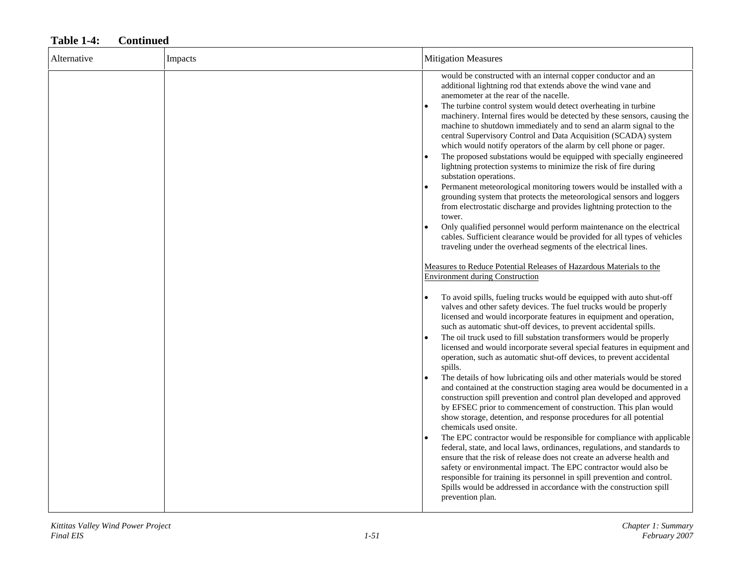| Alternative | Impacts | <b>Mitigation Measures</b>                                                                                                                                                                                                                                                                                                                                                                                                                                                                                                                                                                                                                                                                                                                                                                                                                                                                                                                                                                                                                                                                                                                                                                                                                                                                                                                                                                                |
|-------------|---------|-----------------------------------------------------------------------------------------------------------------------------------------------------------------------------------------------------------------------------------------------------------------------------------------------------------------------------------------------------------------------------------------------------------------------------------------------------------------------------------------------------------------------------------------------------------------------------------------------------------------------------------------------------------------------------------------------------------------------------------------------------------------------------------------------------------------------------------------------------------------------------------------------------------------------------------------------------------------------------------------------------------------------------------------------------------------------------------------------------------------------------------------------------------------------------------------------------------------------------------------------------------------------------------------------------------------------------------------------------------------------------------------------------------|
|             |         | would be constructed with an internal copper conductor and an<br>additional lightning rod that extends above the wind vane and<br>anemometer at the rear of the nacelle.<br>The turbine control system would detect overheating in turbine<br>$\bullet$<br>machinery. Internal fires would be detected by these sensors, causing the<br>machine to shutdown immediately and to send an alarm signal to the<br>central Supervisory Control and Data Acquisition (SCADA) system<br>which would notify operators of the alarm by cell phone or pager.<br>The proposed substations would be equipped with specially engineered<br>lightning protection systems to minimize the risk of fire during<br>substation operations.<br>Permanent meteorological monitoring towers would be installed with a<br>grounding system that protects the meteorological sensors and loggers<br>from electrostatic discharge and provides lightning protection to the<br>tower.<br>Only qualified personnel would perform maintenance on the electrical<br>cables. Sufficient clearance would be provided for all types of vehicles<br>traveling under the overhead segments of the electrical lines.                                                                                                                                                                                                                        |
|             |         | Measures to Reduce Potential Releases of Hazardous Materials to the                                                                                                                                                                                                                                                                                                                                                                                                                                                                                                                                                                                                                                                                                                                                                                                                                                                                                                                                                                                                                                                                                                                                                                                                                                                                                                                                       |
|             |         | <b>Environment during Construction</b>                                                                                                                                                                                                                                                                                                                                                                                                                                                                                                                                                                                                                                                                                                                                                                                                                                                                                                                                                                                                                                                                                                                                                                                                                                                                                                                                                                    |
|             |         | To avoid spills, fueling trucks would be equipped with auto shut-off<br>valves and other safety devices. The fuel trucks would be properly<br>licensed and would incorporate features in equipment and operation,<br>such as automatic shut-off devices, to prevent accidental spills.<br>The oil truck used to fill substation transformers would be properly<br>licensed and would incorporate several special features in equipment and<br>operation, such as automatic shut-off devices, to prevent accidental<br>spills.<br>The details of how lubricating oils and other materials would be stored<br>and contained at the construction staging area would be documented in a<br>construction spill prevention and control plan developed and approved<br>by EFSEC prior to commencement of construction. This plan would<br>show storage, detention, and response procedures for all potential<br>chemicals used onsite.<br>The EPC contractor would be responsible for compliance with applicable<br>federal, state, and local laws, ordinances, regulations, and standards to<br>ensure that the risk of release does not create an adverse health and<br>safety or environmental impact. The EPC contractor would also be<br>responsible for training its personnel in spill prevention and control.<br>Spills would be addressed in accordance with the construction spill<br>prevention plan. |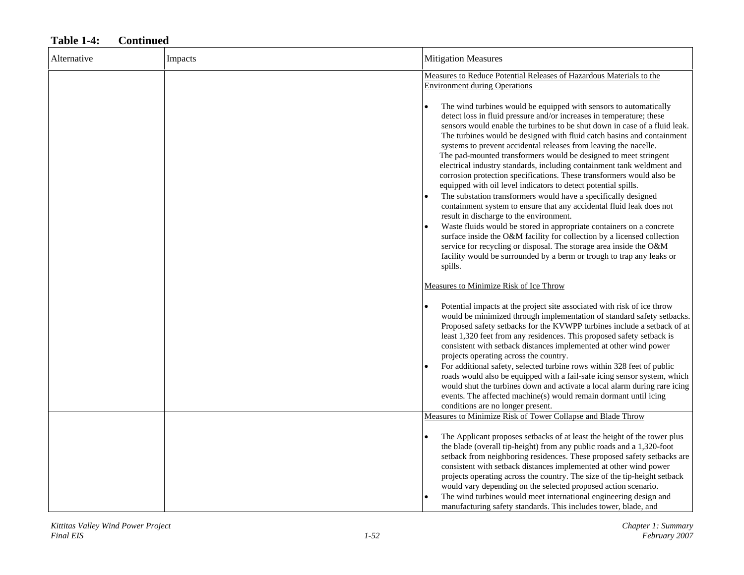#### Alternative Impacts **Impacts** Impacts **Impacts** Alternative **Impacts** Alternative **Impacts Impacts Impacts Impacts Impacts Impacts Impacts Impacts Impacts Impacts Impacts Impacts Impacts Impacts** Measures to Reduce Potential Releases of Hazardous Materials to the Environment during Operations • The wind turbines would be equipped with sensors to automatically detect loss in fluid pressure and/or increases in temperature; these sensors would enable the turbines to be shut down in case of a fluid leak. The turbines would be designed with fluid catch basins and containment systems to prevent accidental releases from leaving the nacelle. The pad-mounted transformers would be designed to meet stringent electrical industry standards, including containment tank weldment and corrosion protection specifications. These transformers would also be equipped with oil level indicators to detect potential spills. • The substation transformers would have a specifically designed containment system to ensure that any accidental fluid leak does not result in discharge to the environment. • Waste fluids would be stored in appropriate containers on a concrete surface inside the O&M facility for collection by a licensed collection service for recycling or disposal. The storage area inside the O&M facility would be surrounded by a berm or trough to trap any leaks or spills. Measures to Minimize Risk of Ice Throw• Potential impacts at the project site associated with risk of ice throw would be minimized through implementation of standard safety setbacks. Proposed safety setbacks for the KVWPP turbines include a setback of at least 1,320 feet from any residences. This proposed safety setback is consistent with setback distances implemented at other wind power projects operating across the country. • For additional safety, selected turbine rows within 328 feet of public roads would also be equipped with a fail-safe icing sensor system, which would shut the turbines down and activate a local alarm during rare icing events. The affected machine(s) would remain dormant until icing conditions are no longer present. Measures to Minimize Risk of Tower Collapse and Blade Throw • The Applicant proposes setbacks of at least the height of the tower plus the blade (overall tip-height) from any public roads and a 1,320-foot setback from neighboring residences. These proposed safety setbacks are consistent with setback distances implemented at other wind power projects operating across the country. The size of the tip-height setback would vary depending on the selected proposed action scenario. • The wind turbines would meet international engineering design and manufacturing safety standards. This includes tower, blade, and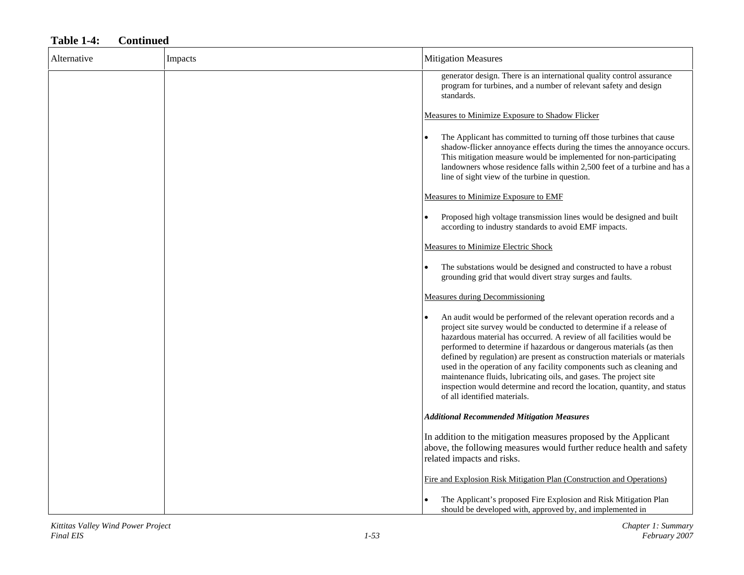| Alternative | Impacts | <b>Mitigation Measures</b>                                                                                                                                                                                                                                                                                                                                                                                                                                                                                                                                                                                                       |
|-------------|---------|----------------------------------------------------------------------------------------------------------------------------------------------------------------------------------------------------------------------------------------------------------------------------------------------------------------------------------------------------------------------------------------------------------------------------------------------------------------------------------------------------------------------------------------------------------------------------------------------------------------------------------|
|             |         | generator design. There is an international quality control assurance<br>program for turbines, and a number of relevant safety and design<br>standards.                                                                                                                                                                                                                                                                                                                                                                                                                                                                          |
|             |         | Measures to Minimize Exposure to Shadow Flicker                                                                                                                                                                                                                                                                                                                                                                                                                                                                                                                                                                                  |
|             |         | The Applicant has committed to turning off those turbines that cause<br>shadow-flicker annoyance effects during the times the annoyance occurs.<br>This mitigation measure would be implemented for non-participating<br>landowners whose residence falls within 2,500 feet of a turbine and has a<br>line of sight view of the turbine in question.                                                                                                                                                                                                                                                                             |
|             |         | Measures to Minimize Exposure to EMF                                                                                                                                                                                                                                                                                                                                                                                                                                                                                                                                                                                             |
|             |         | Proposed high voltage transmission lines would be designed and built<br>according to industry standards to avoid EMF impacts.                                                                                                                                                                                                                                                                                                                                                                                                                                                                                                    |
|             |         | <b>Measures to Minimize Electric Shock</b>                                                                                                                                                                                                                                                                                                                                                                                                                                                                                                                                                                                       |
|             |         | The substations would be designed and constructed to have a robust<br>grounding grid that would divert stray surges and faults.                                                                                                                                                                                                                                                                                                                                                                                                                                                                                                  |
|             |         | <b>Measures during Decommissioning</b>                                                                                                                                                                                                                                                                                                                                                                                                                                                                                                                                                                                           |
|             |         | An audit would be performed of the relevant operation records and a<br>project site survey would be conducted to determine if a release of<br>hazardous material has occurred. A review of all facilities would be<br>performed to determine if hazardous or dangerous materials (as then<br>defined by regulation) are present as construction materials or materials<br>used in the operation of any facility components such as cleaning and<br>maintenance fluids, lubricating oils, and gases. The project site<br>inspection would determine and record the location, quantity, and status<br>of all identified materials. |
|             |         | <b>Additional Recommended Mitigation Measures</b>                                                                                                                                                                                                                                                                                                                                                                                                                                                                                                                                                                                |
|             |         | In addition to the mitigation measures proposed by the Applicant<br>above, the following measures would further reduce health and safety<br>related impacts and risks.                                                                                                                                                                                                                                                                                                                                                                                                                                                           |
|             |         | Fire and Explosion Risk Mitigation Plan (Construction and Operations)                                                                                                                                                                                                                                                                                                                                                                                                                                                                                                                                                            |
|             |         | The Applicant's proposed Fire Explosion and Risk Mitigation Plan<br>should be developed with, approved by, and implemented in                                                                                                                                                                                                                                                                                                                                                                                                                                                                                                    |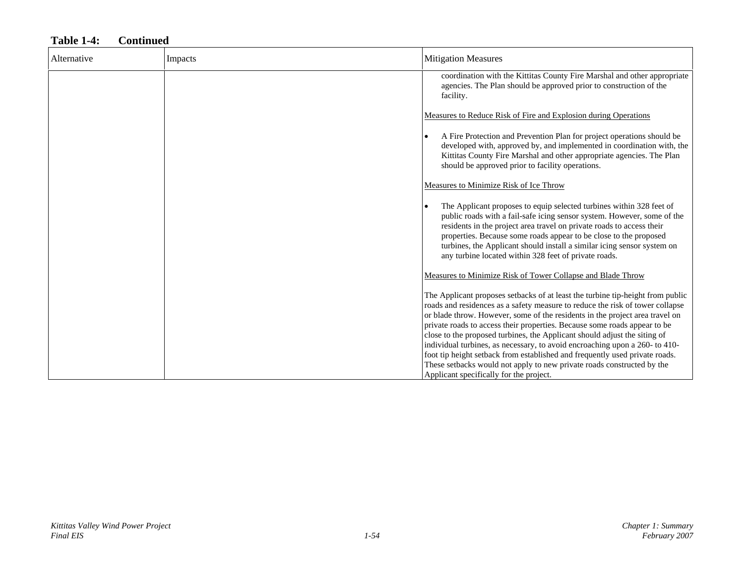# Alternative Impacts Mitigation Measures coordination with the Kittitas County Fire Marshal and other appropriate agencies. The Plan should be approved prior to construction of the facility. Measures to Reduce Risk of Fire and Explosion during Operations • A Fire Protection and Prevention Plan for project operations should be developed with, approved by, and implemented in coordination with, the Kittitas County Fire Marshal and other appropriate agencies. The Plan should be approved prior to facility operations. Measures to Minimize Risk of Ice Throw • The Applicant proposes to equip selected turbines within 328 feet of public roads with a fail-safe icing sensor system. However, some of the residents in the project area travel on private roads to access their properties. Because some roads appear to be close to the proposed turbines, the Applicant should install a similar icing sensor system on any turbine located within 328 feet of private roads. Measures to Minimize Risk of Tower Collapse and Blade Throw The Applicant proposes setbacks of at least the turbine tip-height from public roads and residences as a safety measure to reduce the risk of tower collapse or blade throw. However, some of the residents in the project area travel on private roads to access their properties. Because some roads appear to be close to the proposed turbines, the Applicant should adjust the siting of individual turbines, as necessary, to avoid encroaching upon a 260- to 410 foot tip height setback from established and frequently used private roads. These setbacks would not apply to new private roads constructed by the Applicant specifically for the project.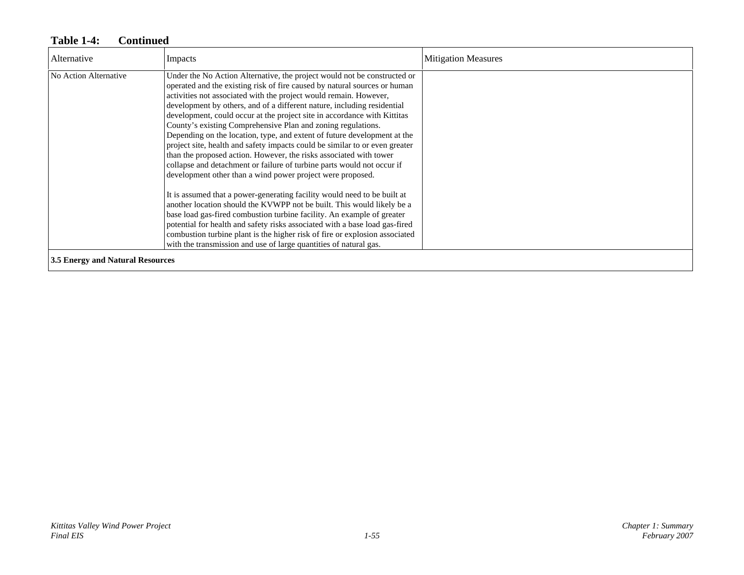| Alternative                      | Impacts                                                                                                                                                                                                                                                                                                                                                                                                                                                                                                                                                                                                                                                                                                                                                                                                                                                                                                                                                                                                                                                                                                                                   | <b>Mitigation Measures</b> |
|----------------------------------|-------------------------------------------------------------------------------------------------------------------------------------------------------------------------------------------------------------------------------------------------------------------------------------------------------------------------------------------------------------------------------------------------------------------------------------------------------------------------------------------------------------------------------------------------------------------------------------------------------------------------------------------------------------------------------------------------------------------------------------------------------------------------------------------------------------------------------------------------------------------------------------------------------------------------------------------------------------------------------------------------------------------------------------------------------------------------------------------------------------------------------------------|----------------------------|
| No Action Alternative            | Under the No Action Alternative, the project would not be constructed or<br>operated and the existing risk of fire caused by natural sources or human<br>activities not associated with the project would remain. However,<br>development by others, and of a different nature, including residential<br>development, could occur at the project site in accordance with Kittitas<br>County's existing Comprehensive Plan and zoning regulations.<br>Depending on the location, type, and extent of future development at the<br>project site, health and safety impacts could be similar to or even greater<br>than the proposed action. However, the risks associated with tower<br>collapse and detachment or failure of turbine parts would not occur if<br>development other than a wind power project were proposed.<br>It is assumed that a power-generating facility would need to be built at<br>another location should the KVWPP not be built. This would likely be a<br>base load gas-fired combustion turbine facility. An example of greater<br>potential for health and safety risks associated with a base load gas-fired |                            |
|                                  | combustion turbine plant is the higher risk of fire or explosion associated<br>with the transmission and use of large quantities of natural gas.                                                                                                                                                                                                                                                                                                                                                                                                                                                                                                                                                                                                                                                                                                                                                                                                                                                                                                                                                                                          |                            |
| 3.5 Energy and Natural Resources |                                                                                                                                                                                                                                                                                                                                                                                                                                                                                                                                                                                                                                                                                                                                                                                                                                                                                                                                                                                                                                                                                                                                           |                            |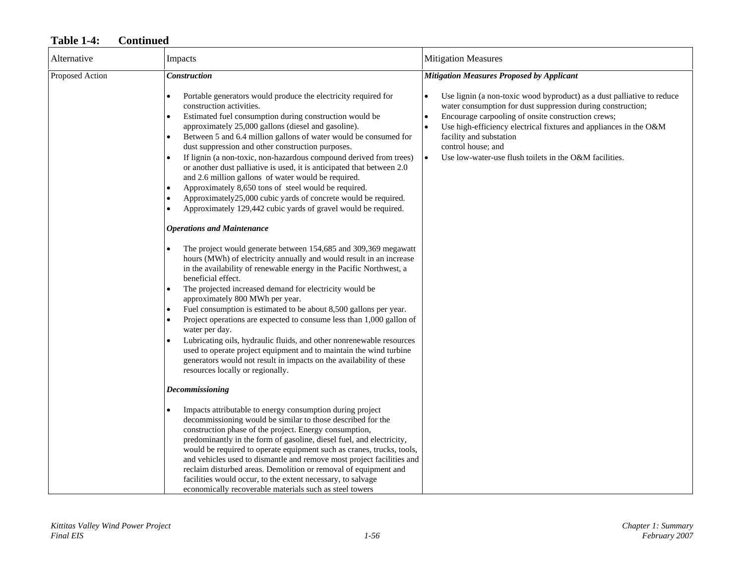| Alternative     | Impacts                                                                                                                                                                                                                                                                                                                                                                                                                                                                                                                                                                                                                                                                                                                                  | <b>Mitigation Measures</b>                                                                                                                                                                                                                                                                                                                                                               |
|-----------------|------------------------------------------------------------------------------------------------------------------------------------------------------------------------------------------------------------------------------------------------------------------------------------------------------------------------------------------------------------------------------------------------------------------------------------------------------------------------------------------------------------------------------------------------------------------------------------------------------------------------------------------------------------------------------------------------------------------------------------------|------------------------------------------------------------------------------------------------------------------------------------------------------------------------------------------------------------------------------------------------------------------------------------------------------------------------------------------------------------------------------------------|
| Proposed Action | <b>Construction</b>                                                                                                                                                                                                                                                                                                                                                                                                                                                                                                                                                                                                                                                                                                                      | <b>Mitigation Measures Proposed by Applicant</b>                                                                                                                                                                                                                                                                                                                                         |
|                 | Portable generators would produce the electricity required for<br>construction activities.<br>Estimated fuel consumption during construction would be<br>approximately 25,000 gallons (diesel and gasoline).<br>Between 5 and 6.4 million gallons of water would be consumed for<br>dust suppression and other construction purposes.<br>If lignin (a non-toxic, non-hazardous compound derived from trees)<br>or another dust palliative is used, it is anticipated that between 2.0<br>and 2.6 million gallons of water would be required.<br>Approximately 8,650 tons of steel would be required.<br>Approximately25,000 cubic yards of concrete would be required.<br>Approximately 129,442 cubic yards of gravel would be required. | Use lignin (a non-toxic wood byproduct) as a dust palliative to reduce<br>water consumption for dust suppression during construction;<br>Encourage carpooling of onsite construction crews;<br>$\bullet$<br>Use high-efficiency electrical fixtures and appliances in the O&M<br>facility and substation<br>control house; and<br>Use low-water-use flush toilets in the O&M facilities. |
|                 | <b>Operations and Maintenance</b>                                                                                                                                                                                                                                                                                                                                                                                                                                                                                                                                                                                                                                                                                                        |                                                                                                                                                                                                                                                                                                                                                                                          |
|                 | The project would generate between 154,685 and 309,369 megawatt<br>hours (MWh) of electricity annually and would result in an increase<br>in the availability of renewable energy in the Pacific Northwest, a<br>beneficial effect.                                                                                                                                                                                                                                                                                                                                                                                                                                                                                                      |                                                                                                                                                                                                                                                                                                                                                                                          |
|                 | The projected increased demand for electricity would be<br>approximately 800 MWh per year.                                                                                                                                                                                                                                                                                                                                                                                                                                                                                                                                                                                                                                               |                                                                                                                                                                                                                                                                                                                                                                                          |
|                 | Fuel consumption is estimated to be about 8,500 gallons per year.<br>Project operations are expected to consume less than 1,000 gallon of<br>water per day.                                                                                                                                                                                                                                                                                                                                                                                                                                                                                                                                                                              |                                                                                                                                                                                                                                                                                                                                                                                          |
|                 | Lubricating oils, hydraulic fluids, and other nonrenewable resources<br>used to operate project equipment and to maintain the wind turbine<br>generators would not result in impacts on the availability of these<br>resources locally or regionally.                                                                                                                                                                                                                                                                                                                                                                                                                                                                                    |                                                                                                                                                                                                                                                                                                                                                                                          |
|                 | <b>Decommissioning</b>                                                                                                                                                                                                                                                                                                                                                                                                                                                                                                                                                                                                                                                                                                                   |                                                                                                                                                                                                                                                                                                                                                                                          |
|                 | Impacts attributable to energy consumption during project<br>decommissioning would be similar to those described for the<br>construction phase of the project. Energy consumption,<br>predominantly in the form of gasoline, diesel fuel, and electricity,<br>would be required to operate equipment such as cranes, trucks, tools,<br>and vehicles used to dismantle and remove most project facilities and<br>reclaim disturbed areas. Demolition or removal of equipment and<br>facilities would occur, to the extent necessary, to salvage<br>economically recoverable materials such as steel towers                                                                                                                                |                                                                                                                                                                                                                                                                                                                                                                                          |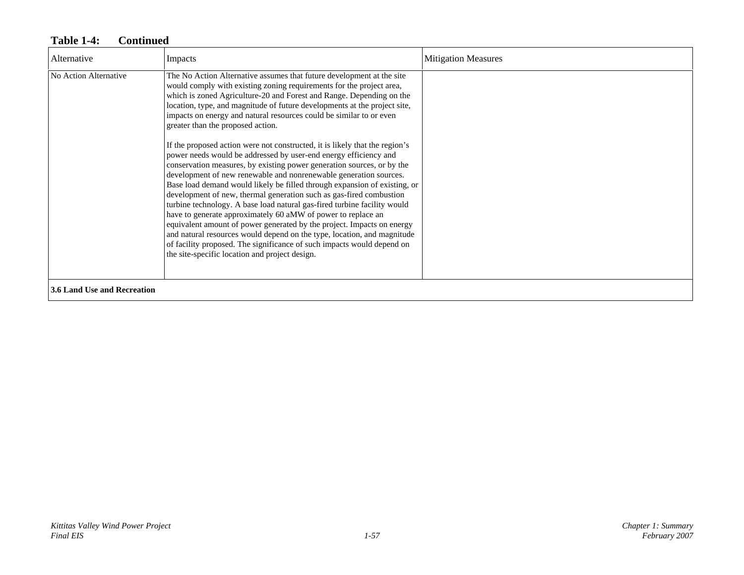| Alternative                        | Impacts                                                                                                                                                                                                                                                                                                                                                                                                                                                                                                                                                                                                                                                                                                                                                                                                                                                                                                                                                                                                                                                                                                                                                                                                                                                                                           | <b>Mitigation Measures</b> |
|------------------------------------|---------------------------------------------------------------------------------------------------------------------------------------------------------------------------------------------------------------------------------------------------------------------------------------------------------------------------------------------------------------------------------------------------------------------------------------------------------------------------------------------------------------------------------------------------------------------------------------------------------------------------------------------------------------------------------------------------------------------------------------------------------------------------------------------------------------------------------------------------------------------------------------------------------------------------------------------------------------------------------------------------------------------------------------------------------------------------------------------------------------------------------------------------------------------------------------------------------------------------------------------------------------------------------------------------|----------------------------|
| No Action Alternative              | The No Action Alternative assumes that future development at the site<br>would comply with existing zoning requirements for the project area,<br>which is zoned Agriculture-20 and Forest and Range. Depending on the<br>location, type, and magnitude of future developments at the project site,<br>impacts on energy and natural resources could be similar to or even<br>greater than the proposed action.<br>If the proposed action were not constructed, it is likely that the region's<br>power needs would be addressed by user-end energy efficiency and<br>conservation measures, by existing power generation sources, or by the<br>development of new renewable and nonrenewable generation sources.<br>Base load demand would likely be filled through expansion of existing, or<br>development of new, thermal generation such as gas-fired combustion<br>turbine technology. A base load natural gas-fired turbine facility would<br>have to generate approximately 60 aMW of power to replace an<br>equivalent amount of power generated by the project. Impacts on energy<br>and natural resources would depend on the type, location, and magnitude<br>of facility proposed. The significance of such impacts would depend on<br>the site-specific location and project design. |                            |
| <b>3.6 Land Use and Recreation</b> |                                                                                                                                                                                                                                                                                                                                                                                                                                                                                                                                                                                                                                                                                                                                                                                                                                                                                                                                                                                                                                                                                                                                                                                                                                                                                                   |                            |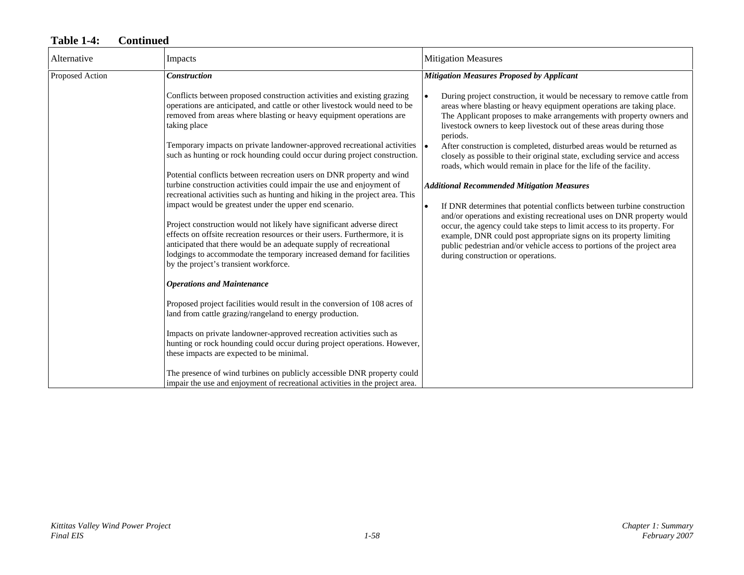| Alternative     | Impacts                                                                                                                                                                                                                                                                                                                                     | <b>Mitigation Measures</b>                                                                                                                                                                                                                                                                                 |
|-----------------|---------------------------------------------------------------------------------------------------------------------------------------------------------------------------------------------------------------------------------------------------------------------------------------------------------------------------------------------|------------------------------------------------------------------------------------------------------------------------------------------------------------------------------------------------------------------------------------------------------------------------------------------------------------|
| Proposed Action | <b>Construction</b>                                                                                                                                                                                                                                                                                                                         | <b>Mitigation Measures Proposed by Applicant</b>                                                                                                                                                                                                                                                           |
|                 | Conflicts between proposed construction activities and existing grazing<br>operations are anticipated, and cattle or other livestock would need to be<br>removed from areas where blasting or heavy equipment operations are<br>taking place                                                                                                | During project construction, it would be necessary to remove cattle from<br>areas where blasting or heavy equipment operations are taking place.<br>The Applicant proposes to make arrangements with property owners and<br>livestock owners to keep livestock out of these areas during those<br>periods. |
|                 | Temporary impacts on private landowner-approved recreational activities<br>such as hunting or rock hounding could occur during project construction.                                                                                                                                                                                        | After construction is completed, disturbed areas would be returned as<br>closely as possible to their original state, excluding service and access<br>roads, which would remain in place for the life of the facility.                                                                                     |
|                 | Potential conflicts between recreation users on DNR property and wind<br>turbine construction activities could impair the use and enjoyment of                                                                                                                                                                                              | <b>Additional Recommended Mitigation Measures</b>                                                                                                                                                                                                                                                          |
|                 | recreational activities such as hunting and hiking in the project area. This<br>impact would be greatest under the upper end scenario.                                                                                                                                                                                                      | If DNR determines that potential conflicts between turbine construction<br>$\bullet$<br>and/or operations and existing recreational uses on DNR property would                                                                                                                                             |
|                 | Project construction would not likely have significant adverse direct<br>effects on offsite recreation resources or their users. Furthermore, it is<br>anticipated that there would be an adequate supply of recreational<br>lodgings to accommodate the temporary increased demand for facilities<br>by the project's transient workforce. | occur, the agency could take steps to limit access to its property. For<br>example, DNR could post appropriate signs on its property limiting<br>public pedestrian and/or vehicle access to portions of the project area<br>during construction or operations.                                             |
|                 | <b>Operations and Maintenance</b>                                                                                                                                                                                                                                                                                                           |                                                                                                                                                                                                                                                                                                            |
|                 | Proposed project facilities would result in the conversion of 108 acres of<br>land from cattle grazing/rangeland to energy production.                                                                                                                                                                                                      |                                                                                                                                                                                                                                                                                                            |
|                 | Impacts on private landowner-approved recreation activities such as<br>hunting or rock hounding could occur during project operations. However,<br>these impacts are expected to be minimal.                                                                                                                                                |                                                                                                                                                                                                                                                                                                            |
|                 | The presence of wind turbines on publicly accessible DNR property could<br>impair the use and enjoyment of recreational activities in the project area.                                                                                                                                                                                     |                                                                                                                                                                                                                                                                                                            |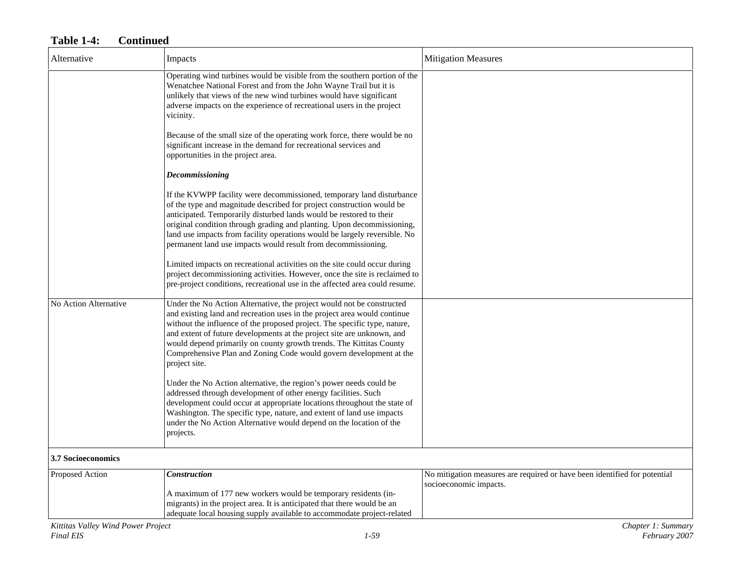| Alternative               | Impacts                                                                                                                                                                                                                                                                                                                                                                                                                                                                | <b>Mitigation Measures</b>                                                                          |
|---------------------------|------------------------------------------------------------------------------------------------------------------------------------------------------------------------------------------------------------------------------------------------------------------------------------------------------------------------------------------------------------------------------------------------------------------------------------------------------------------------|-----------------------------------------------------------------------------------------------------|
|                           | Operating wind turbines would be visible from the southern portion of the<br>Wenatchee National Forest and from the John Wayne Trail but it is<br>unlikely that views of the new wind turbines would have significant<br>adverse impacts on the experience of recreational users in the project<br>vicinity.                                                                                                                                                           |                                                                                                     |
|                           | Because of the small size of the operating work force, there would be no<br>significant increase in the demand for recreational services and<br>opportunities in the project area.                                                                                                                                                                                                                                                                                     |                                                                                                     |
|                           | Decommissioning                                                                                                                                                                                                                                                                                                                                                                                                                                                        |                                                                                                     |
|                           | If the KVWPP facility were decommissioned, temporary land disturbance<br>of the type and magnitude described for project construction would be<br>anticipated. Temporarily disturbed lands would be restored to their<br>original condition through grading and planting. Upon decommissioning,<br>land use impacts from facility operations would be largely reversible. No<br>permanent land use impacts would result from decommissioning.                          |                                                                                                     |
|                           | Limited impacts on recreational activities on the site could occur during<br>project decommissioning activities. However, once the site is reclaimed to<br>pre-project conditions, recreational use in the affected area could resume.                                                                                                                                                                                                                                 |                                                                                                     |
| No Action Alternative     | Under the No Action Alternative, the project would not be constructed<br>and existing land and recreation uses in the project area would continue<br>without the influence of the proposed project. The specific type, nature,<br>and extent of future developments at the project site are unknown, and<br>would depend primarily on county growth trends. The Kittitas County<br>Comprehensive Plan and Zoning Code would govern development at the<br>project site. |                                                                                                     |
|                           | Under the No Action alternative, the region's power needs could be<br>addressed through development of other energy facilities. Such<br>development could occur at appropriate locations throughout the state of<br>Washington. The specific type, nature, and extent of land use impacts<br>under the No Action Alternative would depend on the location of the<br>projects.                                                                                          |                                                                                                     |
| <b>3.7 Socioeconomics</b> |                                                                                                                                                                                                                                                                                                                                                                                                                                                                        |                                                                                                     |
| Proposed Action           | <b>Construction</b>                                                                                                                                                                                                                                                                                                                                                                                                                                                    | No mitigation measures are required or have been identified for potential<br>socioeconomic impacts. |
|                           | A maximum of 177 new workers would be temporary residents (in-<br>migrants) in the project area. It is anticipated that there would be an<br>adequate local housing supply available to accommodate project-related                                                                                                                                                                                                                                                    |                                                                                                     |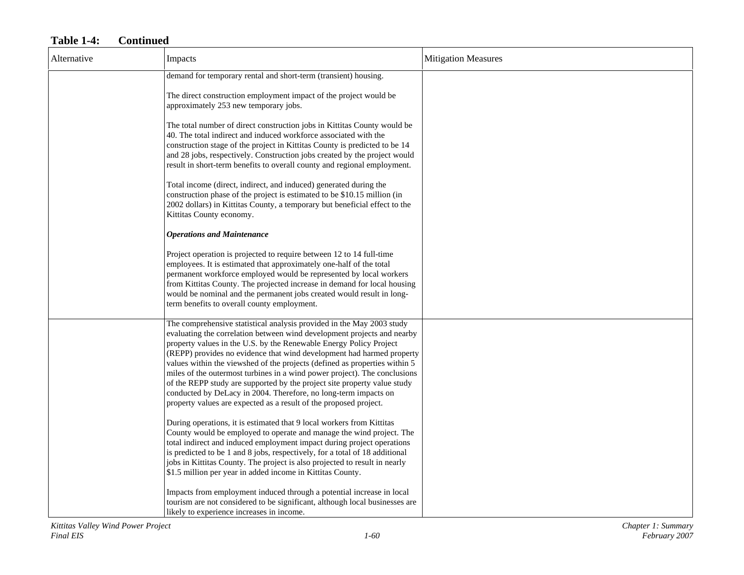| Alternative | Impacts                                                                                                                                                                                                                                                                                                                                                                                                                                                                                                                                                                                                                                                                        | <b>Mitigation Measures</b> |
|-------------|--------------------------------------------------------------------------------------------------------------------------------------------------------------------------------------------------------------------------------------------------------------------------------------------------------------------------------------------------------------------------------------------------------------------------------------------------------------------------------------------------------------------------------------------------------------------------------------------------------------------------------------------------------------------------------|----------------------------|
|             | demand for temporary rental and short-term (transient) housing.                                                                                                                                                                                                                                                                                                                                                                                                                                                                                                                                                                                                                |                            |
|             | The direct construction employment impact of the project would be<br>approximately 253 new temporary jobs.                                                                                                                                                                                                                                                                                                                                                                                                                                                                                                                                                                     |                            |
|             | The total number of direct construction jobs in Kittitas County would be<br>40. The total indirect and induced workforce associated with the<br>construction stage of the project in Kittitas County is predicted to be 14<br>and 28 jobs, respectively. Construction jobs created by the project would<br>result in short-term benefits to overall county and regional employment.                                                                                                                                                                                                                                                                                            |                            |
|             | Total income (direct, indirect, and induced) generated during the<br>construction phase of the project is estimated to be \$10.15 million (in<br>2002 dollars) in Kittitas County, a temporary but beneficial effect to the<br>Kittitas County economy.                                                                                                                                                                                                                                                                                                                                                                                                                        |                            |
|             | <b>Operations and Maintenance</b>                                                                                                                                                                                                                                                                                                                                                                                                                                                                                                                                                                                                                                              |                            |
|             | Project operation is projected to require between 12 to 14 full-time<br>employees. It is estimated that approximately one-half of the total<br>permanent workforce employed would be represented by local workers<br>from Kittitas County. The projected increase in demand for local housing<br>would be nominal and the permanent jobs created would result in long-<br>term benefits to overall county employment.                                                                                                                                                                                                                                                          |                            |
|             | The comprehensive statistical analysis provided in the May 2003 study<br>evaluating the correlation between wind development projects and nearby<br>property values in the U.S. by the Renewable Energy Policy Project<br>(REPP) provides no evidence that wind development had harmed property<br>values within the viewshed of the projects (defined as properties within 5<br>miles of the outermost turbines in a wind power project). The conclusions<br>of the REPP study are supported by the project site property value study<br>conducted by DeLacy in 2004. Therefore, no long-term impacts on<br>property values are expected as a result of the proposed project. |                            |
|             | During operations, it is estimated that 9 local workers from Kittitas<br>County would be employed to operate and manage the wind project. The<br>total indirect and induced employment impact during project operations<br>is predicted to be 1 and 8 jobs, respectively, for a total of 18 additional<br>jobs in Kittitas County. The project is also projected to result in nearly<br>\$1.5 million per year in added income in Kittitas County.                                                                                                                                                                                                                             |                            |
|             | Impacts from employment induced through a potential increase in local<br>tourism are not considered to be significant, although local businesses are<br>likely to experience increases in income.                                                                                                                                                                                                                                                                                                                                                                                                                                                                              |                            |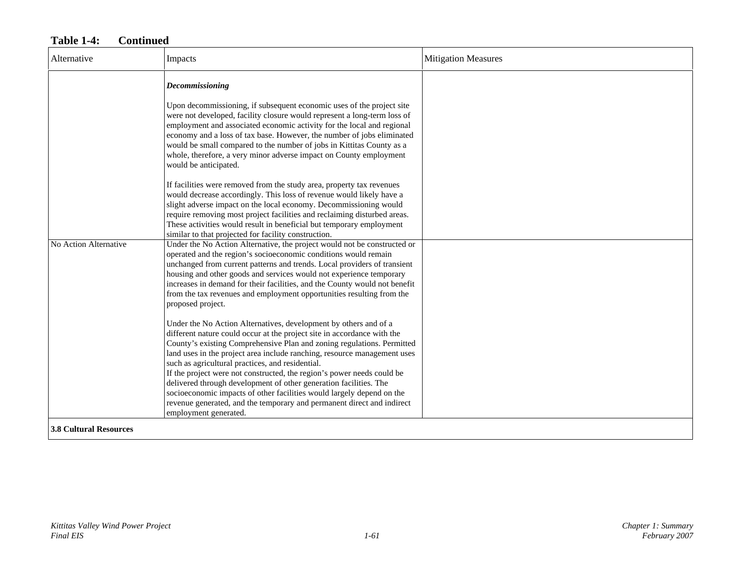| Alternative                   | Impacts                                                                                                                                                                                                                                                                                                                                                                                                                                                                                                                                                                                                                                                                                                                                                                                                                                                                                                                                                                                                                                                                                                                                                                                                                                                                                                                                                                                                                                                                                                                                                                                                                                                                                                                                                                                                                                                                                                                                                                                           | <b>Mitigation Measures</b> |
|-------------------------------|---------------------------------------------------------------------------------------------------------------------------------------------------------------------------------------------------------------------------------------------------------------------------------------------------------------------------------------------------------------------------------------------------------------------------------------------------------------------------------------------------------------------------------------------------------------------------------------------------------------------------------------------------------------------------------------------------------------------------------------------------------------------------------------------------------------------------------------------------------------------------------------------------------------------------------------------------------------------------------------------------------------------------------------------------------------------------------------------------------------------------------------------------------------------------------------------------------------------------------------------------------------------------------------------------------------------------------------------------------------------------------------------------------------------------------------------------------------------------------------------------------------------------------------------------------------------------------------------------------------------------------------------------------------------------------------------------------------------------------------------------------------------------------------------------------------------------------------------------------------------------------------------------------------------------------------------------------------------------------------------------|----------------------------|
| No Action Alternative         | Decommissioning<br>Upon decommissioning, if subsequent economic uses of the project site<br>were not developed, facility closure would represent a long-term loss of<br>employment and associated economic activity for the local and regional<br>economy and a loss of tax base. However, the number of jobs eliminated<br>would be small compared to the number of jobs in Kittitas County as a<br>whole, therefore, a very minor adverse impact on County employment<br>would be anticipated.<br>If facilities were removed from the study area, property tax revenues<br>would decrease accordingly. This loss of revenue would likely have a<br>slight adverse impact on the local economy. Decommissioning would<br>require removing most project facilities and reclaiming disturbed areas.<br>These activities would result in beneficial but temporary employment<br>similar to that projected for facility construction.<br>Under the No Action Alternative, the project would not be constructed or<br>operated and the region's socioeconomic conditions would remain<br>unchanged from current patterns and trends. Local providers of transient<br>housing and other goods and services would not experience temporary<br>increases in demand for their facilities, and the County would not benefit<br>from the tax revenues and employment opportunities resulting from the<br>proposed project.<br>Under the No Action Alternatives, development by others and of a<br>different nature could occur at the project site in accordance with the<br>County's existing Comprehensive Plan and zoning regulations. Permitted<br>land uses in the project area include ranching, resource management uses<br>such as agricultural practices, and residential.<br>If the project were not constructed, the region's power needs could be<br>delivered through development of other generation facilities. The<br>socioeconomic impacts of other facilities would largely depend on the |                            |
| <b>3.8 Cultural Resources</b> | revenue generated, and the temporary and permanent direct and indirect<br>employment generated.                                                                                                                                                                                                                                                                                                                                                                                                                                                                                                                                                                                                                                                                                                                                                                                                                                                                                                                                                                                                                                                                                                                                                                                                                                                                                                                                                                                                                                                                                                                                                                                                                                                                                                                                                                                                                                                                                                   |                            |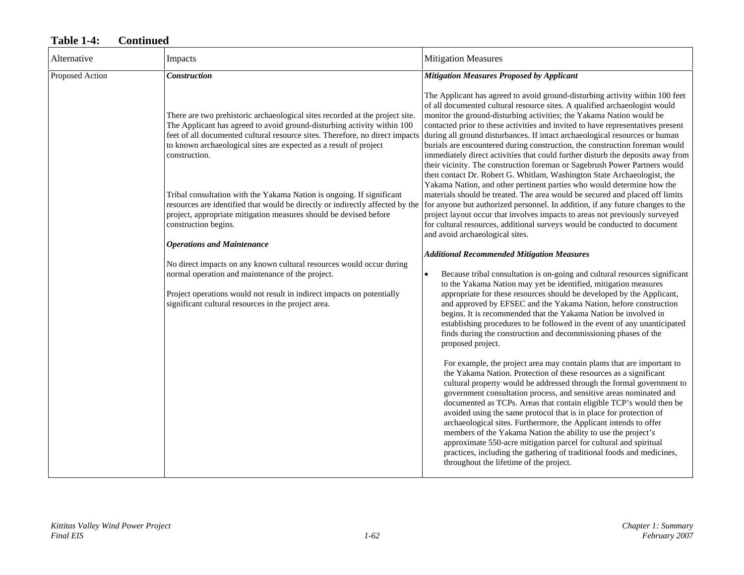| Alternative     | Impacts                                                                                                                                                                                                                                                                                                                       | <b>Mitigation Measures</b>                                                                                                                                                                                                                                                                                                                                                                                                                                                                                                                                                                                                                                                                                                                                                                                                                                                                                                                                                                                                                                                                                                                                                                                                                                                                                                |
|-----------------|-------------------------------------------------------------------------------------------------------------------------------------------------------------------------------------------------------------------------------------------------------------------------------------------------------------------------------|---------------------------------------------------------------------------------------------------------------------------------------------------------------------------------------------------------------------------------------------------------------------------------------------------------------------------------------------------------------------------------------------------------------------------------------------------------------------------------------------------------------------------------------------------------------------------------------------------------------------------------------------------------------------------------------------------------------------------------------------------------------------------------------------------------------------------------------------------------------------------------------------------------------------------------------------------------------------------------------------------------------------------------------------------------------------------------------------------------------------------------------------------------------------------------------------------------------------------------------------------------------------------------------------------------------------------|
| Proposed Action | <b>Construction</b>                                                                                                                                                                                                                                                                                                           | <b>Mitigation Measures Proposed by Applicant</b>                                                                                                                                                                                                                                                                                                                                                                                                                                                                                                                                                                                                                                                                                                                                                                                                                                                                                                                                                                                                                                                                                                                                                                                                                                                                          |
|                 | There are two prehistoric archaeological sites recorded at the project site.<br>The Applicant has agreed to avoid ground-disturbing activity within 100<br>feet of all documented cultural resource sites. Therefore, no direct impacts<br>to known archaeological sites are expected as a result of project<br>construction. | The Applicant has agreed to avoid ground-disturbing activity within 100 feet<br>of all documented cultural resource sites. A qualified archaeologist would<br>monitor the ground-disturbing activities; the Yakama Nation would be<br>contacted prior to these activities and invited to have representatives present<br>during all ground disturbances. If intact archaeological resources or human<br>burials are encountered during construction, the construction foreman would<br>immediately direct activities that could further disturb the deposits away from<br>their vicinity. The construction foreman or Sagebrush Power Partners would<br>then contact Dr. Robert G. Whitlam, Washington State Archaeologist, the                                                                                                                                                                                                                                                                                                                                                                                                                                                                                                                                                                                           |
|                 | Tribal consultation with the Yakama Nation is ongoing. If significant<br>resources are identified that would be directly or indirectly affected by the<br>project, appropriate mitigation measures should be devised before<br>construction begins.                                                                           | Yakama Nation, and other pertinent parties who would determine how the<br>materials should be treated. The area would be secured and placed off limits<br>for anyone but authorized personnel. In addition, if any future changes to the<br>project layout occur that involves impacts to areas not previously surveyed<br>for cultural resources, additional surveys would be conducted to document<br>and avoid archaeological sites.                                                                                                                                                                                                                                                                                                                                                                                                                                                                                                                                                                                                                                                                                                                                                                                                                                                                                   |
|                 | <b>Operations and Maintenance</b>                                                                                                                                                                                                                                                                                             | <b>Additional Recommended Mitigation Measures</b>                                                                                                                                                                                                                                                                                                                                                                                                                                                                                                                                                                                                                                                                                                                                                                                                                                                                                                                                                                                                                                                                                                                                                                                                                                                                         |
|                 | No direct impacts on any known cultural resources would occur during<br>normal operation and maintenance of the project.<br>Project operations would not result in indirect impacts on potentially<br>significant cultural resources in the project area.                                                                     | Because tribal consultation is on-going and cultural resources significant<br>$\bullet$<br>to the Yakama Nation may yet be identified, mitigation measures<br>appropriate for these resources should be developed by the Applicant,<br>and approved by EFSEC and the Yakama Nation, before construction<br>begins. It is recommended that the Yakama Nation be involved in<br>establishing procedures to be followed in the event of any unanticipated<br>finds during the construction and decommissioning phases of the<br>proposed project.<br>For example, the project area may contain plants that are important to<br>the Yakama Nation. Protection of these resources as a significant<br>cultural property would be addressed through the formal government to<br>government consultation process, and sensitive areas nominated and<br>documented as TCPs. Areas that contain eligible TCP's would then be<br>avoided using the same protocol that is in place for protection of<br>archaeological sites. Furthermore, the Applicant intends to offer<br>members of the Yakama Nation the ability to use the project's<br>approximate 550-acre mitigation parcel for cultural and spiritual<br>practices, including the gathering of traditional foods and medicines,<br>throughout the lifetime of the project. |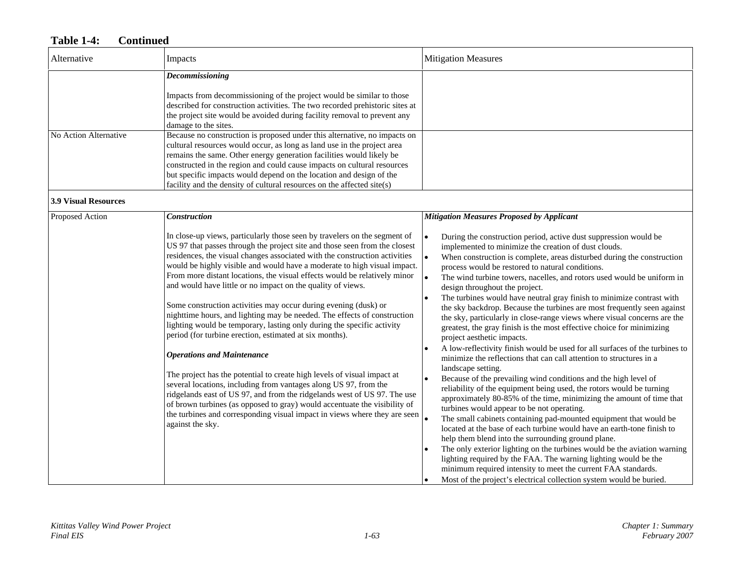| Alternative                 | Impacts                                                                                                                                                                                                                                                                                                                                                                                                                                                                                                                                                                                                                                                                                                                                                                                                                                                                                                                                                                                                                                                                                                                                                                                                         | <b>Mitigation Measures</b>                                                                                                                                                                                                                                                                                                                                                                                                                                                                                                                                                                                                                                                                                                                                                                                                                                                                                                                                                                                                                                                                                                                                                                                                                                                                                                                                                                                                                                                                                                                                                                                                                                                                                                       |
|-----------------------------|-----------------------------------------------------------------------------------------------------------------------------------------------------------------------------------------------------------------------------------------------------------------------------------------------------------------------------------------------------------------------------------------------------------------------------------------------------------------------------------------------------------------------------------------------------------------------------------------------------------------------------------------------------------------------------------------------------------------------------------------------------------------------------------------------------------------------------------------------------------------------------------------------------------------------------------------------------------------------------------------------------------------------------------------------------------------------------------------------------------------------------------------------------------------------------------------------------------------|----------------------------------------------------------------------------------------------------------------------------------------------------------------------------------------------------------------------------------------------------------------------------------------------------------------------------------------------------------------------------------------------------------------------------------------------------------------------------------------------------------------------------------------------------------------------------------------------------------------------------------------------------------------------------------------------------------------------------------------------------------------------------------------------------------------------------------------------------------------------------------------------------------------------------------------------------------------------------------------------------------------------------------------------------------------------------------------------------------------------------------------------------------------------------------------------------------------------------------------------------------------------------------------------------------------------------------------------------------------------------------------------------------------------------------------------------------------------------------------------------------------------------------------------------------------------------------------------------------------------------------------------------------------------------------------------------------------------------------|
|                             | Decommissioning<br>Impacts from decommissioning of the project would be similar to those<br>described for construction activities. The two recorded prehistoric sites at<br>the project site would be avoided during facility removal to prevent any<br>damage to the sites.                                                                                                                                                                                                                                                                                                                                                                                                                                                                                                                                                                                                                                                                                                                                                                                                                                                                                                                                    |                                                                                                                                                                                                                                                                                                                                                                                                                                                                                                                                                                                                                                                                                                                                                                                                                                                                                                                                                                                                                                                                                                                                                                                                                                                                                                                                                                                                                                                                                                                                                                                                                                                                                                                                  |
| No Action Alternative       | Because no construction is proposed under this alternative, no impacts on<br>cultural resources would occur, as long as land use in the project area<br>remains the same. Other energy generation facilities would likely be<br>constructed in the region and could cause impacts on cultural resources<br>but specific impacts would depend on the location and design of the<br>facility and the density of cultural resources on the affected site(s)                                                                                                                                                                                                                                                                                                                                                                                                                                                                                                                                                                                                                                                                                                                                                        |                                                                                                                                                                                                                                                                                                                                                                                                                                                                                                                                                                                                                                                                                                                                                                                                                                                                                                                                                                                                                                                                                                                                                                                                                                                                                                                                                                                                                                                                                                                                                                                                                                                                                                                                  |
| <b>3.9 Visual Resources</b> |                                                                                                                                                                                                                                                                                                                                                                                                                                                                                                                                                                                                                                                                                                                                                                                                                                                                                                                                                                                                                                                                                                                                                                                                                 |                                                                                                                                                                                                                                                                                                                                                                                                                                                                                                                                                                                                                                                                                                                                                                                                                                                                                                                                                                                                                                                                                                                                                                                                                                                                                                                                                                                                                                                                                                                                                                                                                                                                                                                                  |
| Proposed Action             | Construction<br>In close-up views, particularly those seen by travelers on the segment of<br>US 97 that passes through the project site and those seen from the closest<br>residences, the visual changes associated with the construction activities<br>would be highly visible and would have a moderate to high visual impact.<br>From more distant locations, the visual effects would be relatively minor<br>and would have little or no impact on the quality of views.<br>Some construction activities may occur during evening (dusk) or<br>nighttime hours, and lighting may be needed. The effects of construction<br>lighting would be temporary, lasting only during the specific activity<br>period (for turbine erection, estimated at six months).<br><b>Operations and Maintenance</b><br>The project has the potential to create high levels of visual impact at<br>several locations, including from vantages along US 97, from the<br>ridgelands east of US 97, and from the ridgelands west of US 97. The use<br>of brown turbines (as opposed to gray) would accentuate the visibility of<br>the turbines and corresponding visual impact in views where they are seen<br>against the sky. | <b>Mitigation Measures Proposed by Applicant</b><br>During the construction period, active dust suppression would be<br>implemented to minimize the creation of dust clouds.<br>$\bullet$<br>When construction is complete, areas disturbed during the construction<br>process would be restored to natural conditions.<br>$\bullet$<br>The wind turbine towers, nacelles, and rotors used would be uniform in<br>design throughout the project.<br>The turbines would have neutral gray finish to minimize contrast with<br>the sky backdrop. Because the turbines are most frequently seen against<br>the sky, particularly in close-range views where visual concerns are the<br>greatest, the gray finish is the most effective choice for minimizing<br>project aesthetic impacts.<br>A low-reflectivity finish would be used for all surfaces of the turbines to<br>minimize the reflections that can call attention to structures in a<br>landscape setting.<br>Because of the prevailing wind conditions and the high level of<br>reliability of the equipment being used, the rotors would be turning<br>approximately 80-85% of the time, minimizing the amount of time that<br>turbines would appear to be not operating.<br>The small cabinets containing pad-mounted equipment that would be<br>located at the base of each turbine would have an earth-tone finish to<br>help them blend into the surrounding ground plane.<br>The only exterior lighting on the turbines would be the aviation warning<br>lighting required by the FAA. The warning lighting would be the<br>minimum required intensity to meet the current FAA standards.<br>Most of the project's electrical collection system would be buried. |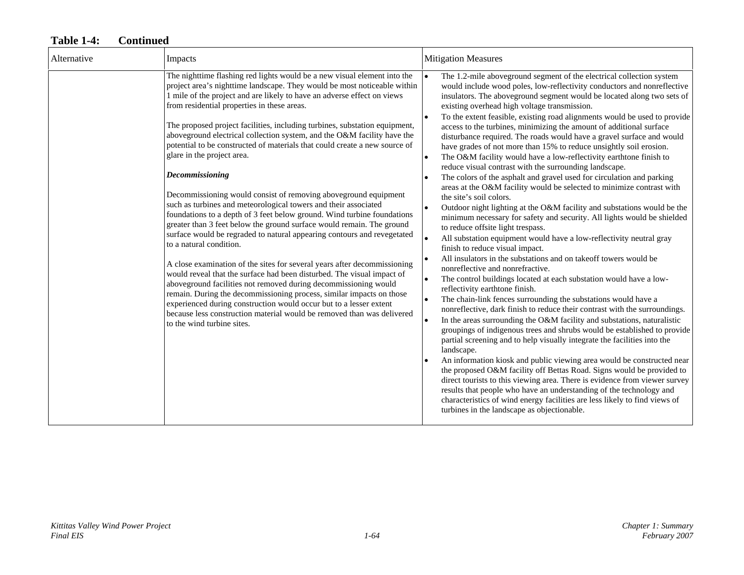| Alternative | Impacts                                                                                                                                                                                                                                                                                                                                                                                                                                                                                                                                                                                                                                                                                                                                                                                                                                                                                                                                                                                                                                                                                                                                                                                                                                                                                                                                                                                                                                                | <b>Mitigation Measures</b>                                                                                                                                                                                                                                                                                                                                                                                                                                                                                                                                                                                                                                                                                                                                                                                                                                                                                                                                                                                                                                                                                                                                                                                                                                                                                                                                                                                                                                                                                                                                                                                                                                                                                                                                                                                                                                                                                                                                                                                                                                                                                                                                                                                                                           |
|-------------|--------------------------------------------------------------------------------------------------------------------------------------------------------------------------------------------------------------------------------------------------------------------------------------------------------------------------------------------------------------------------------------------------------------------------------------------------------------------------------------------------------------------------------------------------------------------------------------------------------------------------------------------------------------------------------------------------------------------------------------------------------------------------------------------------------------------------------------------------------------------------------------------------------------------------------------------------------------------------------------------------------------------------------------------------------------------------------------------------------------------------------------------------------------------------------------------------------------------------------------------------------------------------------------------------------------------------------------------------------------------------------------------------------------------------------------------------------|------------------------------------------------------------------------------------------------------------------------------------------------------------------------------------------------------------------------------------------------------------------------------------------------------------------------------------------------------------------------------------------------------------------------------------------------------------------------------------------------------------------------------------------------------------------------------------------------------------------------------------------------------------------------------------------------------------------------------------------------------------------------------------------------------------------------------------------------------------------------------------------------------------------------------------------------------------------------------------------------------------------------------------------------------------------------------------------------------------------------------------------------------------------------------------------------------------------------------------------------------------------------------------------------------------------------------------------------------------------------------------------------------------------------------------------------------------------------------------------------------------------------------------------------------------------------------------------------------------------------------------------------------------------------------------------------------------------------------------------------------------------------------------------------------------------------------------------------------------------------------------------------------------------------------------------------------------------------------------------------------------------------------------------------------------------------------------------------------------------------------------------------------------------------------------------------------------------------------------------------------|
|             | The nighttime flashing red lights would be a new visual element into the<br>project area's nighttime landscape. They would be most noticeable within<br>1 mile of the project and are likely to have an adverse effect on views<br>from residential properties in these areas.<br>The proposed project facilities, including turbines, substation equipment,<br>aboveground electrical collection system, and the O&M facility have the<br>potential to be constructed of materials that could create a new source of<br>glare in the project area.<br>Decommissioning<br>Decommissioning would consist of removing above ground equipment<br>such as turbines and meteorological towers and their associated<br>foundations to a depth of 3 feet below ground. Wind turbine foundations<br>greater than 3 feet below the ground surface would remain. The ground<br>surface would be regraded to natural appearing contours and revegetated<br>to a natural condition.<br>A close examination of the sites for several years after decommissioning<br>would reveal that the surface had been disturbed. The visual impact of<br>aboveground facilities not removed during decommissioning would<br>remain. During the decommissioning process, similar impacts on those<br>experienced during construction would occur but to a lesser extent<br>because less construction material would be removed than was delivered<br>to the wind turbine sites. | The 1.2-mile aboveground segment of the electrical collection system<br>would include wood poles, low-reflectivity conductors and nonreflective<br>insulators. The aboveground segment would be located along two sets of<br>existing overhead high voltage transmission.<br>To the extent feasible, existing road alignments would be used to provide<br>access to the turbines, minimizing the amount of additional surface<br>disturbance required. The roads would have a gravel surface and would<br>have grades of not more than 15% to reduce unsightly soil erosion.<br>The O&M facility would have a low-reflectivity earthtone finish to<br>reduce visual contrast with the surrounding landscape.<br>The colors of the asphalt and gravel used for circulation and parking<br>areas at the O&M facility would be selected to minimize contrast with<br>the site's soil colors.<br>Outdoor night lighting at the O&M facility and substations would be the<br>minimum necessary for safety and security. All lights would be shielded<br>to reduce offsite light trespass.<br>All substation equipment would have a low-reflectivity neutral gray<br>finish to reduce visual impact.<br>All insulators in the substations and on takeoff towers would be<br>nonreflective and nonrefractive.<br>The control buildings located at each substation would have a low-<br>reflectivity earthtone finish.<br>The chain-link fences surrounding the substations would have a<br>nonreflective, dark finish to reduce their contrast with the surroundings.<br>In the areas surrounding the O&M facility and substations, naturalistic<br>groupings of indigenous trees and shrubs would be established to provide<br>partial screening and to help visually integrate the facilities into the<br>landscape.<br>An information kiosk and public viewing area would be constructed near<br>the proposed O&M facility off Bettas Road. Signs would be provided to<br>direct tourists to this viewing area. There is evidence from viewer survey<br>results that people who have an understanding of the technology and<br>characteristics of wind energy facilities are less likely to find views of<br>turbines in the landscape as objectionable. |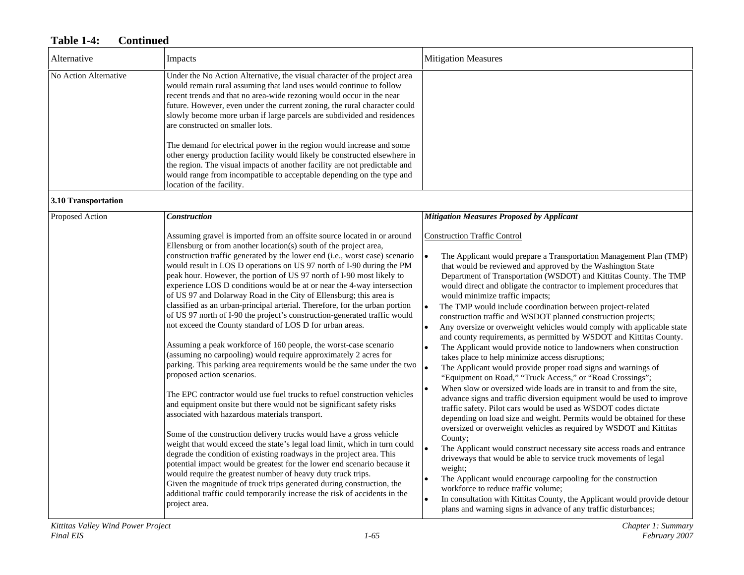| Alternative           | Impacts                                                                                                                                                                                                                                                                                                                                                                                                                                                                                                                                                                                                                                                                                                                                                                                                                                                                                                                                                                                                                                                                                                                                                                                                                                                                                                                                                                                                                                                                                                                                                                                                                                                                                                                                                       | <b>Mitigation Measures</b>                                                                                                                                                                                                                                                                                                                                                                                                                                                                                                                                                                                                                                                                                                                                                                                                                                                                                                                                                                                                                                                                                                                                                                                                                                                                                                                                                                                                                                                                                                                                                                                                                                                                                                                                                        |
|-----------------------|---------------------------------------------------------------------------------------------------------------------------------------------------------------------------------------------------------------------------------------------------------------------------------------------------------------------------------------------------------------------------------------------------------------------------------------------------------------------------------------------------------------------------------------------------------------------------------------------------------------------------------------------------------------------------------------------------------------------------------------------------------------------------------------------------------------------------------------------------------------------------------------------------------------------------------------------------------------------------------------------------------------------------------------------------------------------------------------------------------------------------------------------------------------------------------------------------------------------------------------------------------------------------------------------------------------------------------------------------------------------------------------------------------------------------------------------------------------------------------------------------------------------------------------------------------------------------------------------------------------------------------------------------------------------------------------------------------------------------------------------------------------|-----------------------------------------------------------------------------------------------------------------------------------------------------------------------------------------------------------------------------------------------------------------------------------------------------------------------------------------------------------------------------------------------------------------------------------------------------------------------------------------------------------------------------------------------------------------------------------------------------------------------------------------------------------------------------------------------------------------------------------------------------------------------------------------------------------------------------------------------------------------------------------------------------------------------------------------------------------------------------------------------------------------------------------------------------------------------------------------------------------------------------------------------------------------------------------------------------------------------------------------------------------------------------------------------------------------------------------------------------------------------------------------------------------------------------------------------------------------------------------------------------------------------------------------------------------------------------------------------------------------------------------------------------------------------------------------------------------------------------------------------------------------------------------|
| No Action Alternative | Under the No Action Alternative, the visual character of the project area<br>would remain rural assuming that land uses would continue to follow<br>recent trends and that no area-wide rezoning would occur in the near<br>future. However, even under the current zoning, the rural character could<br>slowly become more urban if large parcels are subdivided and residences<br>are constructed on smaller lots.<br>The demand for electrical power in the region would increase and some<br>other energy production facility would likely be constructed elsewhere in                                                                                                                                                                                                                                                                                                                                                                                                                                                                                                                                                                                                                                                                                                                                                                                                                                                                                                                                                                                                                                                                                                                                                                                    |                                                                                                                                                                                                                                                                                                                                                                                                                                                                                                                                                                                                                                                                                                                                                                                                                                                                                                                                                                                                                                                                                                                                                                                                                                                                                                                                                                                                                                                                                                                                                                                                                                                                                                                                                                                   |
|                       | the region. The visual impacts of another facility are not predictable and<br>would range from incompatible to acceptable depending on the type and<br>location of the facility.                                                                                                                                                                                                                                                                                                                                                                                                                                                                                                                                                                                                                                                                                                                                                                                                                                                                                                                                                                                                                                                                                                                                                                                                                                                                                                                                                                                                                                                                                                                                                                              |                                                                                                                                                                                                                                                                                                                                                                                                                                                                                                                                                                                                                                                                                                                                                                                                                                                                                                                                                                                                                                                                                                                                                                                                                                                                                                                                                                                                                                                                                                                                                                                                                                                                                                                                                                                   |
| 3.10 Transportation   |                                                                                                                                                                                                                                                                                                                                                                                                                                                                                                                                                                                                                                                                                                                                                                                                                                                                                                                                                                                                                                                                                                                                                                                                                                                                                                                                                                                                                                                                                                                                                                                                                                                                                                                                                               |                                                                                                                                                                                                                                                                                                                                                                                                                                                                                                                                                                                                                                                                                                                                                                                                                                                                                                                                                                                                                                                                                                                                                                                                                                                                                                                                                                                                                                                                                                                                                                                                                                                                                                                                                                                   |
| Proposed Action       | <b>Construction</b>                                                                                                                                                                                                                                                                                                                                                                                                                                                                                                                                                                                                                                                                                                                                                                                                                                                                                                                                                                                                                                                                                                                                                                                                                                                                                                                                                                                                                                                                                                                                                                                                                                                                                                                                           | <b>Mitigation Measures Proposed by Applicant</b>                                                                                                                                                                                                                                                                                                                                                                                                                                                                                                                                                                                                                                                                                                                                                                                                                                                                                                                                                                                                                                                                                                                                                                                                                                                                                                                                                                                                                                                                                                                                                                                                                                                                                                                                  |
|                       | Assuming gravel is imported from an offsite source located in or around<br>Ellensburg or from another location(s) south of the project area,<br>construction traffic generated by the lower end (i.e., worst case) scenario<br>would result in LOS D operations on US 97 north of I-90 during the PM<br>peak hour. However, the portion of US 97 north of I-90 most likely to<br>experience LOS D conditions would be at or near the 4-way intersection<br>of US 97 and Dolarway Road in the City of Ellensburg; this area is<br>classified as an urban-principal arterial. Therefore, for the urban portion<br>of US 97 north of I-90 the project's construction-generated traffic would<br>not exceed the County standard of LOS D for urban areas.<br>Assuming a peak workforce of 160 people, the worst-case scenario<br>(assuming no carpooling) would require approximately 2 acres for<br>parking. This parking area requirements would be the same under the two<br>proposed action scenarios.<br>The EPC contractor would use fuel trucks to refuel construction vehicles<br>and equipment onsite but there would not be significant safety risks<br>associated with hazardous materials transport.<br>Some of the construction delivery trucks would have a gross vehicle<br>weight that would exceed the state's legal load limit, which in turn could<br>degrade the condition of existing roadways in the project area. This<br>potential impact would be greatest for the lower end scenario because it<br>would require the greatest number of heavy duty truck trips.<br>Given the magnitude of truck trips generated during construction, the<br>additional traffic could temporarily increase the risk of accidents in the<br>project area. | <b>Construction Traffic Control</b><br>The Applicant would prepare a Transportation Management Plan (TMP)<br>$\bullet$<br>that would be reviewed and approved by the Washington State<br>Department of Transportation (WSDOT) and Kittitas County. The TMP<br>would direct and obligate the contractor to implement procedures that<br>would minimize traffic impacts;<br>The TMP would include coordination between project-related<br>$\bullet$<br>construction traffic and WSDOT planned construction projects;<br>Any oversize or overweight vehicles would comply with applicable state<br>and county requirements, as permitted by WSDOT and Kittitas County.<br>The Applicant would provide notice to landowners when construction<br>takes place to help minimize access disruptions;<br>The Applicant would provide proper road signs and warnings of<br>"Equipment on Road," "Truck Access," or "Road Crossings";<br>When slow or oversized wide loads are in transit to and from the site,<br>$\bullet$<br>advance signs and traffic diversion equipment would be used to improve<br>traffic safety. Pilot cars would be used as WSDOT codes dictate<br>depending on load size and weight. Permits would be obtained for these<br>oversized or overweight vehicles as required by WSDOT and Kittitas<br>County;<br>$\bullet$<br>The Applicant would construct necessary site access roads and entrance<br>driveways that would be able to service truck movements of legal<br>weight;<br>The Applicant would encourage carpooling for the construction<br>$\bullet$<br>workforce to reduce traffic volume;<br>In consultation with Kittitas County, the Applicant would provide detour<br>$\bullet$<br>plans and warning signs in advance of any traffic disturbances; |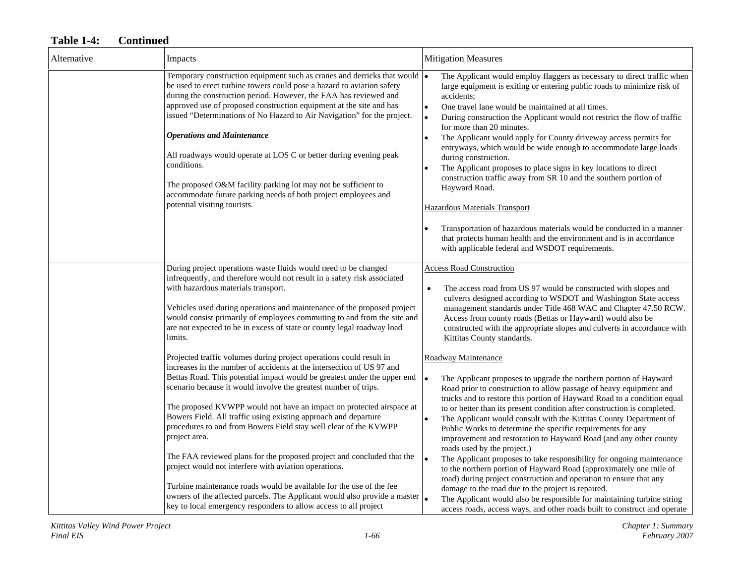| Alternative | Impacts                                                                                                                                                                                                                                                                                                                                                                                                                                                                                                                                                                                                                                                                                                                                                                                                                                                                                                  | <b>Mitigation Measures</b>                                                                                                                                                                                                                                                                                                                                                                                                                                                                                                                                                                                                                                                                                                                                                                                                                                                                                                                                                                                    |
|-------------|----------------------------------------------------------------------------------------------------------------------------------------------------------------------------------------------------------------------------------------------------------------------------------------------------------------------------------------------------------------------------------------------------------------------------------------------------------------------------------------------------------------------------------------------------------------------------------------------------------------------------------------------------------------------------------------------------------------------------------------------------------------------------------------------------------------------------------------------------------------------------------------------------------|---------------------------------------------------------------------------------------------------------------------------------------------------------------------------------------------------------------------------------------------------------------------------------------------------------------------------------------------------------------------------------------------------------------------------------------------------------------------------------------------------------------------------------------------------------------------------------------------------------------------------------------------------------------------------------------------------------------------------------------------------------------------------------------------------------------------------------------------------------------------------------------------------------------------------------------------------------------------------------------------------------------|
|             | Temporary construction equipment such as cranes and derricks that would $\sim$<br>be used to erect turbine towers could pose a hazard to aviation safety<br>during the construction period. However, the FAA has reviewed and<br>approved use of proposed construction equipment at the site and has<br>issued "Determinations of No Hazard to Air Navigation" for the project.<br><b>Operations and Maintenance</b><br>All roadways would operate at LOS C or better during evening peak<br>conditions.<br>The proposed O&M facility parking lot may not be sufficient to<br>accommodate future parking needs of both project employees and<br>potential visiting tourists.                                                                                                                                                                                                                             | The Applicant would employ flaggers as necessary to direct traffic when<br>large equipment is exiting or entering public roads to minimize risk of<br>accidents:<br>One travel lane would be maintained at all times.<br>During construction the Applicant would not restrict the flow of traffic<br>$\bullet$<br>for more than 20 minutes.<br>The Applicant would apply for County driveway access permits for<br>entryways, which would be wide enough to accommodate large loads<br>during construction.<br>The Applicant proposes to place signs in key locations to direct<br>construction traffic away from SR 10 and the southern portion of<br>Hayward Road.<br>Hazardous Materials Transport<br>Transportation of hazardous materials would be conducted in a manner<br>that protects human health and the environment and is in accordance<br>with applicable federal and WSDOT requirements.                                                                                                       |
|             | During project operations waste fluids would need to be changed<br>infrequently, and therefore would not result in a safety risk associated<br>with hazardous materials transport.<br>Vehicles used during operations and maintenance of the proposed project<br>would consist primarily of employees commuting to and from the site and<br>are not expected to be in excess of state or county legal roadway load<br>limits.                                                                                                                                                                                                                                                                                                                                                                                                                                                                            | <b>Access Road Construction</b><br>The access road from US 97 would be constructed with slopes and<br>$\bullet$<br>culverts designed according to WSDOT and Washington State access<br>management standards under Title 468 WAC and Chapter 47.50 RCW.<br>Access from county roads (Bettas or Hayward) would also be<br>constructed with the appropriate slopes and culverts in accordance with<br>Kittitas County standards.                                                                                                                                                                                                                                                                                                                                                                                                                                                                                                                                                                                 |
|             | Projected traffic volumes during project operations could result in<br>increases in the number of accidents at the intersection of US 97 and<br>Bettas Road. This potential impact would be greatest under the upper end<br>scenario because it would involve the greatest number of trips.<br>The proposed KVWPP would not have an impact on protected airspace at<br>Bowers Field. All traffic using existing approach and departure<br>procedures to and from Bowers Field stay well clear of the KVWPP<br>project area.<br>The FAA reviewed plans for the proposed project and concluded that the<br>project would not interfere with aviation operations.<br>Turbine maintenance roads would be available for the use of the fee<br>owners of the affected parcels. The Applicant would also provide a master $\vert_{\bullet}$<br>key to local emergency responders to allow access to all project | Roadway Maintenance<br>The Applicant proposes to upgrade the northern portion of Hayward<br>Road prior to construction to allow passage of heavy equipment and<br>trucks and to restore this portion of Hayward Road to a condition equal<br>to or better than its present condition after construction is completed.<br>The Applicant would consult with the Kittitas County Department of<br>$\bullet$<br>Public Works to determine the specific requirements for any<br>improvement and restoration to Hayward Road (and any other county<br>roads used by the project.)<br>The Applicant proposes to take responsibility for ongoing maintenance<br>to the northern portion of Hayward Road (approximately one mile of<br>road) during project construction and operation to ensure that any<br>damage to the road due to the project is repaired.<br>The Applicant would also be responsible for maintaining turbine string<br>access roads, access ways, and other roads built to construct and operate |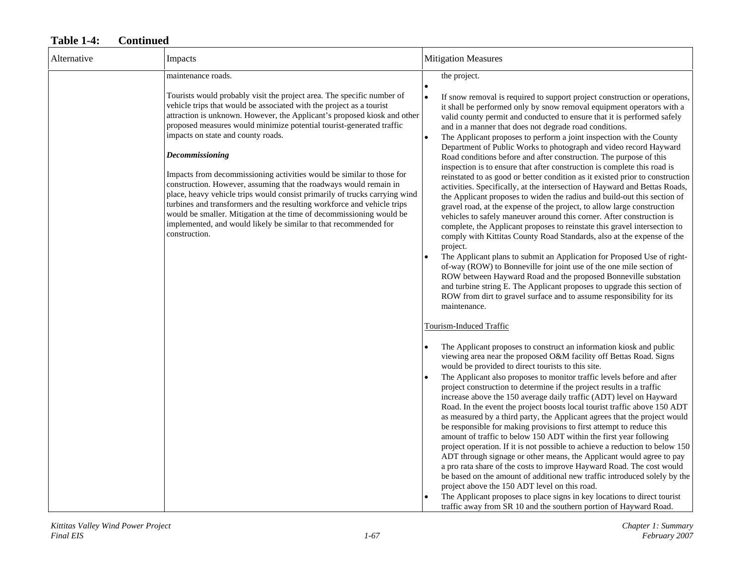| Alternative | Impacts                                                                                                                                                                                                                                                                                                                                                                                                                                                                                                                                                                                                                                                                                                                                                                                                                                | <b>Mitigation Measures</b>                                                                                                                                                                                                                                                                                                                                                                                                                                                                                                                                                                                                                                                                                                                                                                                                                                                                                                                                                                                                                                                                                                                                                                                                                                                                                                                                                                                                                                                                                                                                                  |
|-------------|----------------------------------------------------------------------------------------------------------------------------------------------------------------------------------------------------------------------------------------------------------------------------------------------------------------------------------------------------------------------------------------------------------------------------------------------------------------------------------------------------------------------------------------------------------------------------------------------------------------------------------------------------------------------------------------------------------------------------------------------------------------------------------------------------------------------------------------|-----------------------------------------------------------------------------------------------------------------------------------------------------------------------------------------------------------------------------------------------------------------------------------------------------------------------------------------------------------------------------------------------------------------------------------------------------------------------------------------------------------------------------------------------------------------------------------------------------------------------------------------------------------------------------------------------------------------------------------------------------------------------------------------------------------------------------------------------------------------------------------------------------------------------------------------------------------------------------------------------------------------------------------------------------------------------------------------------------------------------------------------------------------------------------------------------------------------------------------------------------------------------------------------------------------------------------------------------------------------------------------------------------------------------------------------------------------------------------------------------------------------------------------------------------------------------------|
|             | maintenance roads.                                                                                                                                                                                                                                                                                                                                                                                                                                                                                                                                                                                                                                                                                                                                                                                                                     | the project.                                                                                                                                                                                                                                                                                                                                                                                                                                                                                                                                                                                                                                                                                                                                                                                                                                                                                                                                                                                                                                                                                                                                                                                                                                                                                                                                                                                                                                                                                                                                                                |
|             | Tourists would probably visit the project area. The specific number of<br>vehicle trips that would be associated with the project as a tourist<br>attraction is unknown. However, the Applicant's proposed kiosk and other<br>proposed measures would minimize potential tourist-generated traffic<br>impacts on state and county roads.<br><b>Decommissioning</b><br>Impacts from decommissioning activities would be similar to those for<br>construction. However, assuming that the roadways would remain in<br>place, heavy vehicle trips would consist primarily of trucks carrying wind<br>turbines and transformers and the resulting workforce and vehicle trips<br>would be smaller. Mitigation at the time of decommissioning would be<br>implemented, and would likely be similar to that recommended for<br>construction. | If snow removal is required to support project construction or operations,<br>$\bullet$<br>it shall be performed only by snow removal equipment operators with a<br>valid county permit and conducted to ensure that it is performed safely<br>and in a manner that does not degrade road conditions.<br>The Applicant proposes to perform a joint inspection with the County<br>$\bullet$<br>Department of Public Works to photograph and video record Hayward<br>Road conditions before and after construction. The purpose of this<br>inspection is to ensure that after construction is complete this road is<br>reinstated to as good or better condition as it existed prior to construction<br>activities. Specifically, at the intersection of Hayward and Bettas Roads,<br>the Applicant proposes to widen the radius and build-out this section of<br>gravel road, at the expense of the project, to allow large construction<br>vehicles to safely maneuver around this corner. After construction is<br>complete, the Applicant proposes to reinstate this gravel intersection to<br>comply with Kittitas County Road Standards, also at the expense of the<br>project.<br>The Applicant plans to submit an Application for Proposed Use of right-<br>of-way (ROW) to Bonneville for joint use of the one mile section of<br>ROW between Hayward Road and the proposed Bonneville substation<br>and turbine string E. The Applicant proposes to upgrade this section of<br>ROW from dirt to gravel surface and to assume responsibility for its<br>maintenance. |
|             |                                                                                                                                                                                                                                                                                                                                                                                                                                                                                                                                                                                                                                                                                                                                                                                                                                        | <b>Tourism-Induced Traffic</b><br>The Applicant proposes to construct an information kiosk and public<br>viewing area near the proposed O&M facility off Bettas Road. Signs<br>would be provided to direct tourists to this site.<br>The Applicant also proposes to monitor traffic levels before and after<br>project construction to determine if the project results in a traffic<br>increase above the 150 average daily traffic (ADT) level on Hayward<br>Road. In the event the project boosts local tourist traffic above 150 ADT<br>as measured by a third party, the Applicant agrees that the project would<br>be responsible for making provisions to first attempt to reduce this<br>amount of traffic to below 150 ADT within the first year following<br>project operation. If it is not possible to achieve a reduction to below 150<br>ADT through signage or other means, the Applicant would agree to pay<br>a pro rata share of the costs to improve Hayward Road. The cost would<br>be based on the amount of additional new traffic introduced solely by the<br>project above the 150 ADT level on this road.<br>The Applicant proposes to place signs in key locations to direct tourist<br>traffic away from SR 10 and the southern portion of Hayward Road.                                                                                                                                                                                                                                                                                         |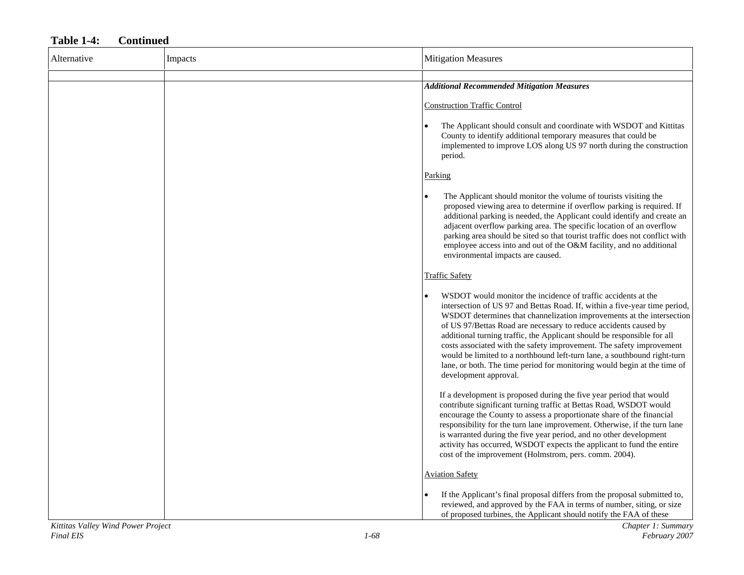| Alternative | Impacts | <b>Mitigation Measures</b>                                                                                                                                                                                                                                                                                                                                                                                                                                                                                                                                                                                                   |
|-------------|---------|------------------------------------------------------------------------------------------------------------------------------------------------------------------------------------------------------------------------------------------------------------------------------------------------------------------------------------------------------------------------------------------------------------------------------------------------------------------------------------------------------------------------------------------------------------------------------------------------------------------------------|
|             |         | <b>Additional Recommended Mitigation Measures</b>                                                                                                                                                                                                                                                                                                                                                                                                                                                                                                                                                                            |
|             |         | <b>Construction Traffic Control</b>                                                                                                                                                                                                                                                                                                                                                                                                                                                                                                                                                                                          |
|             |         | The Applicant should consult and coordinate with WSDOT and Kittitas<br>County to identify additional temporary measures that could be<br>implemented to improve LOS along US 97 north during the construction<br>period.                                                                                                                                                                                                                                                                                                                                                                                                     |
|             |         | Parking                                                                                                                                                                                                                                                                                                                                                                                                                                                                                                                                                                                                                      |
|             |         | The Applicant should monitor the volume of tourists visiting the<br>proposed viewing area to determine if overflow parking is required. If<br>additional parking is needed, the Applicant could identify and create an<br>adjacent overflow parking area. The specific location of an overflow<br>parking area should be sited so that tourist traffic does not conflict with<br>employee access into and out of the O&M facility, and no additional<br>environmental impacts are caused.                                                                                                                                    |
|             |         | <b>Traffic Safety</b>                                                                                                                                                                                                                                                                                                                                                                                                                                                                                                                                                                                                        |
|             |         | WSDOT would monitor the incidence of traffic accidents at the<br>intersection of US 97 and Bettas Road. If, within a five-year time period,<br>WSDOT determines that channelization improvements at the intersection<br>of US 97/Bettas Road are necessary to reduce accidents caused by<br>additional turning traffic, the Applicant should be responsible for all<br>costs associated with the safety improvement. The safety improvement<br>would be limited to a northbound left-turn lane, a southbound right-turn<br>lane, or both. The time period for monitoring would begin at the time of<br>development approval. |
|             |         | If a development is proposed during the five year period that would<br>contribute significant turning traffic at Bettas Road, WSDOT would<br>encourage the County to assess a proportionate share of the financial<br>responsibility for the turn lane improvement. Otherwise, if the turn lane<br>is warranted during the five year period, and no other development<br>activity has occurred, WSDOT expects the applicant to fund the entire<br>cost of the improvement (Holmstrom, pers. comm. 2004).                                                                                                                     |
|             |         | <b>Aviation Safety</b>                                                                                                                                                                                                                                                                                                                                                                                                                                                                                                                                                                                                       |
|             |         | If the Applicant's final proposal differs from the proposal submitted to,<br>reviewed, and approved by the FAA in terms of number, siting, or size<br>of proposed turbines, the Applicant should notify the FAA of these                                                                                                                                                                                                                                                                                                                                                                                                     |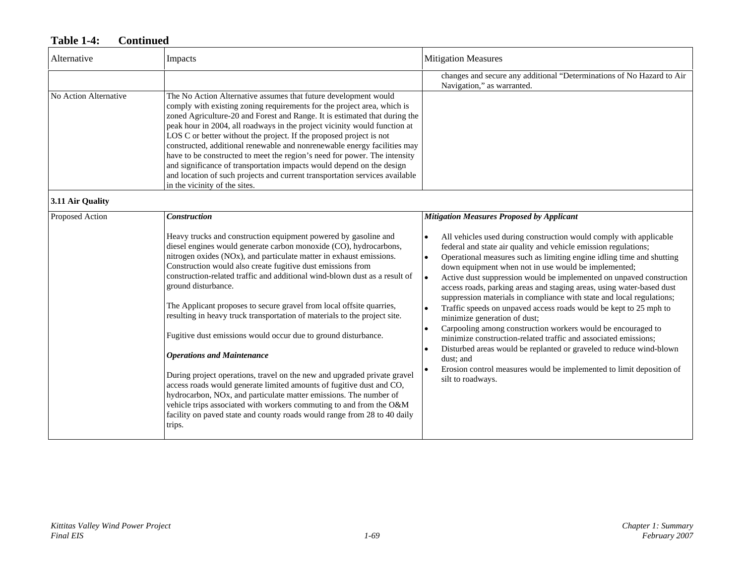| Alternative           | Impacts                                                                                                                                                                                                                                                                                                                                                                                                                                                                                                                                                                                                                                                                                                                                                                                                                                                                                                                                                                                                                                                  | <b>Mitigation Measures</b>                                                                                                                                                                                                                                                                                                                                                                                                                                                                                                                                                                                                                                                                                                                                                                                                                                                                                                                                                                              |
|-----------------------|----------------------------------------------------------------------------------------------------------------------------------------------------------------------------------------------------------------------------------------------------------------------------------------------------------------------------------------------------------------------------------------------------------------------------------------------------------------------------------------------------------------------------------------------------------------------------------------------------------------------------------------------------------------------------------------------------------------------------------------------------------------------------------------------------------------------------------------------------------------------------------------------------------------------------------------------------------------------------------------------------------------------------------------------------------|---------------------------------------------------------------------------------------------------------------------------------------------------------------------------------------------------------------------------------------------------------------------------------------------------------------------------------------------------------------------------------------------------------------------------------------------------------------------------------------------------------------------------------------------------------------------------------------------------------------------------------------------------------------------------------------------------------------------------------------------------------------------------------------------------------------------------------------------------------------------------------------------------------------------------------------------------------------------------------------------------------|
|                       |                                                                                                                                                                                                                                                                                                                                                                                                                                                                                                                                                                                                                                                                                                                                                                                                                                                                                                                                                                                                                                                          | changes and secure any additional "Determinations of No Hazard to Air<br>Navigation," as warranted.                                                                                                                                                                                                                                                                                                                                                                                                                                                                                                                                                                                                                                                                                                                                                                                                                                                                                                     |
| No Action Alternative | The No Action Alternative assumes that future development would<br>comply with existing zoning requirements for the project area, which is<br>zoned Agriculture-20 and Forest and Range. It is estimated that during the<br>peak hour in 2004, all roadways in the project vicinity would function at<br>LOS C or better without the project. If the proposed project is not<br>constructed, additional renewable and nonrenewable energy facilities may<br>have to be constructed to meet the region's need for power. The intensity<br>and significance of transportation impacts would depend on the design<br>and location of such projects and current transportation services available<br>in the vicinity of the sites.                                                                                                                                                                                                                                                                                                                           |                                                                                                                                                                                                                                                                                                                                                                                                                                                                                                                                                                                                                                                                                                                                                                                                                                                                                                                                                                                                         |
| 3.11 Air Quality      |                                                                                                                                                                                                                                                                                                                                                                                                                                                                                                                                                                                                                                                                                                                                                                                                                                                                                                                                                                                                                                                          |                                                                                                                                                                                                                                                                                                                                                                                                                                                                                                                                                                                                                                                                                                                                                                                                                                                                                                                                                                                                         |
| Proposed Action       | <b>Construction</b><br>Heavy trucks and construction equipment powered by gasoline and<br>diesel engines would generate carbon monoxide (CO), hydrocarbons,<br>nitrogen oxides (NOx), and particulate matter in exhaust emissions.<br>Construction would also create fugitive dust emissions from<br>construction-related traffic and additional wind-blown dust as a result of<br>ground disturbance.<br>The Applicant proposes to secure gravel from local offsite quarries,<br>resulting in heavy truck transportation of materials to the project site.<br>Fugitive dust emissions would occur due to ground disturbance.<br><b>Operations and Maintenance</b><br>During project operations, travel on the new and upgraded private gravel<br>access roads would generate limited amounts of fugitive dust and CO,<br>hydrocarbon, NOx, and particulate matter emissions. The number of<br>vehicle trips associated with workers commuting to and from the O&M<br>facility on paved state and county roads would range from 28 to 40 daily<br>trips. | <b>Mitigation Measures Proposed by Applicant</b><br>All vehicles used during construction would comply with applicable<br>federal and state air quality and vehicle emission regulations;<br>Operational measures such as limiting engine idling time and shutting<br>$\bullet$<br>down equipment when not in use would be implemented;<br>Active dust suppression would be implemented on unpaved construction<br>access roads, parking areas and staging areas, using water-based dust<br>suppression materials in compliance with state and local regulations;<br>Traffic speeds on unpaved access roads would be kept to 25 mph to<br>minimize generation of dust;<br>Carpooling among construction workers would be encouraged to<br>$\bullet$<br>minimize construction-related traffic and associated emissions;<br>Disturbed areas would be replanted or graveled to reduce wind-blown<br>dust; and<br>Erosion control measures would be implemented to limit deposition of<br>silt to roadways. |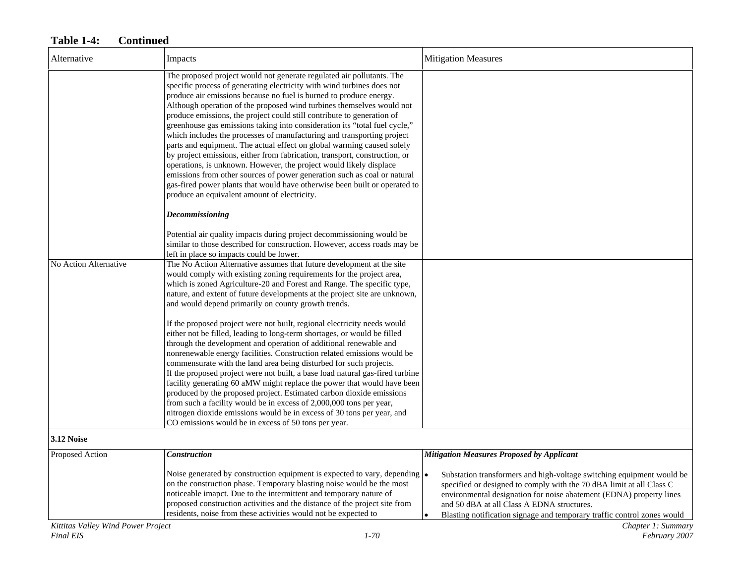| Alternative                          | Impacts                                                                                                                                                                                                                                                                                                                                                                                                                                                                                                                                                                                                                                                                                                                                                                                                                                                                                                                                                                  | <b>Mitigation Measures</b>                                                                                                                                                                                                                                                                                                                                                      |
|--------------------------------------|--------------------------------------------------------------------------------------------------------------------------------------------------------------------------------------------------------------------------------------------------------------------------------------------------------------------------------------------------------------------------------------------------------------------------------------------------------------------------------------------------------------------------------------------------------------------------------------------------------------------------------------------------------------------------------------------------------------------------------------------------------------------------------------------------------------------------------------------------------------------------------------------------------------------------------------------------------------------------|---------------------------------------------------------------------------------------------------------------------------------------------------------------------------------------------------------------------------------------------------------------------------------------------------------------------------------------------------------------------------------|
|                                      | The proposed project would not generate regulated air pollutants. The<br>specific process of generating electricity with wind turbines does not<br>produce air emissions because no fuel is burned to produce energy.<br>Although operation of the proposed wind turbines themselves would not<br>produce emissions, the project could still contribute to generation of<br>greenhouse gas emissions taking into consideration its "total fuel cycle,"<br>which includes the processes of manufacturing and transporting project<br>parts and equipment. The actual effect on global warming caused solely<br>by project emissions, either from fabrication, transport, construction, or<br>operations, is unknown. However, the project would likely displace<br>emissions from other sources of power generation such as coal or natural<br>gas-fired power plants that would have otherwise been built or operated to<br>produce an equivalent amount of electricity. |                                                                                                                                                                                                                                                                                                                                                                                 |
|                                      | <b>Decommissioning</b>                                                                                                                                                                                                                                                                                                                                                                                                                                                                                                                                                                                                                                                                                                                                                                                                                                                                                                                                                   |                                                                                                                                                                                                                                                                                                                                                                                 |
|                                      | Potential air quality impacts during project decommissioning would be<br>similar to those described for construction. However, access roads may be<br>left in place so impacts could be lower.                                                                                                                                                                                                                                                                                                                                                                                                                                                                                                                                                                                                                                                                                                                                                                           |                                                                                                                                                                                                                                                                                                                                                                                 |
| No Action Alternative                | The No Action Alternative assumes that future development at the site<br>would comply with existing zoning requirements for the project area,<br>which is zoned Agriculture-20 and Forest and Range. The specific type,<br>nature, and extent of future developments at the project site are unknown,<br>and would depend primarily on county growth trends.                                                                                                                                                                                                                                                                                                                                                                                                                                                                                                                                                                                                             |                                                                                                                                                                                                                                                                                                                                                                                 |
|                                      | If the proposed project were not built, regional electricity needs would<br>either not be filled, leading to long-term shortages, or would be filled<br>through the development and operation of additional renewable and<br>nonrenewable energy facilities. Construction related emissions would be<br>commensurate with the land area being disturbed for such projects.<br>If the proposed project were not built, a base load natural gas-fired turbine<br>facility generating 60 aMW might replace the power that would have been<br>produced by the proposed project. Estimated carbon dioxide emissions<br>from such a facility would be in excess of 2,000,000 tons per year,<br>nitrogen dioxide emissions would be in excess of 30 tons per year, and<br>CO emissions would be in excess of 50 tons per year.                                                                                                                                                  |                                                                                                                                                                                                                                                                                                                                                                                 |
| 3.12 Noise                           |                                                                                                                                                                                                                                                                                                                                                                                                                                                                                                                                                                                                                                                                                                                                                                                                                                                                                                                                                                          |                                                                                                                                                                                                                                                                                                                                                                                 |
| Proposed Action                      | <b>Construction</b>                                                                                                                                                                                                                                                                                                                                                                                                                                                                                                                                                                                                                                                                                                                                                                                                                                                                                                                                                      | <b>Mitigation Measures Proposed by Applicant</b>                                                                                                                                                                                                                                                                                                                                |
| $\mathbf{U} \mathbf{U}$ $\mathbf{U}$ | Noise generated by construction equipment is expected to vary, depending $\cdot$<br>on the construction phase. Temporary blasting noise would be the most<br>noticeable imapct. Due to the intermittent and temporary nature of<br>proposed construction activities and the distance of the project site from<br>residents, noise from these activities would not be expected to                                                                                                                                                                                                                                                                                                                                                                                                                                                                                                                                                                                         | Substation transformers and high-voltage switching equipment would be<br>specified or designed to comply with the 70 dBA limit at all Class C<br>environmental designation for noise abatement (EDNA) property lines<br>and 50 dBA at all Class A EDNA structures.<br>Blasting notification signage and temporary traffic control zones would<br>$\bullet$<br>$\alpha$ $\alpha$ |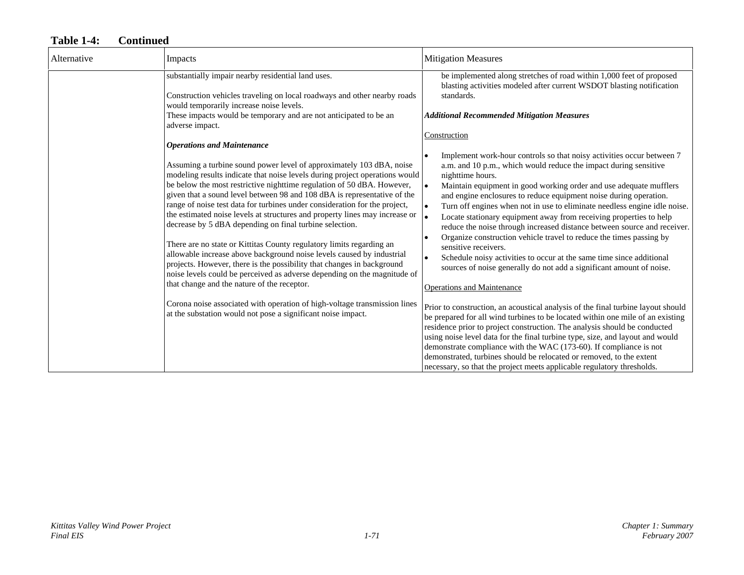| Alternative | Impacts                                                                                                                                                                                                                                                                                                                                                                                                                                                                                                                                                                                                                                                                                                                                                                                                                                                                                                                                                                                                                              | <b>Mitigation Measures</b>                                                                                                                                                                                                                                                                                                                                                                                                                                                                                                                                                                                                                                                                                                                                                                                                                                                                                                                                                                                                                                                                                                                                                                                                                                                                                                                                                              |
|-------------|--------------------------------------------------------------------------------------------------------------------------------------------------------------------------------------------------------------------------------------------------------------------------------------------------------------------------------------------------------------------------------------------------------------------------------------------------------------------------------------------------------------------------------------------------------------------------------------------------------------------------------------------------------------------------------------------------------------------------------------------------------------------------------------------------------------------------------------------------------------------------------------------------------------------------------------------------------------------------------------------------------------------------------------|-----------------------------------------------------------------------------------------------------------------------------------------------------------------------------------------------------------------------------------------------------------------------------------------------------------------------------------------------------------------------------------------------------------------------------------------------------------------------------------------------------------------------------------------------------------------------------------------------------------------------------------------------------------------------------------------------------------------------------------------------------------------------------------------------------------------------------------------------------------------------------------------------------------------------------------------------------------------------------------------------------------------------------------------------------------------------------------------------------------------------------------------------------------------------------------------------------------------------------------------------------------------------------------------------------------------------------------------------------------------------------------------|
|             | substantially impair nearby residential land uses.<br>Construction vehicles traveling on local roadways and other nearby roads<br>would temporarily increase noise levels.<br>These impacts would be temporary and are not anticipated to be an                                                                                                                                                                                                                                                                                                                                                                                                                                                                                                                                                                                                                                                                                                                                                                                      | be implemented along stretches of road within 1,000 feet of proposed<br>blasting activities modeled after current WSDOT blasting notification<br>standards.<br><b>Additional Recommended Mitigation Measures</b>                                                                                                                                                                                                                                                                                                                                                                                                                                                                                                                                                                                                                                                                                                                                                                                                                                                                                                                                                                                                                                                                                                                                                                        |
|             | adverse impact.<br><b>Operations and Maintenance</b>                                                                                                                                                                                                                                                                                                                                                                                                                                                                                                                                                                                                                                                                                                                                                                                                                                                                                                                                                                                 | Construction                                                                                                                                                                                                                                                                                                                                                                                                                                                                                                                                                                                                                                                                                                                                                                                                                                                                                                                                                                                                                                                                                                                                                                                                                                                                                                                                                                            |
|             | Assuming a turbine sound power level of approximately 103 dBA, noise<br>modeling results indicate that noise levels during project operations would<br>be below the most restrictive nighttime regulation of 50 dBA. However,<br>given that a sound level between 98 and 108 dBA is representative of the<br>range of noise test data for turbines under consideration for the project,<br>the estimated noise levels at structures and property lines may increase or<br>decrease by 5 dBA depending on final turbine selection.<br>There are no state or Kittitas County regulatory limits regarding an<br>allowable increase above background noise levels caused by industrial<br>projects. However, there is the possibility that changes in background<br>noise levels could be perceived as adverse depending on the magnitude of<br>that change and the nature of the receptor.<br>Corona noise associated with operation of high-voltage transmission lines<br>at the substation would not pose a significant noise impact. | Implement work-hour controls so that noisy activities occur between 7<br>a.m. and 10 p.m., which would reduce the impact during sensitive<br>nighttime hours.<br>Maintain equipment in good working order and use adequate mufflers<br>and engine enclosures to reduce equipment noise during operation.<br>Turn off engines when not in use to eliminate needless engine idle noise.<br>Locate stationary equipment away from receiving properties to help<br>reduce the noise through increased distance between source and receiver.<br>Organize construction vehicle travel to reduce the times passing by<br>sensitive receivers.<br>Schedule noisy activities to occur at the same time since additional<br>sources of noise generally do not add a significant amount of noise.<br><b>Operations and Maintenance</b><br>Prior to construction, an acoustical analysis of the final turbine layout should<br>be prepared for all wind turbines to be located within one mile of an existing<br>residence prior to project construction. The analysis should be conducted<br>using noise level data for the final turbine type, size, and layout and would<br>demonstrate compliance with the WAC (173-60). If compliance is not<br>demonstrated, turbines should be relocated or removed, to the extent<br>necessary, so that the project meets applicable regulatory thresholds. |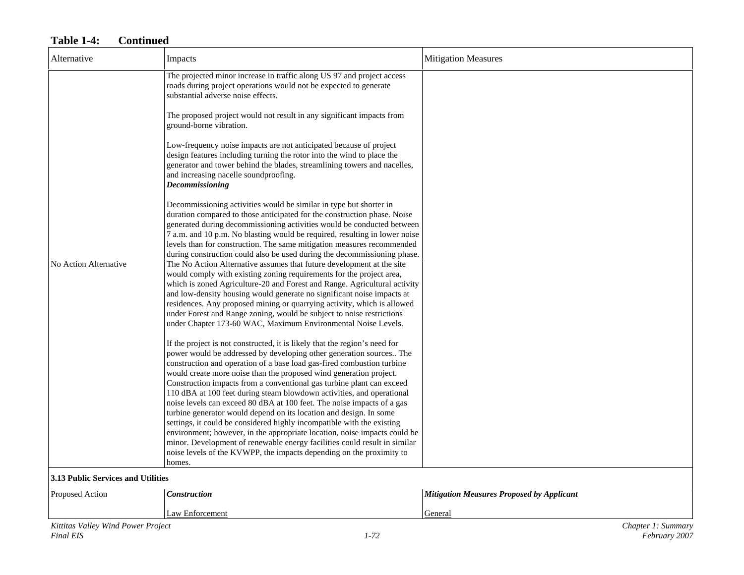| Alternative                                     | Impacts                                                                                                                                                                                                                                                                                                                                                                                                                                                                                                                                                                                                                                                                                                                                                                                                                                                                                                                                                                                                                                                                                                                                                                                                                                                                                                                                                                                                                                                | <b>Mitigation Measures</b>                       |
|-------------------------------------------------|--------------------------------------------------------------------------------------------------------------------------------------------------------------------------------------------------------------------------------------------------------------------------------------------------------------------------------------------------------------------------------------------------------------------------------------------------------------------------------------------------------------------------------------------------------------------------------------------------------------------------------------------------------------------------------------------------------------------------------------------------------------------------------------------------------------------------------------------------------------------------------------------------------------------------------------------------------------------------------------------------------------------------------------------------------------------------------------------------------------------------------------------------------------------------------------------------------------------------------------------------------------------------------------------------------------------------------------------------------------------------------------------------------------------------------------------------------|--------------------------------------------------|
|                                                 | The projected minor increase in traffic along US 97 and project access<br>roads during project operations would not be expected to generate<br>substantial adverse noise effects.                                                                                                                                                                                                                                                                                                                                                                                                                                                                                                                                                                                                                                                                                                                                                                                                                                                                                                                                                                                                                                                                                                                                                                                                                                                                      |                                                  |
|                                                 | The proposed project would not result in any significant impacts from<br>ground-borne vibration.                                                                                                                                                                                                                                                                                                                                                                                                                                                                                                                                                                                                                                                                                                                                                                                                                                                                                                                                                                                                                                                                                                                                                                                                                                                                                                                                                       |                                                  |
|                                                 | Low-frequency noise impacts are not anticipated because of project<br>design features including turning the rotor into the wind to place the<br>generator and tower behind the blades, streamlining towers and nacelles,<br>and increasing nacelle soundproofing.<br>Decommissioning                                                                                                                                                                                                                                                                                                                                                                                                                                                                                                                                                                                                                                                                                                                                                                                                                                                                                                                                                                                                                                                                                                                                                                   |                                                  |
|                                                 | Decommissioning activities would be similar in type but shorter in<br>duration compared to those anticipated for the construction phase. Noise<br>generated during decommissioning activities would be conducted between                                                                                                                                                                                                                                                                                                                                                                                                                                                                                                                                                                                                                                                                                                                                                                                                                                                                                                                                                                                                                                                                                                                                                                                                                               |                                                  |
|                                                 | 7 a.m. and 10 p.m. No blasting would be required, resulting in lower noise<br>levels than for construction. The same mitigation measures recommended<br>during construction could also be used during the decommissioning phase.                                                                                                                                                                                                                                                                                                                                                                                                                                                                                                                                                                                                                                                                                                                                                                                                                                                                                                                                                                                                                                                                                                                                                                                                                       |                                                  |
| No Action Alternative                           | The No Action Alternative assumes that future development at the site<br>would comply with existing zoning requirements for the project area,<br>which is zoned Agriculture-20 and Forest and Range. Agricultural activity<br>and low-density housing would generate no significant noise impacts at<br>residences. Any proposed mining or quarrying activity, which is allowed<br>under Forest and Range zoning, would be subject to noise restrictions<br>under Chapter 173-60 WAC, Maximum Environmental Noise Levels.<br>If the project is not constructed, it is likely that the region's need for<br>power would be addressed by developing other generation sources The<br>construction and operation of a base load gas-fired combustion turbine<br>would create more noise than the proposed wind generation project.<br>Construction impacts from a conventional gas turbine plant can exceed<br>110 dBA at 100 feet during steam blowdown activities, and operational<br>noise levels can exceed 80 dBA at 100 feet. The noise impacts of a gas<br>turbine generator would depend on its location and design. In some<br>settings, it could be considered highly incompatible with the existing<br>environment; however, in the appropriate location, noise impacts could be<br>minor. Development of renewable energy facilities could result in similar<br>noise levels of the KVWPP, the impacts depending on the proximity to<br>homes. |                                                  |
| 3.13 Public Services and Utilities              |                                                                                                                                                                                                                                                                                                                                                                                                                                                                                                                                                                                                                                                                                                                                                                                                                                                                                                                                                                                                                                                                                                                                                                                                                                                                                                                                                                                                                                                        |                                                  |
| Proposed Action                                 | Construction                                                                                                                                                                                                                                                                                                                                                                                                                                                                                                                                                                                                                                                                                                                                                                                                                                                                                                                                                                                                                                                                                                                                                                                                                                                                                                                                                                                                                                           | <b>Mitigation Measures Proposed by Applicant</b> |
|                                                 | Law Enforcement                                                                                                                                                                                                                                                                                                                                                                                                                                                                                                                                                                                                                                                                                                                                                                                                                                                                                                                                                                                                                                                                                                                                                                                                                                                                                                                                                                                                                                        | General                                          |
| Kittitas Valley Wind Power Project<br>Final EIS | $1 - 72$                                                                                                                                                                                                                                                                                                                                                                                                                                                                                                                                                                                                                                                                                                                                                                                                                                                                                                                                                                                                                                                                                                                                                                                                                                                                                                                                                                                                                                               | Chapter 1: Summary<br>February 2007              |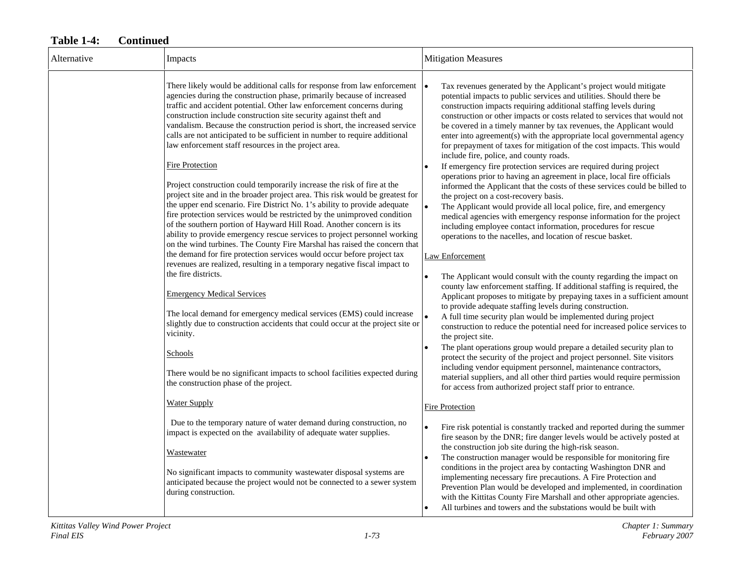| Alternative | Impacts                                                                                                                                                                                                                                                                                                                                                                                                                                                                                                                                                                | <b>Mitigation Measures</b>                                                                                                                                                                                                                                                                                                                                                                                                                                                                                                                                                                                                                                                                                                                                                                                                   |
|-------------|------------------------------------------------------------------------------------------------------------------------------------------------------------------------------------------------------------------------------------------------------------------------------------------------------------------------------------------------------------------------------------------------------------------------------------------------------------------------------------------------------------------------------------------------------------------------|------------------------------------------------------------------------------------------------------------------------------------------------------------------------------------------------------------------------------------------------------------------------------------------------------------------------------------------------------------------------------------------------------------------------------------------------------------------------------------------------------------------------------------------------------------------------------------------------------------------------------------------------------------------------------------------------------------------------------------------------------------------------------------------------------------------------------|
|             | There likely would be additional calls for response from law enforcement<br>agencies during the construction phase, primarily because of increased<br>traffic and accident potential. Other law enforcement concerns during<br>construction include construction site security against theft and<br>vandalism. Because the construction period is short, the increased service<br>calls are not anticipated to be sufficient in number to require additional<br>law enforcement staff resources in the project area.                                                   | Tax revenues generated by the Applicant's project would mitigate<br>$\bullet$<br>potential impacts to public services and utilities. Should there be<br>construction impacts requiring additional staffing levels during<br>construction or other impacts or costs related to services that would not<br>be covered in a timely manner by tax revenues, the Applicant would<br>enter into agreement(s) with the appropriate local governmental agency<br>for prepayment of taxes for mitigation of the cost impacts. This would<br>include fire, police, and county roads.                                                                                                                                                                                                                                                   |
|             | Fire Protection<br>Project construction could temporarily increase the risk of fire at the<br>project site and in the broader project area. This risk would be greatest for<br>the upper end scenario. Fire District No. 1's ability to provide adequate<br>fire protection services would be restricted by the unimproved condition<br>of the southern portion of Hayward Hill Road. Another concern is its<br>ability to provide emergency rescue services to project personnel working<br>on the wind turbines. The County Fire Marshal has raised the concern that | If emergency fire protection services are required during project<br>operations prior to having an agreement in place, local fire officials<br>informed the Applicant that the costs of these services could be billed to<br>the project on a cost-recovery basis.<br>$\bullet$<br>The Applicant would provide all local police, fire, and emergency<br>medical agencies with emergency response information for the project<br>including employee contact information, procedures for rescue<br>operations to the nacelles, and location of rescue basket.                                                                                                                                                                                                                                                                  |
|             | the demand for fire protection services would occur before project tax<br>revenues are realized, resulting in a temporary negative fiscal impact to                                                                                                                                                                                                                                                                                                                                                                                                                    | Law Enforcement                                                                                                                                                                                                                                                                                                                                                                                                                                                                                                                                                                                                                                                                                                                                                                                                              |
|             | the fire districts.<br><b>Emergency Medical Services</b><br>The local demand for emergency medical services (EMS) could increase<br>slightly due to construction accidents that could occur at the project site or<br>vicinity.<br>Schools<br>There would be no significant impacts to school facilities expected during<br>the construction phase of the project.                                                                                                                                                                                                     | The Applicant would consult with the county regarding the impact on<br>county law enforcement staffing. If additional staffing is required, the<br>Applicant proposes to mitigate by prepaying taxes in a sufficient amount<br>to provide adequate staffing levels during construction.<br>A full time security plan would be implemented during project<br>construction to reduce the potential need for increased police services to<br>the project site.<br>The plant operations group would prepare a detailed security plan to<br>protect the security of the project and project personnel. Site visitors<br>including vendor equipment personnel, maintenance contractors,<br>material suppliers, and all other third parties would require permission<br>for access from authorized project staff prior to entrance. |
|             | Water Supply                                                                                                                                                                                                                                                                                                                                                                                                                                                                                                                                                           | Fire Protection                                                                                                                                                                                                                                                                                                                                                                                                                                                                                                                                                                                                                                                                                                                                                                                                              |
|             | Due to the temporary nature of water demand during construction, no<br>impact is expected on the availability of adequate water supplies.<br>Wastewater                                                                                                                                                                                                                                                                                                                                                                                                                | Fire risk potential is constantly tracked and reported during the summer<br>fire season by the DNR; fire danger levels would be actively posted at<br>the construction job site during the high-risk season.                                                                                                                                                                                                                                                                                                                                                                                                                                                                                                                                                                                                                 |
|             | No significant impacts to community wastewater disposal systems are<br>anticipated because the project would not be connected to a sewer system<br>during construction.                                                                                                                                                                                                                                                                                                                                                                                                | The construction manager would be responsible for monitoring fire<br>conditions in the project area by contacting Washington DNR and<br>implementing necessary fire precautions. A Fire Protection and<br>Prevention Plan would be developed and implemented, in coordination<br>with the Kittitas County Fire Marshall and other appropriate agencies.<br>All turbines and towers and the substations would be built with                                                                                                                                                                                                                                                                                                                                                                                                   |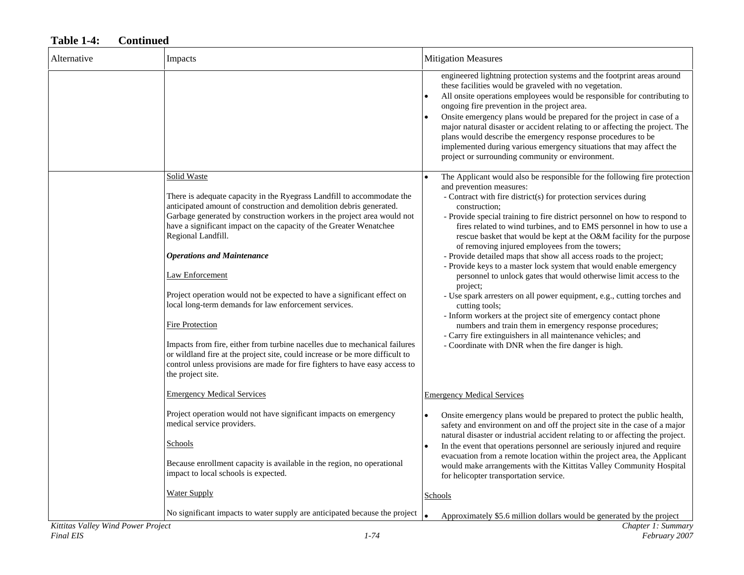| Alternative | Impacts                                                                                                                                                                                                                                                                                                                                                                                                                                                                                                                                                                                                                                                                                                                                                                                                                     | <b>Mitigation Measures</b>                                                                                                                                                                                                                                                                                                                                                                                                                                                                                                                                                                                                                                                                                                                                                                                                                                                                                                                                                                                                                                |
|-------------|-----------------------------------------------------------------------------------------------------------------------------------------------------------------------------------------------------------------------------------------------------------------------------------------------------------------------------------------------------------------------------------------------------------------------------------------------------------------------------------------------------------------------------------------------------------------------------------------------------------------------------------------------------------------------------------------------------------------------------------------------------------------------------------------------------------------------------|-----------------------------------------------------------------------------------------------------------------------------------------------------------------------------------------------------------------------------------------------------------------------------------------------------------------------------------------------------------------------------------------------------------------------------------------------------------------------------------------------------------------------------------------------------------------------------------------------------------------------------------------------------------------------------------------------------------------------------------------------------------------------------------------------------------------------------------------------------------------------------------------------------------------------------------------------------------------------------------------------------------------------------------------------------------|
|             |                                                                                                                                                                                                                                                                                                                                                                                                                                                                                                                                                                                                                                                                                                                                                                                                                             | engineered lightning protection systems and the footprint areas around<br>these facilities would be graveled with no vegetation.<br>All onsite operations employees would be responsible for contributing to<br>ongoing fire prevention in the project area.<br>Onsite emergency plans would be prepared for the project in case of a<br>major natural disaster or accident relating to or affecting the project. The<br>plans would describe the emergency response procedures to be<br>implemented during various emergency situations that may affect the<br>project or surrounding community or environment.                                                                                                                                                                                                                                                                                                                                                                                                                                          |
|             | Solid Waste<br>There is adequate capacity in the Ryegrass Landfill to accommodate the<br>anticipated amount of construction and demolition debris generated.<br>Garbage generated by construction workers in the project area would not<br>have a significant impact on the capacity of the Greater Wenatchee<br>Regional Landfill.<br><b>Operations and Maintenance</b><br>Law Enforcement<br>Project operation would not be expected to have a significant effect on<br>local long-term demands for law enforcement services.<br><b>Fire Protection</b><br>Impacts from fire, either from turbine nacelles due to mechanical failures<br>or wildland fire at the project site, could increase or be more difficult to<br>control unless provisions are made for fire fighters to have easy access to<br>the project site. | The Applicant would also be responsible for the following fire protection<br>and prevention measures:<br>- Contract with fire district(s) for protection services during<br>construction:<br>- Provide special training to fire district personnel on how to respond to<br>fires related to wind turbines, and to EMS personnel in how to use a<br>rescue basket that would be kept at the O&M facility for the purpose<br>of removing injured employees from the towers;<br>- Provide detailed maps that show all access roads to the project;<br>- Provide keys to a master lock system that would enable emergency<br>personnel to unlock gates that would otherwise limit access to the<br>project;<br>- Use spark arresters on all power equipment, e.g., cutting torches and<br>cutting tools;<br>- Inform workers at the project site of emergency contact phone<br>numbers and train them in emergency response procedures;<br>- Carry fire extinguishers in all maintenance vehicles; and<br>- Coordinate with DNR when the fire danger is high. |
|             | <b>Emergency Medical Services</b>                                                                                                                                                                                                                                                                                                                                                                                                                                                                                                                                                                                                                                                                                                                                                                                           | <b>Emergency Medical Services</b>                                                                                                                                                                                                                                                                                                                                                                                                                                                                                                                                                                                                                                                                                                                                                                                                                                                                                                                                                                                                                         |
|             | Project operation would not have significant impacts on emergency<br>medical service providers.<br>Schools<br>Because enrollment capacity is available in the region, no operational<br>impact to local schools is expected.                                                                                                                                                                                                                                                                                                                                                                                                                                                                                                                                                                                                | Onsite emergency plans would be prepared to protect the public health,<br>safety and environment on and off the project site in the case of a major<br>natural disaster or industrial accident relating to or affecting the project.<br>In the event that operations personnel are seriously injured and require<br>$\bullet$<br>evacuation from a remote location within the project area, the Applicant<br>would make arrangements with the Kittitas Valley Community Hospital<br>for helicopter transportation service.                                                                                                                                                                                                                                                                                                                                                                                                                                                                                                                                |
|             | <b>Water Supply</b>                                                                                                                                                                                                                                                                                                                                                                                                                                                                                                                                                                                                                                                                                                                                                                                                         | Schools                                                                                                                                                                                                                                                                                                                                                                                                                                                                                                                                                                                                                                                                                                                                                                                                                                                                                                                                                                                                                                                   |
|             | No significant impacts to water supply are anticipated because the project                                                                                                                                                                                                                                                                                                                                                                                                                                                                                                                                                                                                                                                                                                                                                  | Approximately \$5.6 million dollars would be generated by the project<br>$\bullet$                                                                                                                                                                                                                                                                                                                                                                                                                                                                                                                                                                                                                                                                                                                                                                                                                                                                                                                                                                        |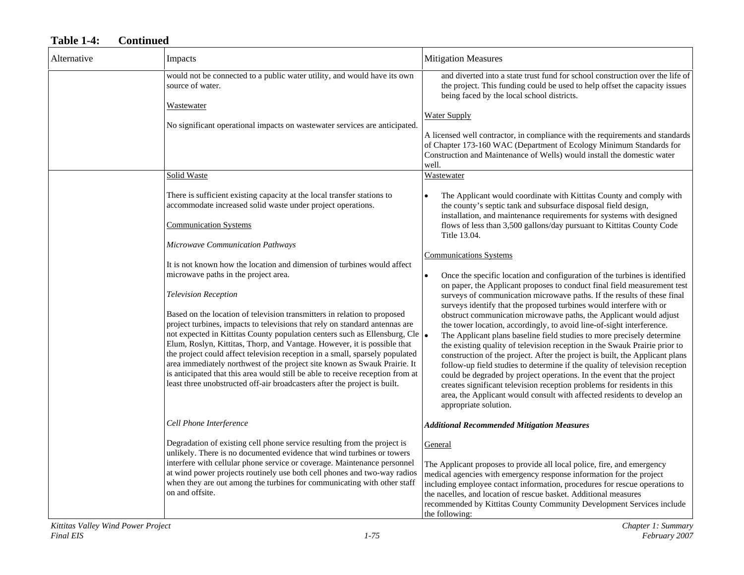| Alternative | Impacts                                                                                                                                                                                                                                                                                                                                                                                                                                                                                                                                                                                                                                                                                                                                                                                                                               | <b>Mitigation Measures</b>                                                                                                                                                                                                                                                                                                                                                                                                                                                                                                                                                                                                                                                                                                                                                                                                                                                                                                                                                                                                                                               |
|-------------|---------------------------------------------------------------------------------------------------------------------------------------------------------------------------------------------------------------------------------------------------------------------------------------------------------------------------------------------------------------------------------------------------------------------------------------------------------------------------------------------------------------------------------------------------------------------------------------------------------------------------------------------------------------------------------------------------------------------------------------------------------------------------------------------------------------------------------------|--------------------------------------------------------------------------------------------------------------------------------------------------------------------------------------------------------------------------------------------------------------------------------------------------------------------------------------------------------------------------------------------------------------------------------------------------------------------------------------------------------------------------------------------------------------------------------------------------------------------------------------------------------------------------------------------------------------------------------------------------------------------------------------------------------------------------------------------------------------------------------------------------------------------------------------------------------------------------------------------------------------------------------------------------------------------------|
|             | would not be connected to a public water utility, and would have its own<br>source of water.                                                                                                                                                                                                                                                                                                                                                                                                                                                                                                                                                                                                                                                                                                                                          | and diverted into a state trust fund for school construction over the life of<br>the project. This funding could be used to help offset the capacity issues<br>being faced by the local school districts.                                                                                                                                                                                                                                                                                                                                                                                                                                                                                                                                                                                                                                                                                                                                                                                                                                                                |
|             | Wastewater<br>No significant operational impacts on wastewater services are anticipated.                                                                                                                                                                                                                                                                                                                                                                                                                                                                                                                                                                                                                                                                                                                                              | <b>Water Supply</b><br>A licensed well contractor, in compliance with the requirements and standards<br>of Chapter 173-160 WAC (Department of Ecology Minimum Standards for<br>Construction and Maintenance of Wells) would install the domestic water<br>well.                                                                                                                                                                                                                                                                                                                                                                                                                                                                                                                                                                                                                                                                                                                                                                                                          |
|             | Solid Waste                                                                                                                                                                                                                                                                                                                                                                                                                                                                                                                                                                                                                                                                                                                                                                                                                           | Wastewater                                                                                                                                                                                                                                                                                                                                                                                                                                                                                                                                                                                                                                                                                                                                                                                                                                                                                                                                                                                                                                                               |
|             | There is sufficient existing capacity at the local transfer stations to<br>accommodate increased solid waste under project operations.<br><b>Communication Systems</b>                                                                                                                                                                                                                                                                                                                                                                                                                                                                                                                                                                                                                                                                | The Applicant would coordinate with Kittitas County and comply with<br>the county's septic tank and subsurface disposal field design,<br>installation, and maintenance requirements for systems with designed<br>flows of less than 3,500 gallons/day pursuant to Kittitas County Code<br>Title 13.04.                                                                                                                                                                                                                                                                                                                                                                                                                                                                                                                                                                                                                                                                                                                                                                   |
|             | Microwave Communication Pathways<br>It is not known how the location and dimension of turbines would affect<br>microwave paths in the project area.<br><b>Television Reception</b><br>Based on the location of television transmitters in relation to proposed<br>project turbines, impacts to televisions that rely on standard antennas are<br>not expected in Kittitas County population centers such as Ellensburg, Cle .<br>Elum, Roslyn, Kittitas, Thorp, and Vantage. However, it is possible that<br>the project could affect television reception in a small, sparsely populated<br>area immediately northwest of the project site known as Swauk Prairie. It<br>is anticipated that this area would still be able to receive reception from at<br>least three unobstructed off-air broadcasters after the project is built. | <b>Communications Systems</b><br>Once the specific location and configuration of the turbines is identified<br>on paper, the Applicant proposes to conduct final field measurement test<br>surveys of communication microwave paths. If the results of these final<br>surveys identify that the proposed turbines would interfere with or<br>obstruct communication microwave paths, the Applicant would adjust<br>the tower location, accordingly, to avoid line-of-sight interference.<br>The Applicant plans baseline field studies to more precisely determine<br>the existing quality of television reception in the Swauk Prairie prior to<br>construction of the project. After the project is built, the Applicant plans<br>follow-up field studies to determine if the quality of television reception<br>could be degraded by project operations. In the event that the project<br>creates significant television reception problems for residents in this<br>area, the Applicant would consult with affected residents to develop an<br>appropriate solution. |
|             | Cell Phone Interference                                                                                                                                                                                                                                                                                                                                                                                                                                                                                                                                                                                                                                                                                                                                                                                                               | <b>Additional Recommended Mitigation Measures</b>                                                                                                                                                                                                                                                                                                                                                                                                                                                                                                                                                                                                                                                                                                                                                                                                                                                                                                                                                                                                                        |
|             | Degradation of existing cell phone service resulting from the project is<br>unlikely. There is no documented evidence that wind turbines or towers<br>interfere with cellular phone service or coverage. Maintenance personnel<br>at wind power projects routinely use both cell phones and two-way radios<br>when they are out among the turbines for communicating with other staff<br>on and offsite.                                                                                                                                                                                                                                                                                                                                                                                                                              | General<br>The Applicant proposes to provide all local police, fire, and emergency<br>medical agencies with emergency response information for the project<br>including employee contact information, procedures for rescue operations to<br>the nacelles, and location of rescue basket. Additional measures<br>recommended by Kittitas County Community Development Services include<br>the following:                                                                                                                                                                                                                                                                                                                                                                                                                                                                                                                                                                                                                                                                 |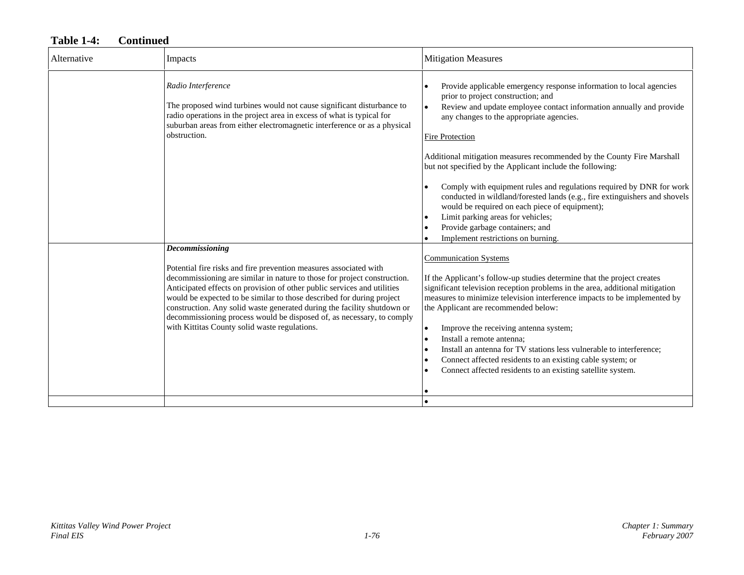| Alternative | Impacts                                                                                                                                                                                                                                                                                                                                                                                                                                                                                                                   | <b>Mitigation Measures</b>                                                                                                                                                                                                                                                                                                                                                                                                                                                                                                                                                                                                                                                                                          |
|-------------|---------------------------------------------------------------------------------------------------------------------------------------------------------------------------------------------------------------------------------------------------------------------------------------------------------------------------------------------------------------------------------------------------------------------------------------------------------------------------------------------------------------------------|---------------------------------------------------------------------------------------------------------------------------------------------------------------------------------------------------------------------------------------------------------------------------------------------------------------------------------------------------------------------------------------------------------------------------------------------------------------------------------------------------------------------------------------------------------------------------------------------------------------------------------------------------------------------------------------------------------------------|
|             | Radio Interference<br>The proposed wind turbines would not cause significant disturbance to<br>radio operations in the project area in excess of what is typical for<br>suburban areas from either electromagnetic interference or as a physical<br>obstruction.                                                                                                                                                                                                                                                          | Provide applicable emergency response information to local agencies<br>prior to project construction; and<br>Review and update employee contact information annually and provide<br>any changes to the appropriate agencies.<br><b>Fire Protection</b><br>Additional mitigation measures recommended by the County Fire Marshall<br>but not specified by the Applicant include the following:<br>Comply with equipment rules and regulations required by DNR for work<br>conducted in wildland/forested lands (e.g., fire extinguishers and shovels<br>would be required on each piece of equipment);<br>Limit parking areas for vehicles;<br>Provide garbage containers; and<br>Implement restrictions on burning. |
|             | Decommissioning<br>Potential fire risks and fire prevention measures associated with<br>decommissioning are similar in nature to those for project construction.<br>Anticipated effects on provision of other public services and utilities<br>would be expected to be similar to those described for during project<br>construction. Any solid waste generated during the facility shutdown or<br>decommissioning process would be disposed of, as necessary, to comply<br>with Kittitas County solid waste regulations. | <b>Communication Systems</b><br>If the Applicant's follow-up studies determine that the project creates<br>significant television reception problems in the area, additional mitigation<br>measures to minimize television interference impacts to be implemented by<br>the Applicant are recommended below:<br>Improve the receiving antenna system;<br>Install a remote antenna;<br>Install an antenna for TV stations less vulnerable to interference:<br>Connect affected residents to an existing cable system; or<br>Connect affected residents to an existing satellite system.                                                                                                                              |